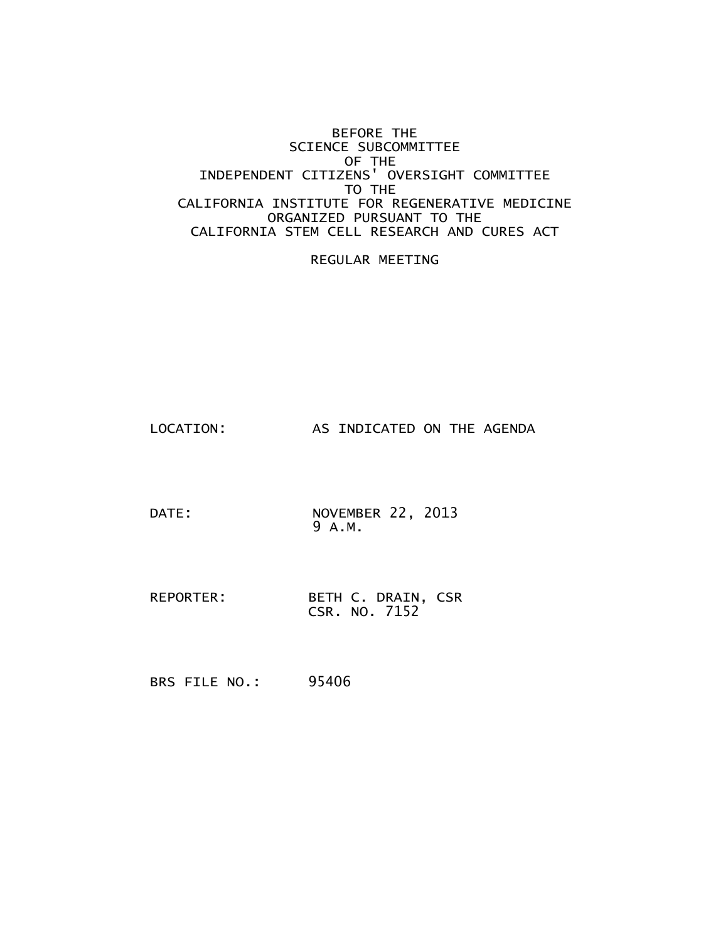#### BEFORE THE SCIENCE SUBCOMMITTEE OF THE INDEPENDENT CITIZENS' OVERSIGHT COMMITTEE TO THE CALIFORNIA INSTITUTE FOR REGENERATIVE MEDICINE ORGANIZED PURSUANT TO THE CALIFORNIA STEM CELL RESEARCH AND CURES ACT

#### REGULAR MEETING

LOCATION: AS INDICATED ON THE AGENDA

DATE: NOVEMBER 22, 2013 9 A.M.

REPORTER: BETH C. DRAIN, CSR CSR. NO. 7152

BRS FILE NO.: 95406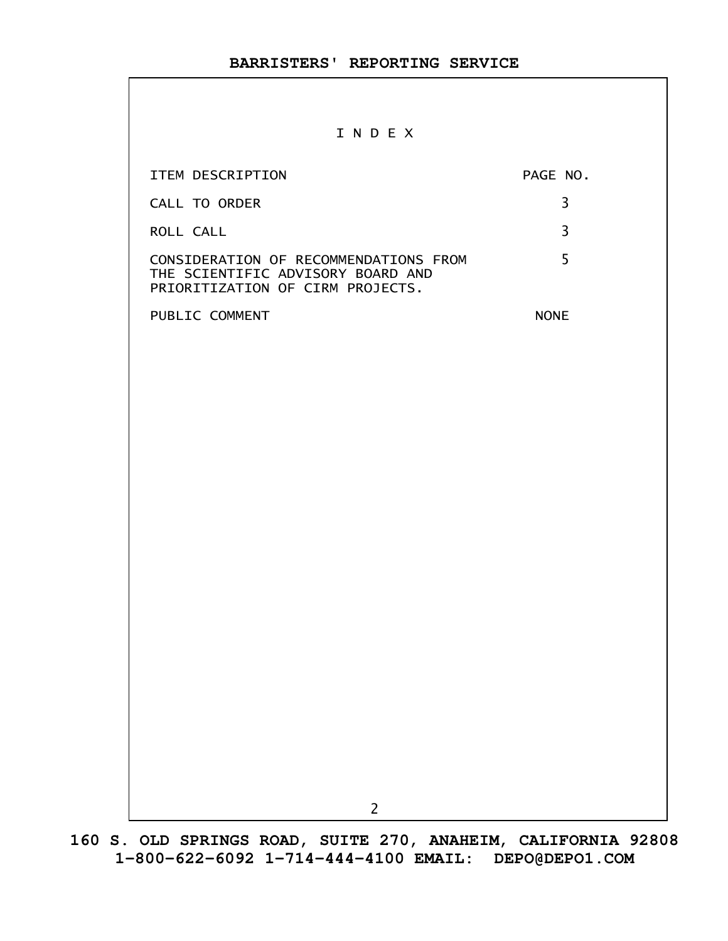#### I N D E X

| ITEM DESCRIPTION                                                                                               | PAGE NO.    |
|----------------------------------------------------------------------------------------------------------------|-------------|
| CALL TO ORDER                                                                                                  | 3           |
| ROLL CALL                                                                                                      | 3           |
| CONSIDERATION OF RECOMMENDATIONS FROM<br>THE SCIENTIFIC ADVISORY BOARD AND<br>PRIORITIZATION OF CIRM PROJECTS. | 5           |
| PUBLIC COMMENT                                                                                                 | <b>NONE</b> |
|                                                                                                                |             |
|                                                                                                                |             |
|                                                                                                                |             |
|                                                                                                                |             |
|                                                                                                                |             |
|                                                                                                                |             |
|                                                                                                                |             |
|                                                                                                                |             |
|                                                                                                                |             |
|                                                                                                                |             |
|                                                                                                                |             |
|                                                                                                                |             |
|                                                                                                                |             |
|                                                                                                                |             |
|                                                                                                                |             |
|                                                                                                                |             |
| $\overline{c}$                                                                                                 |             |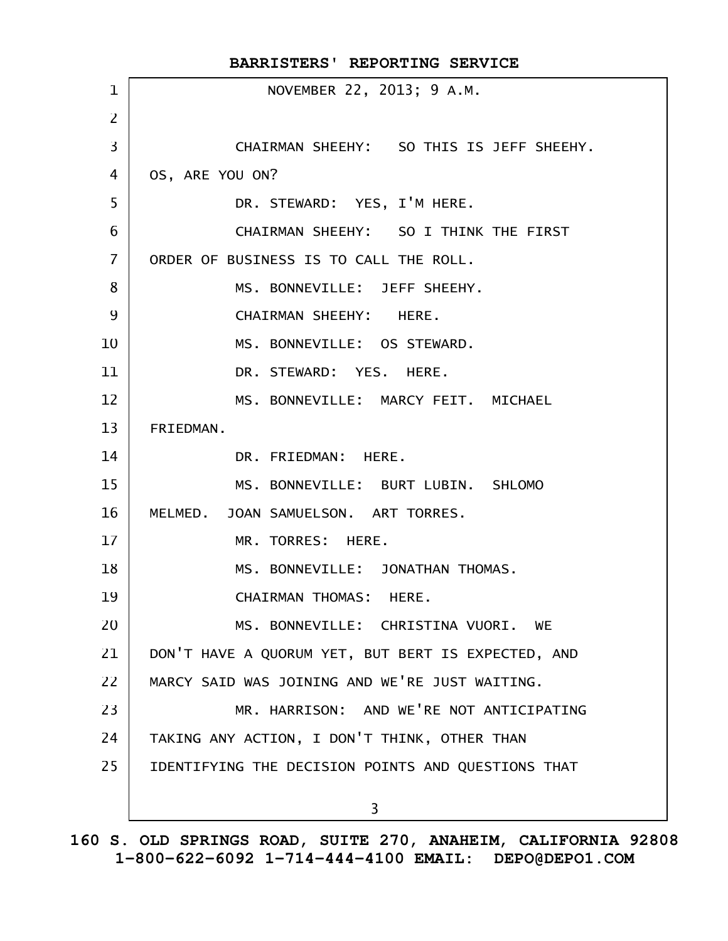|                | BARRISTERS' REPORTING SERVICE                      |
|----------------|----------------------------------------------------|
| $\mathbf 1$    | NOVEMBER 22, 2013; 9 A.M.                          |
| $\overline{2}$ |                                                    |
| 3              | CHAIRMAN SHEEHY: SO THIS IS JEFF SHEEHY.           |
| 4              | OS, ARE YOU ON?                                    |
| 5              | DR. STEWARD: YES, I'M HERE.                        |
| 6              | CHAIRMAN SHEEHY: SO I THINK THE FIRST              |
| $\overline{7}$ | ORDER OF BUSINESS IS TO CALL THE ROLL.             |
| 8              | MS. BONNEVILLE: JEFF SHEEHY.                       |
| 9              | CHAIRMAN SHEEHY: HERE.                             |
| 10             | MS. BONNEVILLE: OS STEWARD.                        |
| 11             | DR. STEWARD: YES. HERE.                            |
| 12             | MS. BONNEVILLE: MARCY FEIT. MICHAEL                |
| 13             | FRIEDMAN.                                          |
| 14             | DR. FRIEDMAN: HERE.                                |
| 15             | MS. BONNEVILLE: BURT LUBIN. SHLOMO                 |
| 16             | MELMED. JOAN SAMUELSON. ART TORRES.                |
| 17             | MR. TORRES: HERE.                                  |
| 18             | MS. BONNEVILLE: JONATHAN THOMAS.                   |
| 19             | CHAIRMAN THOMAS: HERE.                             |
| 20             | MS. BONNEVILLE: CHRISTINA VUORI. WE                |
| 21             | DON'T HAVE A QUORUM YET, BUT BERT IS EXPECTED, AND |
| 22             | MARCY SAID WAS JOINING AND WE'RE JUST WAITING.     |
| 23             | MR. HARRISON: AND WE'RE NOT ANTICIPATING           |
| 24             | TAKING ANY ACTION, I DON'T THINK, OTHER THAN       |
| 25             | IDENTIFYING THE DECISION POINTS AND QUESTIONS THAT |
|                | 3                                                  |
|                |                                                    |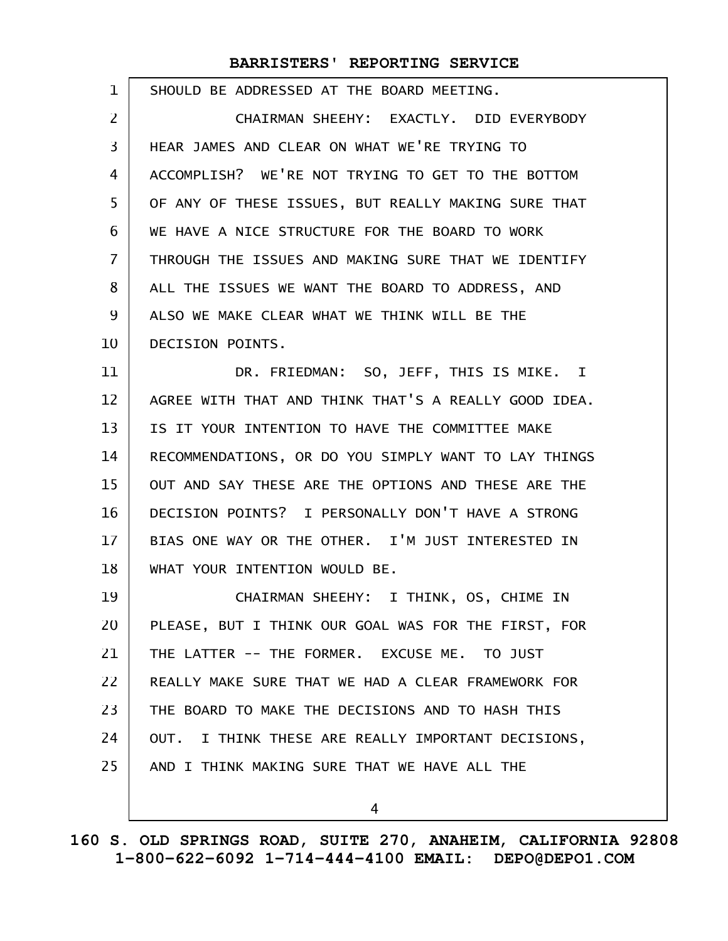| 1              | SHOULD BE ADDRESSED AT THE BOARD MEETING.             |
|----------------|-------------------------------------------------------|
| $\overline{2}$ | CHAIRMAN SHEEHY: EXACTLY. DID EVERYBODY               |
| 3              | HEAR JAMES AND CLEAR ON WHAT WE'RE TRYING TO          |
| 4              | ACCOMPLISH? WE'RE NOT TRYING TO GET TO THE BOTTOM     |
| 5              | OF ANY OF THESE ISSUES, BUT REALLY MAKING SURE THAT   |
| 6              | WE HAVE A NICE STRUCTURE FOR THE BOARD TO WORK        |
| $\overline{7}$ | THROUGH THE ISSUES AND MAKING SURE THAT WE IDENTIFY   |
| 8              | ALL THE ISSUES WE WANT THE BOARD TO ADDRESS, AND      |
| 9              | ALSO WE MAKE CLEAR WHAT WE THINK WILL BE THE          |
| 10             | DECISION POINTS.                                      |
| 11             | DR. FRIEDMAN: SO, JEFF, THIS IS MIKE. I               |
| 12             | AGREE WITH THAT AND THINK THAT'S A REALLY GOOD IDEA.  |
| 13             | IS IT YOUR INTENTION TO HAVE THE COMMITTEE MAKE       |
| 14             | RECOMMENDATIONS, OR DO YOU SIMPLY WANT TO LAY THINGS  |
| 15             | OUT AND SAY THESE ARE THE OPTIONS AND THESE ARE THE   |
| 16             | DECISION POINTS? I PERSONALLY DON'T HAVE A STRONG     |
| 17             | BIAS ONE WAY OR THE OTHER. I'M JUST INTERESTED IN     |
| 18             | WHAT YOUR INTENTION WOULD BE.                         |
| 19             | CHAIRMAN SHEEHY: I THINK, OS, CHIME IN                |
| 20             | PLEASE, BUT I THINK OUR GOAL WAS FOR THE FIRST, FOR   |
| 21             | THE LATTER -- THE FORMER. EXCUSE ME. TO JUST          |
| 22             | REALLY MAKE SURE THAT WE HAD A CLEAR FRAMEWORK FOR    |
| 23             | THE BOARD TO MAKE THE DECISIONS AND TO HASH THIS      |
| 24             | OUT.<br>I THINK THESE ARE REALLY IMPORTANT DECISIONS, |
| 25             | AND I THINK MAKING SURE THAT WE HAVE ALL THE          |
|                | 4                                                     |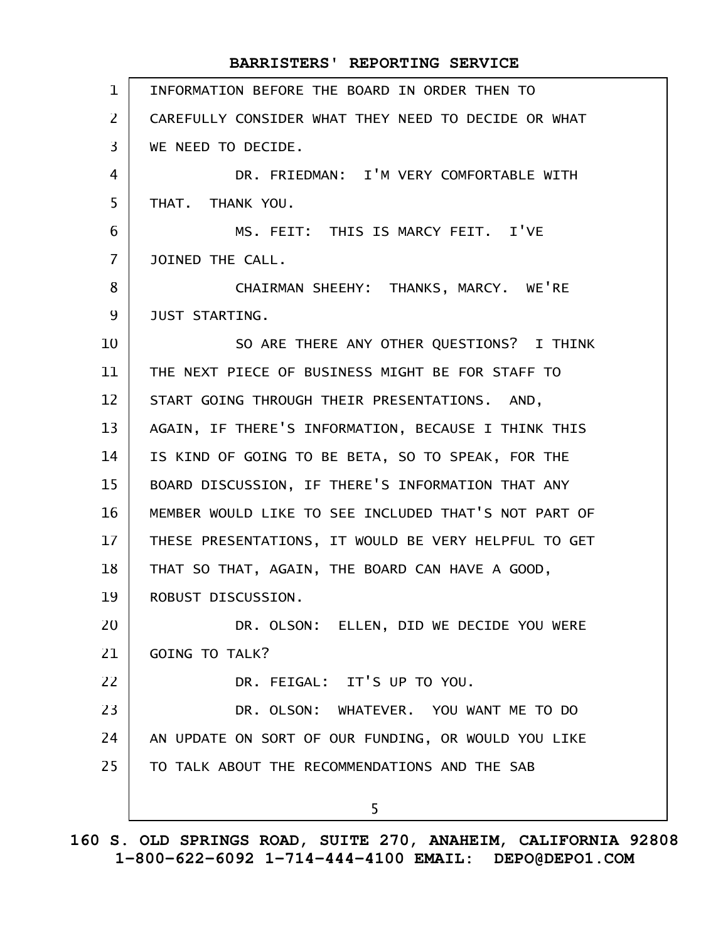#### INFORMATION BEFORE THE BOARD IN ORDER THEN TO CAREFULLY CONSIDER WHAT THEY NEED TO DECIDE OR WHAT WE NEED TO DECIDE. DR. FRIEDMAN: I'M VERY COMFORTABLE WITH THAT. THANK YOU. MS. FEIT: THIS IS MARCY FEIT. I'VE JOINED THE CALL. CHAIRMAN SHEEHY: THANKS, MARCY. WE'RE JUST STARTING. SO ARE THERE ANY OTHER QUESTIONS? I THINK THE NEXT PIECE OF BUSINESS MIGHT BE FOR STAFF TO START GOING THROUGH THEIR PRESENTATIONS. AND, AGAIN, IF THERE'S INFORMATION, BECAUSE I THINK THIS IS KIND OF GOING TO BE BETA, SO TO SPEAK, FOR THE BOARD DISCUSSION, IF THERE'S INFORMATION THAT ANY MEMBER WOULD LIKE TO SEE INCLUDED THAT'S NOT PART OF THESE PRESENTATIONS, IT WOULD BE VERY HELPFUL TO GET THAT SO THAT, AGAIN, THE BOARD CAN HAVE A GOOD, ROBUST DISCUSSION. DR. OLSON: ELLEN, DID WE DECIDE YOU WERE GOING TO TALK? DR. FEIGAL: IT'S UP TO YOU. DR. OLSON: WHATEVER. YOU WANT ME TO DO AN UPDATE ON SORT OF OUR FUNDING, OR WOULD YOU LIKE TO TALK ABOUT THE RECOMMENDATIONS AND THE SAB 5 **BARRISTERS' REPORTING SERVICE** 1 2 3 4 5 6 7 8 9 10 11 12 13 14 15 16 17 18 19 20 21 22 23 24 25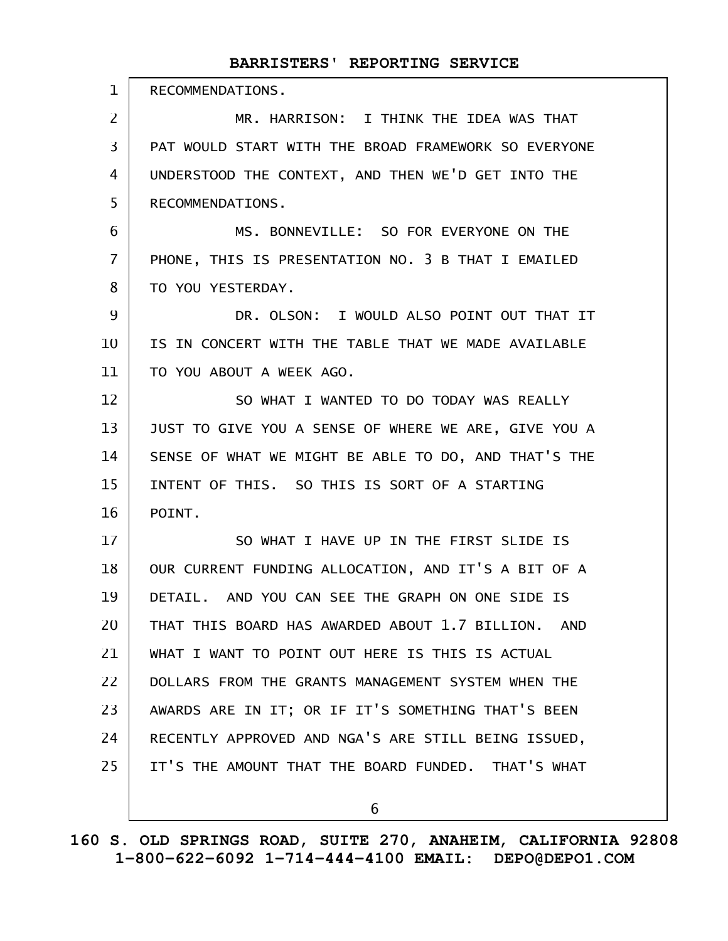| $\mathbf 1$    | RECOMMENDATIONS.                                     |
|----------------|------------------------------------------------------|
| 2              | MR. HARRISON: I THINK THE IDEA WAS THAT              |
| 3              | PAT WOULD START WITH THE BROAD FRAMEWORK SO EVERYONE |
| 4              | UNDERSTOOD THE CONTEXT, AND THEN WE'D GET INTO THE   |
| 5              | RECOMMENDATIONS.                                     |
| 6              | MS. BONNEVILLE: SO FOR EVERYONE ON THE               |
| $\overline{7}$ | PHONE, THIS IS PRESENTATION NO. 3 B THAT I EMAILED   |
| 8              | TO YOU YESTERDAY.                                    |
| 9              | DR. OLSON: I WOULD ALSO POINT OUT THAT IT            |
| 10             | IS IN CONCERT WITH THE TABLE THAT WE MADE AVAILABLE  |
| 11             | TO YOU ABOUT A WEEK AGO.                             |
| 12             | SO WHAT I WANTED TO DO TODAY WAS REALLY              |
| 13             | JUST TO GIVE YOU A SENSE OF WHERE WE ARE, GIVE YOU A |
| 14             | SENSE OF WHAT WE MIGHT BE ABLE TO DO, AND THAT'S THE |
| 15             | INTENT OF THIS. SO THIS IS SORT OF A STARTING        |
| 16             | POINT.                                               |
| 17             | SO WHAT I HAVE UP IN THE FIRST SLIDE IS              |
| 18             | OUR CURRENT FUNDING ALLOCATION, AND IT'S A BIT OF A  |
| 19             | DETAIL. AND YOU CAN SEE THE GRAPH ON ONE SIDE IS     |
| 20             | THAT THIS BOARD HAS AWARDED ABOUT 1.7 BILLION. AND   |
| 21             | WHAT I WANT TO POINT OUT HERE IS THIS IS ACTUAL      |
| 22             | DOLLARS FROM THE GRANTS MANAGEMENT SYSTEM WHEN THE   |
| 23             | AWARDS ARE IN IT; OR IF IT'S SOMETHING THAT'S BEEN   |
| 24             | RECENTLY APPROVED AND NGA'S ARE STILL BEING ISSUED,  |
| 25             | IT'S THE AMOUNT THAT THE BOARD FUNDED. THAT'S WHAT   |
|                | 6                                                    |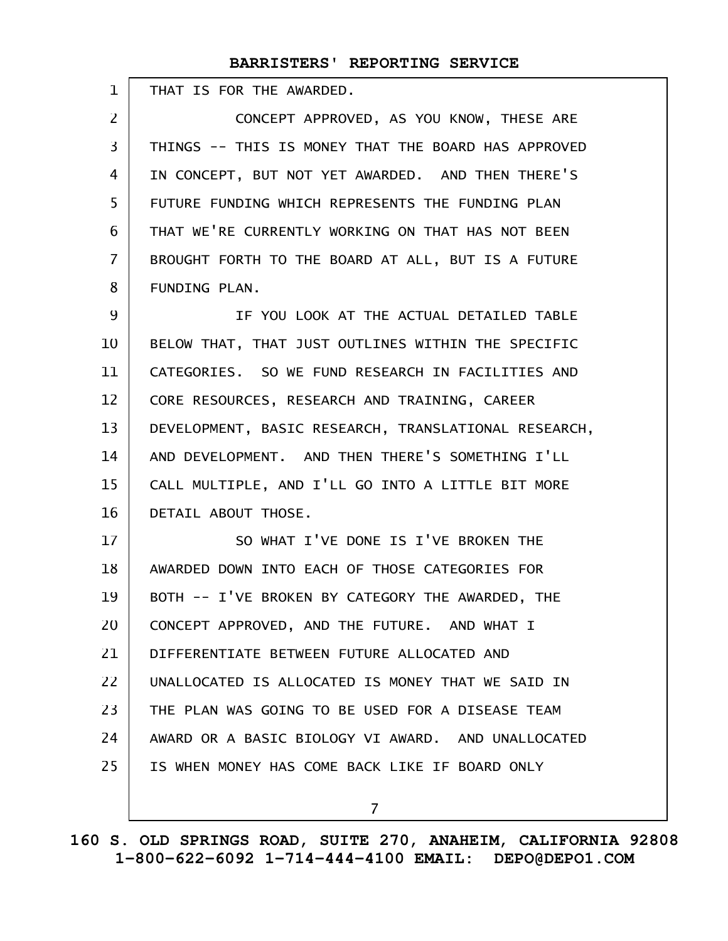| 1                 | THAT IS FOR THE AWARDED.                             |
|-------------------|------------------------------------------------------|
| $\overline{2}$    | CONCEPT APPROVED, AS YOU KNOW, THESE ARE             |
| $\overline{3}$    | THINGS -- THIS IS MONEY THAT THE BOARD HAS APPROVED  |
| $\overline{4}$    | IN CONCEPT, BUT NOT YET AWARDED. AND THEN THERE'S    |
| 5                 | FUTURE FUNDING WHICH REPRESENTS THE FUNDING PLAN     |
| 6                 | THAT WE'RE CURRENTLY WORKING ON THAT HAS NOT BEEN    |
| $\overline{7}$    | BROUGHT FORTH TO THE BOARD AT ALL, BUT IS A FUTURE   |
| 8                 | FUNDING PLAN.                                        |
| 9                 | IF YOU LOOK AT THE ACTUAL DETAILED TABLE             |
| 10                | BELOW THAT, THAT JUST OUTLINES WITHIN THE SPECIFIC   |
| 11                | CATEGORIES. SO WE FUND RESEARCH IN FACILITIES AND    |
| $12 \overline{ }$ | CORE RESOURCES, RESEARCH AND TRAINING, CAREER        |
| 13                | DEVELOPMENT, BASIC RESEARCH, TRANSLATIONAL RESEARCH, |
| 14                | AND DEVELOPMENT. AND THEN THERE'S SOMETHING I'LL     |
| 15                | CALL MULTIPLE, AND I'LL GO INTO A LITTLE BIT MORE    |
| 16                | DETAIL ABOUT THOSE.                                  |
| 17                | SO WHAT I'VE DONE IS I'VE BROKEN THE                 |
| 18                | AWARDED DOWN INTO EACH OF THOSE CATEGORIES FOR       |
| 19                | BOTH -- I'VE BROKEN BY CATEGORY THE AWARDED, THE     |
| 20                | CONCEPT APPROVED, AND THE FUTURE. AND WHAT I         |
| 21                | DIFFERENTIATE BETWEEN FUTURE ALLOCATED AND           |
| 22                | UNALLOCATED IS ALLOCATED IS MONEY THAT WE SAID IN    |
| 23                | THE PLAN WAS GOING TO BE USED FOR A DISEASE TEAM     |
| 24                | AWARD OR A BASIC BIOLOGY VI AWARD. AND UNALLOCATED   |
| 25                | IS WHEN MONEY HAS COME BACK LIKE IF BOARD ONLY       |
|                   |                                                      |

**160 S. OLD SPRINGS ROAD, SUITE 270, ANAHEIM, CALIFORNIA 92808 1-800-622-6092 1-714-444-4100 EMAIL: DEPO@DEPO1.COM**

7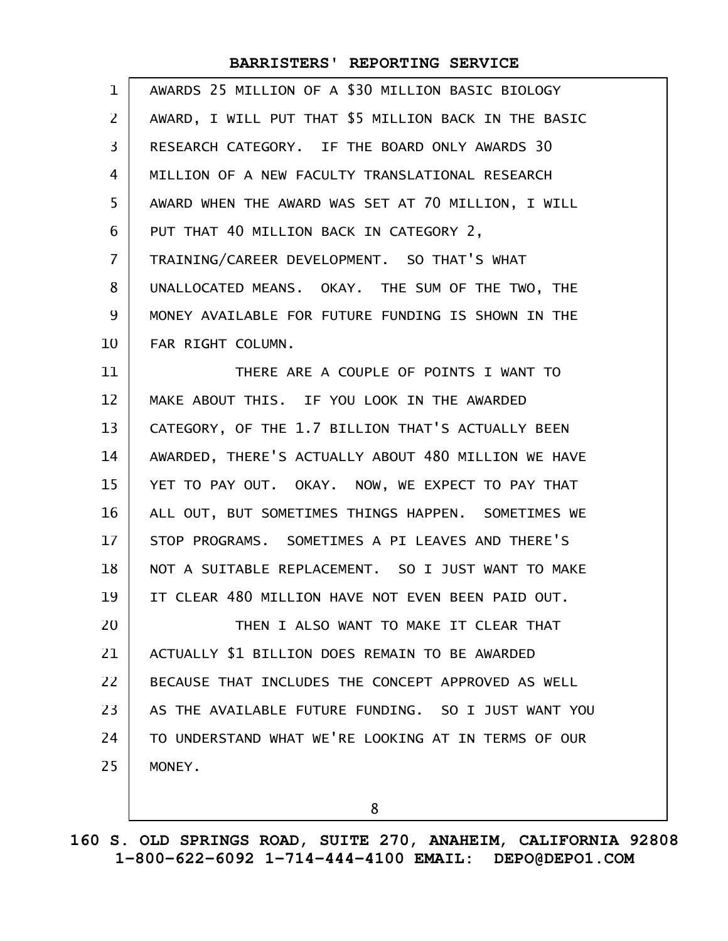| $\mathbf 1$    | AWARDS 25 MILLION OF A \$30 MILLION BASIC BIOLOGY    |
|----------------|------------------------------------------------------|
| 2              | AWARD, I WILL PUT THAT \$5 MILLION BACK IN THE BASIC |
| 3              | RESEARCH CATEGORY. IF THE BOARD ONLY AWARDS 30       |
| 4              | MILLION OF A NEW FACULTY TRANSLATIONAL RESEARCH      |
| 5              | AWARD WHEN THE AWARD WAS SET AT 70 MILLION, I WILL   |
| 6              | PUT THAT 40 MILLION BACK IN CATEGORY 2,              |
| $\overline{7}$ | TRAINING/CAREER DEVELOPMENT. SO THAT'S WHAT          |
| 8              | UNALLOCATED MEANS. OKAY. THE SUM OF THE TWO, THE     |
| 9              | MONEY AVAILABLE FOR FUTURE FUNDING IS SHOWN IN THE   |
| 10             | FAR RIGHT COLUMN.                                    |
| 11             | THERE ARE A COUPLE OF POINTS I WANT TO               |
| 12             | MAKE ABOUT THIS. IF YOU LOOK IN THE AWARDED          |
| 13             | CATEGORY, OF THE 1.7 BILLION THAT'S ACTUALLY BEEN    |
| 14             | AWARDED, THERE'S ACTUALLY ABOUT 480 MILLION WE HAVE  |
| 15             | YET TO PAY OUT. OKAY. NOW, WE EXPECT TO PAY THAT     |
| 16             | ALL OUT, BUT SOMETIMES THINGS HAPPEN. SOMETIMES WE   |
| 17             | STOP PROGRAMS. SOMETIMES A PI LEAVES AND THERE'S     |
| 18             | NOT A SUITABLE REPLACEMENT. SO I JUST WANT TO MAKE   |
| 19             | IT CLEAR 480 MILLION HAVE NOT EVEN BEEN PAID OUT.    |
| 20             | THEN I ALSO WANT TO MAKE IT CLEAR THAT               |
| 21             | ACTUALLY \$1 BILLION DOES REMAIN TO BE AWARDED       |
| 22             | BECAUSE THAT INCLUDES THE CONCEPT APPROVED AS WELL   |
| 23             | AS THE AVAILABLE FUTURE FUNDING. SO I JUST WANT YOU  |
| 24             | TO UNDERSTAND WHAT WE'RE LOOKING AT IN TERMS OF OUR  |
| 25             | MONEY.                                               |
|                |                                                      |

**160 S. OLD SPRINGS ROAD, SUITE 270, ANAHEIM, CALIFORNIA 92808 1-800-622-6092 1-714-444-4100 EMAIL: DEPO@DEPO1.COM**

8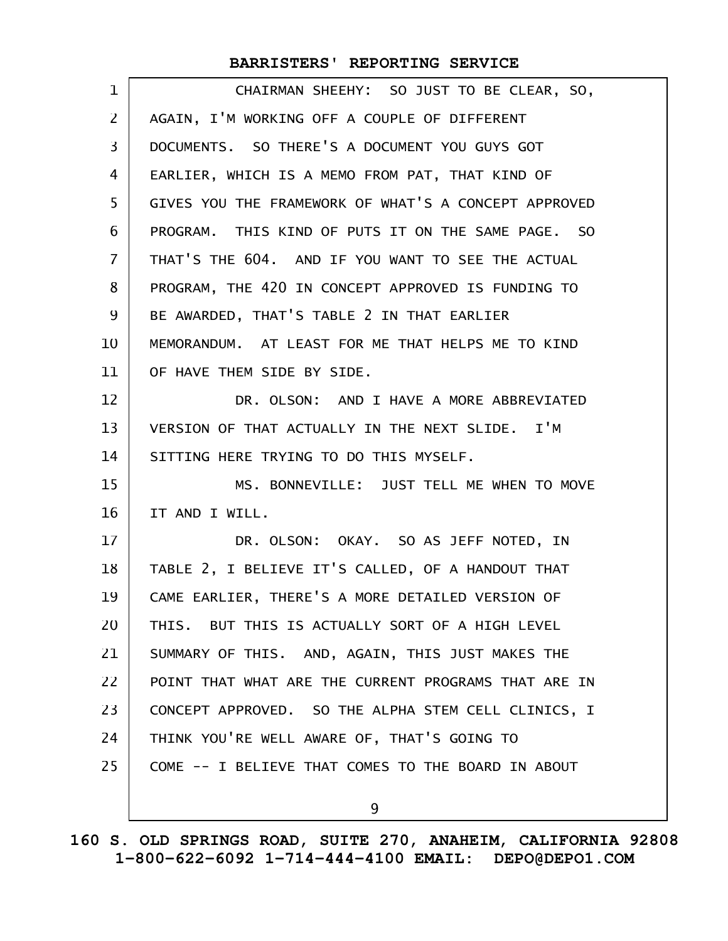| $\mathbf 1$       | CHAIRMAN SHEEHY: SO JUST TO BE CLEAR, SO,            |
|-------------------|------------------------------------------------------|
| $\overline{2}$    | AGAIN, I'M WORKING OFF A COUPLE OF DIFFERENT         |
| 3                 | DOCUMENTS. SO THERE'S A DOCUMENT YOU GUYS GOT        |
| 4                 | EARLIER, WHICH IS A MEMO FROM PAT, THAT KIND OF      |
| 5                 | GIVES YOU THE FRAMEWORK OF WHAT'S A CONCEPT APPROVED |
| 6                 | PROGRAM. THIS KIND OF PUTS IT ON THE SAME PAGE. SO   |
| $\overline{7}$    | THAT'S THE 604. AND IF YOU WANT TO SEE THE ACTUAL    |
| 8                 | PROGRAM, THE 420 IN CONCEPT APPROVED IS FUNDING TO   |
| 9                 | BE AWARDED, THAT'S TABLE 2 IN THAT EARLIER           |
| 10                | MEMORANDUM. AT LEAST FOR ME THAT HELPS ME TO KIND    |
| 11                | OF HAVE THEM SIDE BY SIDE.                           |
| $12 \overline{ }$ | DR. OLSON: AND I HAVE A MORE ABBREVIATED             |
| 13                | VERSION OF THAT ACTUALLY IN THE NEXT SLIDE. I'M      |
| 14                | SITTING HERE TRYING TO DO THIS MYSELF.               |
| 15                | MS. BONNEVILLE: JUST TELL ME WHEN TO MOVE            |
| 16                | IT AND I WILL.                                       |
| 17                | DR. OLSON: OKAY. SO AS JEFF NOTED, IN                |
| 18                | TABLE 2, I BELIEVE IT'S CALLED, OF A HANDOUT THAT    |
| 19                | CAME EARLIER, THERE'S A MORE DETAILED VERSION OF     |
| 20                | THIS. BUT THIS IS ACTUALLY SORT OF A HIGH LEVEL      |
| 21                | SUMMARY OF THIS. AND, AGAIN, THIS JUST MAKES THE     |
| 22                | POINT THAT WHAT ARE THE CURRENT PROGRAMS THAT ARE IN |
| 23                | CONCEPT APPROVED. SO THE ALPHA STEM CELL CLINICS, I  |
| 24                | THINK YOU'RE WELL AWARE OF, THAT'S GOING TO          |
| 25                | COME -- I BELIEVE THAT COMES TO THE BOARD IN ABOUT   |
|                   |                                                      |
|                   |                                                      |
|                   | 9                                                    |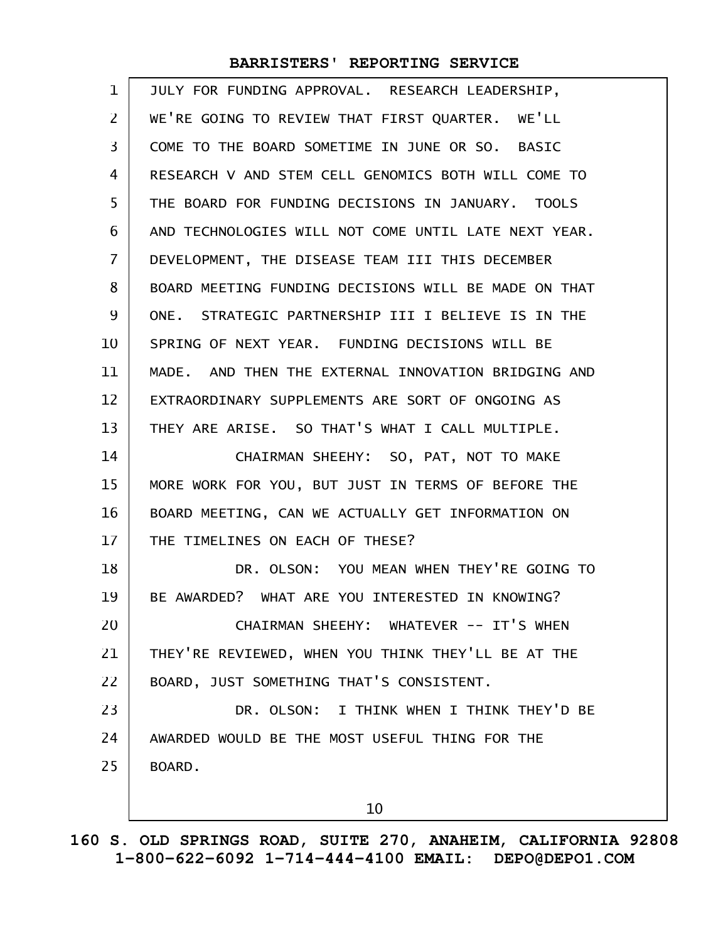| $\mathbf 1$    | JULY FOR FUNDING APPROVAL. RESEARCH LEADERSHIP,      |
|----------------|------------------------------------------------------|
| $\overline{2}$ | WE'RE GOING TO REVIEW THAT FIRST QUARTER. WE'LL      |
| 3              | COME TO THE BOARD SOMETIME IN JUNE OR SO. BASIC      |
| 4              | RESEARCH V AND STEM CELL GENOMICS BOTH WILL COME TO  |
| 5              | THE BOARD FOR FUNDING DECISIONS IN JANUARY. TOOLS    |
| 6              | AND TECHNOLOGIES WILL NOT COME UNTIL LATE NEXT YEAR. |
| 7              | DEVELOPMENT, THE DISEASE TEAM III THIS DECEMBER      |
| 8              | BOARD MEETING FUNDING DECISIONS WILL BE MADE ON THAT |
| 9              | ONE. STRATEGIC PARTNERSHIP III I BELIEVE IS IN THE   |
| 10             | SPRING OF NEXT YEAR. FUNDING DECISIONS WILL BE       |
| 11             | MADE. AND THEN THE EXTERNAL INNOVATION BRIDGING AND  |
| 12             | EXTRAORDINARY SUPPLEMENTS ARE SORT OF ONGOING AS     |
| 13             | THEY ARE ARISE. SO THAT'S WHAT I CALL MULTIPLE.      |
| 14             | CHAIRMAN SHEEHY: SO, PAT, NOT TO MAKE                |
| 15             | MORE WORK FOR YOU, BUT JUST IN TERMS OF BEFORE THE   |
| 16             | BOARD MEETING, CAN WE ACTUALLY GET INFORMATION ON    |
| 17             | THE TIMELINES ON EACH OF THESE?                      |
| 18             | DR. OLSON: YOU MEAN WHEN THEY'RE GOING TO            |
| 19             | BE AWARDED? WHAT ARE YOU INTERESTED IN KNOWING?      |
| 20             | CHAIRMAN SHEEHY: WHATEVER -- IT'S WHEN               |
| 21             | THEY'RE REVIEWED, WHEN YOU THINK THEY'LL BE AT THE   |
| 22             | BOARD, JUST SOMETHING THAT'S CONSISTENT.             |
| 23             | DR. OLSON: I THINK WHEN I THINK THEY'D BE            |
| 24             | AWARDED WOULD BE THE MOST USEFUL THING FOR THE       |
| 25             | BOARD.                                               |
|                | 10                                                   |
|                |                                                      |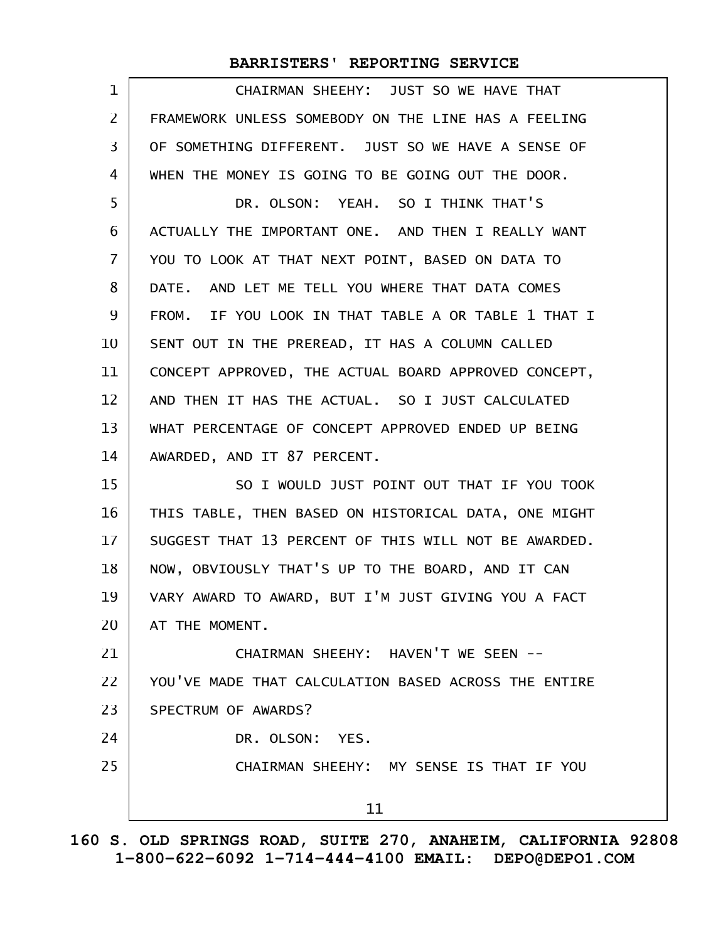| $\mathbf 1$    | CHAIRMAN SHEEHY: JUST SO WE HAVE THAT                |
|----------------|------------------------------------------------------|
| $\mathsf{Z}$   | FRAMEWORK UNLESS SOMEBODY ON THE LINE HAS A FEELING  |
| 3              | OF SOMETHING DIFFERENT. JUST SO WE HAVE A SENSE OF   |
| 4              | WHEN THE MONEY IS GOING TO BE GOING OUT THE DOOR.    |
| 5              | DR. OLSON: YEAH. SO I THINK THAT'S                   |
| 6              | ACTUALLY THE IMPORTANT ONE. AND THEN I REALLY WANT   |
| $\overline{7}$ | YOU TO LOOK AT THAT NEXT POINT, BASED ON DATA TO     |
| 8              | DATE. AND LET ME TELL YOU WHERE THAT DATA COMES      |
| 9              | FROM. IF YOU LOOK IN THAT TABLE A OR TABLE 1 THAT I  |
| 10             | SENT OUT IN THE PREREAD, IT HAS A COLUMN CALLED      |
| 11             | CONCEPT APPROVED, THE ACTUAL BOARD APPROVED CONCEPT, |
| 12             | AND THEN IT HAS THE ACTUAL. SO I JUST CALCULATED     |
| 13             | WHAT PERCENTAGE OF CONCEPT APPROVED ENDED UP BEING   |
| 14             | AWARDED, AND IT 87 PERCENT.                          |
| 15             | SO I WOULD JUST POINT OUT THAT IF YOU TOOK           |
| 16             | THIS TABLE, THEN BASED ON HISTORICAL DATA, ONE MIGHT |
| 17             | SUGGEST THAT 13 PERCENT OF THIS WILL NOT BE AWARDED. |
| 18             | NOW, OBVIOUSLY THAT'S UP TO THE BOARD, AND IT CAN    |
| 19             | VARY AWARD TO AWARD, BUT I'M JUST GIVING YOU A FACT  |
| 20             | AT THE MOMENT.                                       |
| 21             | CHAIRMAN SHEEHY: HAVEN'T WE SEEN --                  |
| 22             | YOU'VE MADE THAT CALCULATION BASED ACROSS THE ENTIRE |
| 23             | SPECTRUM OF AWARDS?                                  |
| 24             | DR. OLSON: YES.                                      |
| 25             | CHAIRMAN SHEEHY: MY SENSE IS THAT IF YOU             |
|                | 11                                                   |
|                |                                                      |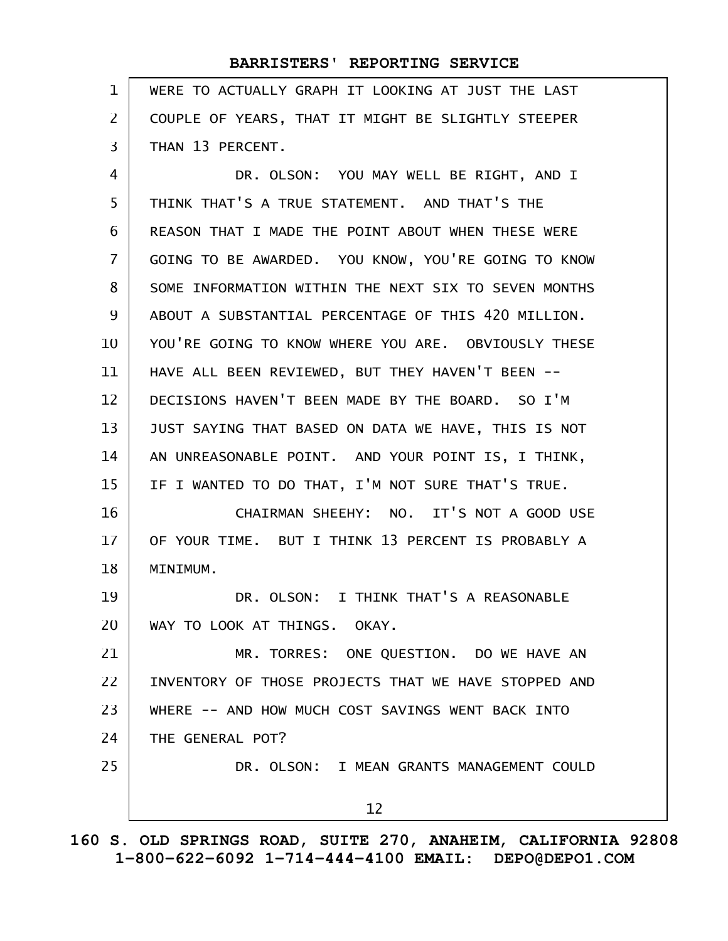| $\mathbf 1$    | WERE TO ACTUALLY GRAPH IT LOOKING AT JUST THE LAST   |
|----------------|------------------------------------------------------|
| 2              | COUPLE OF YEARS, THAT IT MIGHT BE SLIGHTLY STEEPER   |
| 3              | THAN 13 PERCENT.                                     |
| 4              | DR. OLSON: YOU MAY WELL BE RIGHT, AND I              |
| 5              | THINK THAT'S A TRUE STATEMENT. AND THAT'S THE        |
| 6              | REASON THAT I MADE THE POINT ABOUT WHEN THESE WERE   |
| $\overline{7}$ | GOING TO BE AWARDED. YOU KNOW, YOU'RE GOING TO KNOW  |
| 8              | SOME INFORMATION WITHIN THE NEXT SIX TO SEVEN MONTHS |
| 9              | ABOUT A SUBSTANTIAL PERCENTAGE OF THIS 420 MILLION.  |
| 10             | YOU'RE GOING TO KNOW WHERE YOU ARE. OBVIOUSLY THESE  |
| 11             | HAVE ALL BEEN REVIEWED, BUT THEY HAVEN'T BEEN --     |
| 12             | DECISIONS HAVEN'T BEEN MADE BY THE BOARD. SO I'M     |
| 13             | JUST SAYING THAT BASED ON DATA WE HAVE, THIS IS NOT  |
| 14             | AN UNREASONABLE POINT. AND YOUR POINT IS, I THINK,   |
| 15             | IF I WANTED TO DO THAT, I'M NOT SURE THAT'S TRUE.    |
| 16             | CHAIRMAN SHEEHY: NO. IT'S NOT A GOOD USE             |
| 17             | OF YOUR TIME. BUT I THINK 13 PERCENT IS PROBABLY A   |
| 18             | MINIMUM.                                             |
| 19             | DR. OLSON: I THINK THAT'S A REASONABLE               |
| 20             | WAY TO LOOK AT THINGS. OKAY.                         |
| 21             | MR. TORRES: ONE QUESTION. DO WE HAVE AN              |
| 22             | INVENTORY OF THOSE PROJECTS THAT WE HAVE STOPPED AND |
| 23             | WHERE -- AND HOW MUCH COST SAVINGS WENT BACK INTO    |
| 24             | THE GENERAL POT?                                     |
| 25             | DR. OLSON: I MEAN GRANTS MANAGEMENT COULD            |
|                | 12                                                   |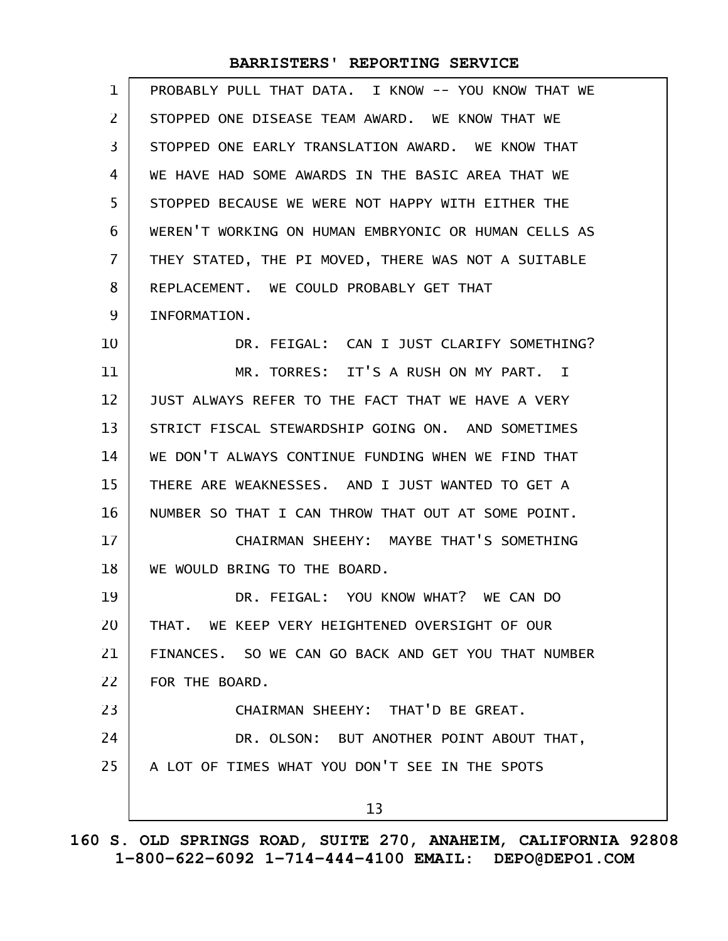| 1              | PROBABLY PULL THAT DATA. I KNOW -- YOU KNOW THAT WE  |
|----------------|------------------------------------------------------|
| 2              | STOPPED ONE DISEASE TEAM AWARD. WE KNOW THAT WE      |
| 3              | STOPPED ONE EARLY TRANSLATION AWARD. WE KNOW THAT    |
| 4              | WE HAVE HAD SOME AWARDS IN THE BASIC AREA THAT WE    |
| 5              | STOPPED BECAUSE WE WERE NOT HAPPY WITH EITHER THE    |
| 6              | WEREN'T WORKING ON HUMAN EMBRYONIC OR HUMAN CELLS AS |
| $\overline{7}$ | THEY STATED, THE PI MOVED, THERE WAS NOT A SUITABLE  |
| 8              | REPLACEMENT. WE COULD PROBABLY GET THAT              |
| 9              | INFORMATION.                                         |
| 10             | DR. FEIGAL: CAN I JUST CLARIFY SOMETHING?            |
| 11             | MR. TORRES: IT'S A RUSH ON MY PART. I                |
| 12             | JUST ALWAYS REFER TO THE FACT THAT WE HAVE A VERY    |
| 13             | STRICT FISCAL STEWARDSHIP GOING ON. AND SOMETIMES    |
| 14             | WE DON'T ALWAYS CONTINUE FUNDING WHEN WE FIND THAT   |
| 15             | THERE ARE WEAKNESSES. AND I JUST WANTED TO GET A     |
| 16             | NUMBER SO THAT I CAN THROW THAT OUT AT SOME POINT.   |
| 17             | CHAIRMAN SHEEHY: MAYBE THAT'S SOMETHING              |
| 18             | WE WOULD BRING TO THE BOARD.                         |
| 19             | DR. FEIGAL: YOU KNOW WHAT? WE CAN DO                 |
| 20             | THAT. WE KEEP VERY HEIGHTENED OVERSIGHT OF OUR       |
| 21             | FINANCES. SO WE CAN GO BACK AND GET YOU THAT NUMBER  |
| 22             | FOR THE BOARD.                                       |
| 23             | CHAIRMAN SHEEHY: THAT'D BE GREAT.                    |
| 24             | DR. OLSON: BUT ANOTHER POINT ABOUT THAT,             |
| 25             | A LOT OF TIMES WHAT YOU DON'T SEE IN THE SPOTS       |
|                | 13                                                   |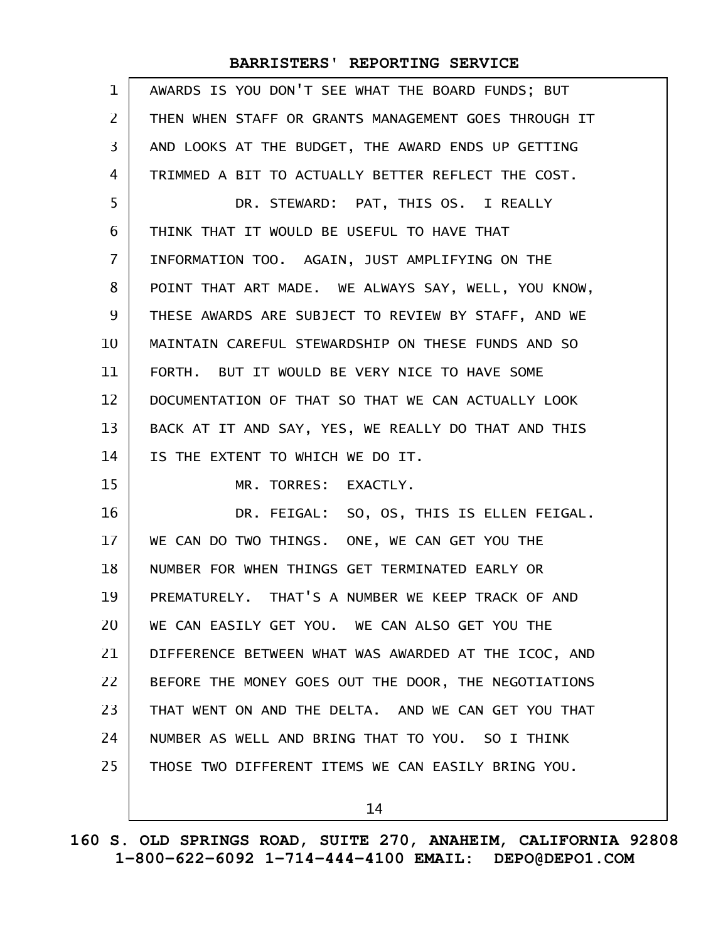| $\mathbf{1}$   | AWARDS IS YOU DON'T SEE WHAT THE BOARD FUNDS; BUT    |
|----------------|------------------------------------------------------|
| 2              | THEN WHEN STAFF OR GRANTS MANAGEMENT GOES THROUGH IT |
| 3              | AND LOOKS AT THE BUDGET, THE AWARD ENDS UP GETTING   |
| 4              | TRIMMED A BIT TO ACTUALLY BETTER REFLECT THE COST.   |
| 5              | DR. STEWARD: PAT, THIS OS. I REALLY                  |
| 6              | THINK THAT IT WOULD BE USEFUL TO HAVE THAT           |
| $\overline{7}$ | INFORMATION TOO. AGAIN, JUST AMPLIFYING ON THE       |
| 8              | POINT THAT ART MADE. WE ALWAYS SAY, WELL, YOU KNOW,  |
| 9              | THESE AWARDS ARE SUBJECT TO REVIEW BY STAFF, AND WE  |
| 10             | MAINTAIN CAREFUL STEWARDSHIP ON THESE FUNDS AND SO   |
| 11             | FORTH. BUT IT WOULD BE VERY NICE TO HAVE SOME        |
| 12             | DOCUMENTATION OF THAT SO THAT WE CAN ACTUALLY LOOK   |
| 13             | BACK AT IT AND SAY, YES, WE REALLY DO THAT AND THIS  |
| 14             | IS THE EXTENT TO WHICH WE DO IT.                     |
| 15             | MR. TORRES: EXACTLY.                                 |
| 16             | DR. FEIGAL: SO, OS, THIS IS ELLEN FEIGAL.            |
| 17             | WE CAN DO TWO THINGS. ONE, WE CAN GET YOU THE        |
| 18             | NUMBER FOR WHEN THINGS GET TERMINATED EARLY OR       |
| 19             | PREMATURELY. THAT'S A NUMBER WE KEEP TRACK OF AND    |
| 20             | WE CAN EASILY GET YOU. WE CAN ALSO GET YOU THE       |
| 21             | DIFFERENCE BETWEEN WHAT WAS AWARDED AT THE ICOC, AND |
| 22             | BEFORE THE MONEY GOES OUT THE DOOR, THE NEGOTIATIONS |
| 23             | THAT WENT ON AND THE DELTA. AND WE CAN GET YOU THAT  |
| 24             | NUMBER AS WELL AND BRING THAT TO YOU. SO I THINK     |
| 25             | THOSE TWO DIFFERENT ITEMS WE CAN EASILY BRING YOU.   |
|                | 14                                                   |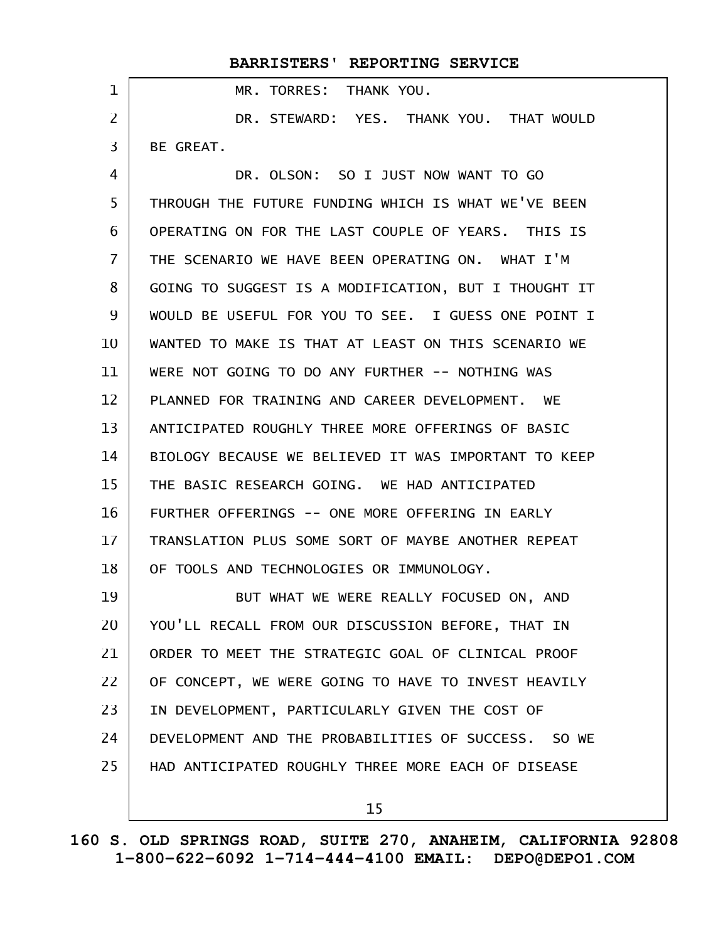|                   | BARRISTERS' REPORTING SERVICE                             |
|-------------------|-----------------------------------------------------------|
| $\mathbf{1}$      | MR. TORRES: THANK YOU.                                    |
| $\overline{2}$    | DR. STEWARD: YES. THANK YOU. THAT WOULD                   |
| 3                 | BE GREAT.                                                 |
| 4                 | DR. OLSON: SO I JUST NOW WANT TO GO                       |
| 5                 | THROUGH THE FUTURE FUNDING WHICH IS WHAT WE'VE BEEN       |
| 6                 | OPERATING ON FOR THE LAST COUPLE OF YEARS. THIS IS        |
| $\overline{7}$    | THE SCENARIO WE HAVE BEEN OPERATING ON. WHAT I'M          |
| 8                 | GOING TO SUGGEST IS A MODIFICATION, BUT I THOUGHT IT      |
| 9                 | WOULD BE USEFUL FOR YOU TO SEE. I GUESS ONE POINT I       |
| 10                | WANTED TO MAKE IS THAT AT LEAST ON THIS SCENARIO WE       |
| 11                | WERE NOT GOING TO DO ANY FURTHER -- NOTHING WAS           |
| $12 \overline{ }$ | PLANNED FOR TRAINING AND CAREER DEVELOPMENT.<br><b>WE</b> |
| 13                | ANTICIPATED ROUGHLY THREE MORE OFFERINGS OF BASIC         |
| 14                | BIOLOGY BECAUSE WE BELIEVED IT WAS IMPORTANT TO KEEP      |
| 15                | THE BASIC RESEARCH GOING. WE HAD ANTICIPATED              |
| 16                | FURTHER OFFERINGS -- ONE MORE OFFERING IN EARLY           |
| 17                | TRANSLATION PLUS SOME SORT OF MAYBE ANOTHER REPEAT        |
| 18                | OF TOOLS AND TECHNOLOGIES OR IMMUNOLOGY.                  |
| 19                | BUT WHAT WE WERE REALLY FOCUSED ON, AND                   |
| 20                | YOU'LL RECALL FROM OUR DISCUSSION BEFORE, THAT IN         |
| 21                | ORDER TO MEET THE STRATEGIC GOAL OF CLINICAL PROOF        |
| 22                | OF CONCEPT, WE WERE GOING TO HAVE TO INVEST HEAVILY       |
| 23                | IN DEVELOPMENT, PARTICULARLY GIVEN THE COST OF            |
| 24                | DEVELOPMENT AND THE PROBABILITIES OF SUCCESS. SO WE       |
| 25                | HAD ANTICIPATED ROUGHLY THREE MORE EACH OF DISEASE        |
|                   | 15                                                        |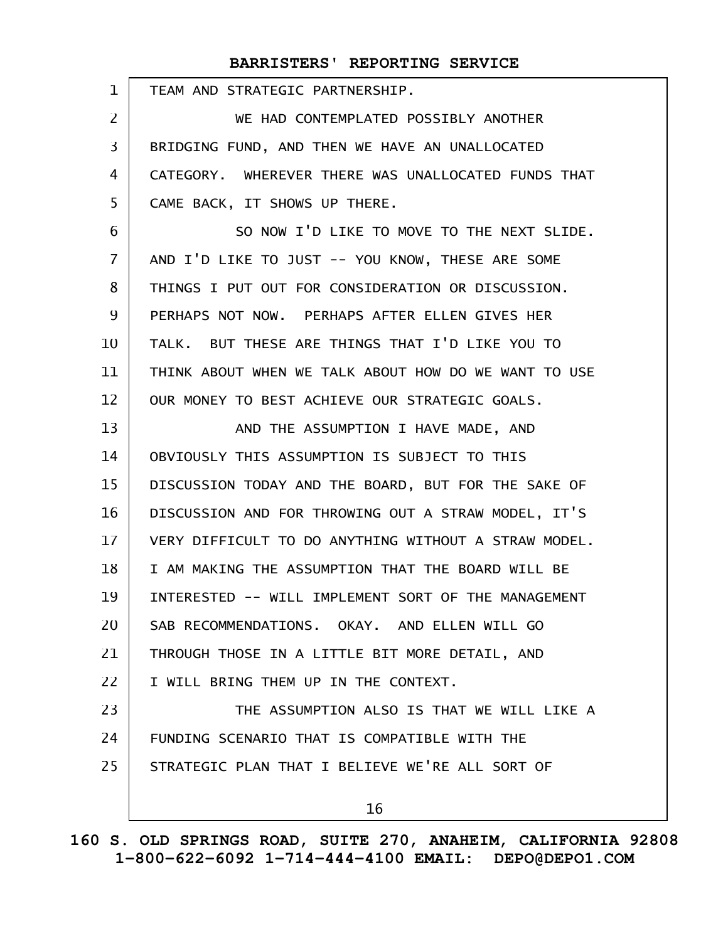| $\mathbf{1}$   | TEAM AND STRATEGIC PARTNERSHIP.                      |
|----------------|------------------------------------------------------|
| 2              | WE HAD CONTEMPLATED POSSIBLY ANOTHER                 |
| 3              | BRIDGING FUND, AND THEN WE HAVE AN UNALLOCATED       |
| 4              | CATEGORY. WHEREVER THERE WAS UNALLOCATED FUNDS THAT  |
| 5              | CAME BACK, IT SHOWS UP THERE.                        |
| 6              | SO NOW I'D LIKE TO MOVE TO THE NEXT SLIDE.           |
| $\overline{7}$ | AND I'D LIKE TO JUST -- YOU KNOW, THESE ARE SOME     |
| 8              | THINGS I PUT OUT FOR CONSIDERATION OR DISCUSSION.    |
| 9              | PERHAPS NOT NOW. PERHAPS AFTER ELLEN GIVES HER       |
| 10             | TALK. BUT THESE ARE THINGS THAT I'D LIKE YOU TO      |
| 11             | THINK ABOUT WHEN WE TALK ABOUT HOW DO WE WANT TO USE |
| 12             | OUR MONEY TO BEST ACHIEVE OUR STRATEGIC GOALS.       |
| 13             | AND THE ASSUMPTION I HAVE MADE, AND                  |
| 14             | OBVIOUSLY THIS ASSUMPTION IS SUBJECT TO THIS         |
| 15             | DISCUSSION TODAY AND THE BOARD, BUT FOR THE SAKE OF  |
| 16             | DISCUSSION AND FOR THROWING OUT A STRAW MODEL, IT'S  |
| 17             | VERY DIFFICULT TO DO ANYTHING WITHOUT A STRAW MODEL. |
| 18             | I AM MAKING THE ASSUMPTION THAT THE BOARD WILL BE    |
| 19             | INTERESTED -- WILL IMPLEMENT SORT OF THE MANAGEMENT  |
| 20             | SAB RECOMMENDATIONS. OKAY. AND ELLEN WILL GO         |
| 21             | THROUGH THOSE IN A LITTLE BIT MORE DETAIL, AND       |
| 22             | I WILL BRING THEM UP IN THE CONTEXT.                 |
| 23             | THE ASSUMPTION ALSO IS THAT WE WILL LIKE A           |
| 24             | FUNDING SCENARIO THAT IS COMPATIBLE WITH THE         |
| 25             | STRATEGIC PLAN THAT I BELIEVE WE'RE ALL SORT OF      |
|                | 16                                                   |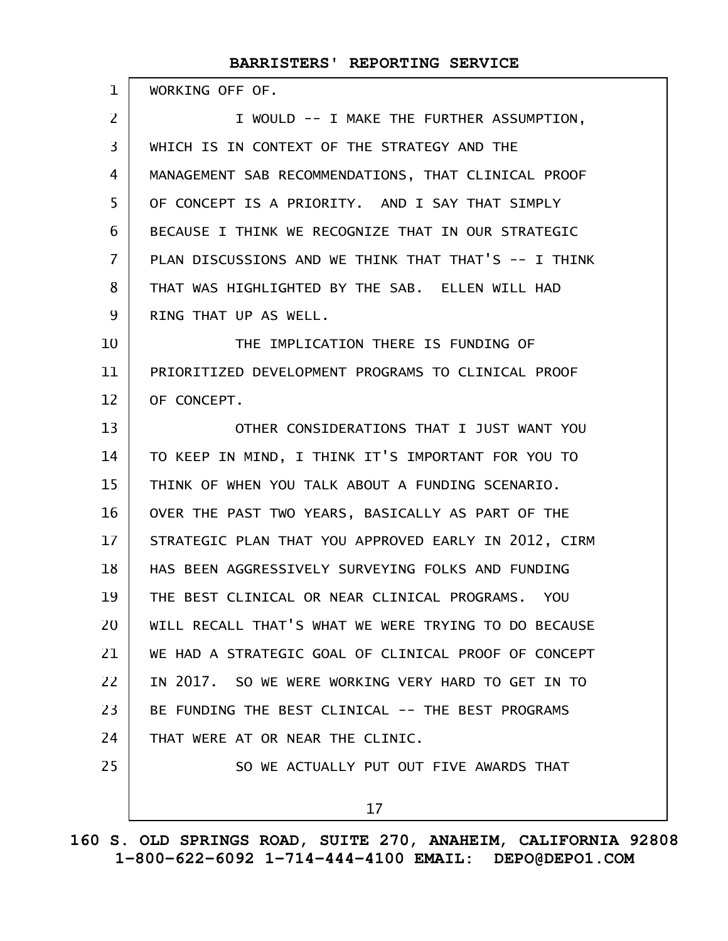| 1              | WORKING OFF OF.                                      |
|----------------|------------------------------------------------------|
| $\overline{2}$ | I WOULD -- I MAKE THE FURTHER ASSUMPTION,            |
| $\overline{3}$ | WHICH IS IN CONTEXT OF THE STRATEGY AND THE          |
| 4              | MANAGEMENT SAB RECOMMENDATIONS, THAT CLINICAL PROOF  |
| 5              | OF CONCEPT IS A PRIORITY. AND I SAY THAT SIMPLY      |
| 6              | BECAUSE I THINK WE RECOGNIZE THAT IN OUR STRATEGIC   |
| $\overline{7}$ | PLAN DISCUSSIONS AND WE THINK THAT THAT'S -- I THINK |
| 8              | THAT WAS HIGHLIGHTED BY THE SAB. ELLEN WILL HAD      |
| 9              | RING THAT UP AS WELL.                                |
| 10             | THE IMPLICATION THERE IS FUNDING OF                  |
| 11             | PRIORITIZED DEVELOPMENT PROGRAMS TO CLINICAL PROOF   |
| 12             | OF CONCEPT.                                          |
| 13             | OTHER CONSIDERATIONS THAT I JUST WANT YOU            |
| 14             | TO KEEP IN MIND, I THINK IT'S IMPORTANT FOR YOU TO   |
| 15             | THINK OF WHEN YOU TALK ABOUT A FUNDING SCENARIO.     |
| 16             | OVER THE PAST TWO YEARS, BASICALLY AS PART OF THE    |
| 17             | STRATEGIC PLAN THAT YOU APPROVED EARLY IN 2012, CIRM |
| 18             | HAS BEEN AGGRESSIVELY SURVEYING FOLKS AND FUNDING    |
| 19             | THE BEST CLINICAL OR NEAR CLINICAL PROGRAMS. YOU     |
| 20             | WILL RECALL THAT'S WHAT WE WERE TRYING TO DO BECAUSE |
| 21             | WE HAD A STRATEGIC GOAL OF CLINICAL PROOF OF CONCEPT |
| 22             | IN 2017. SO WE WERE WORKING VERY HARD TO GET IN TO   |
| 23             | BE FUNDING THE BEST CLINICAL -- THE BEST PROGRAMS    |
| 24             | THAT WERE AT OR NEAR THE CLINIC.                     |
| 25             | SO WE ACTUALLY PUT OUT FIVE AWARDS THAT              |
|                | 17                                                   |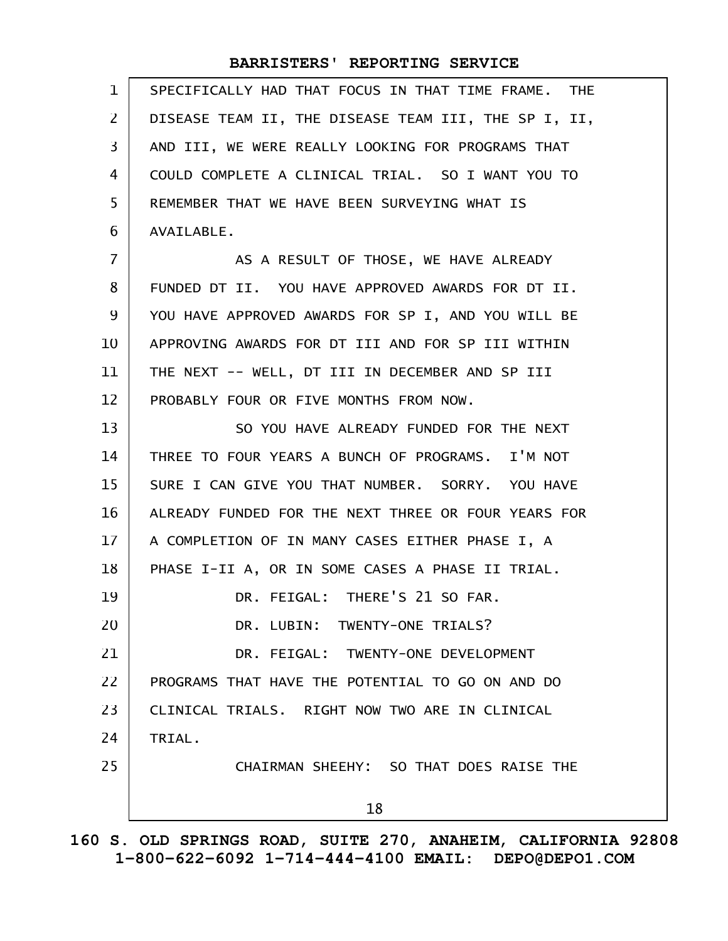| $\mathbf{1}$    | SPECIFICALLY HAD THAT FOCUS IN THAT TIME FRAME. THE  |
|-----------------|------------------------------------------------------|
| $\overline{2}$  | DISEASE TEAM II, THE DISEASE TEAM III, THE SP I, II, |
| 3               | AND III, WE WERE REALLY LOOKING FOR PROGRAMS THAT    |
| 4               | COULD COMPLETE A CLINICAL TRIAL. SO I WANT YOU TO    |
| 5               | REMEMBER THAT WE HAVE BEEN SURVEYING WHAT IS         |
| 6               | AVAILABLE.                                           |
| $\overline{7}$  | AS A RESULT OF THOSE, WE HAVE ALREADY                |
| 8               | FUNDED DT II. YOU HAVE APPROVED AWARDS FOR DT II.    |
| 9               | YOU HAVE APPROVED AWARDS FOR SP I, AND YOU WILL BE   |
| 10              | APPROVING AWARDS FOR DT III AND FOR SP III WITHIN    |
| 11              | THE NEXT -- WELL, DT III IN DECEMBER AND SP III      |
| 12              | PROBABLY FOUR OR FIVE MONTHS FROM NOW.               |
| 13              | SO YOU HAVE ALREADY FUNDED FOR THE NEXT              |
| 14              | THREE TO FOUR YEARS A BUNCH OF PROGRAMS. I'M NOT     |
| 15              | SURE I CAN GIVE YOU THAT NUMBER. SORRY. YOU HAVE     |
| 16              | ALREADY FUNDED FOR THE NEXT THREE OR FOUR YEARS FOR  |
| 17 <sup>2</sup> | A COMPLETION OF IN MANY CASES EITHER PHASE I, A      |
| 18              | PHASE I-II A, OR IN SOME CASES A PHASE II TRIAL.     |
| 19              | DR. FEIGAL: THERE'S 21 SO FAR.                       |
| 20              | DR. LUBIN: TWENTY-ONE TRIALS?                        |
| 21              | DR. FEIGAL: TWENTY-ONE DEVELOPMENT                   |
| 22              | PROGRAMS THAT HAVE THE POTENTIAL TO GO ON AND DO     |
| 23              | CLINICAL TRIALS. RIGHT NOW TWO ARE IN CLINICAL       |
| 24              | TRIAL.                                               |
| 25              | CHAIRMAN SHEEHY: SO THAT DOES RAISE THE              |
|                 | 18                                                   |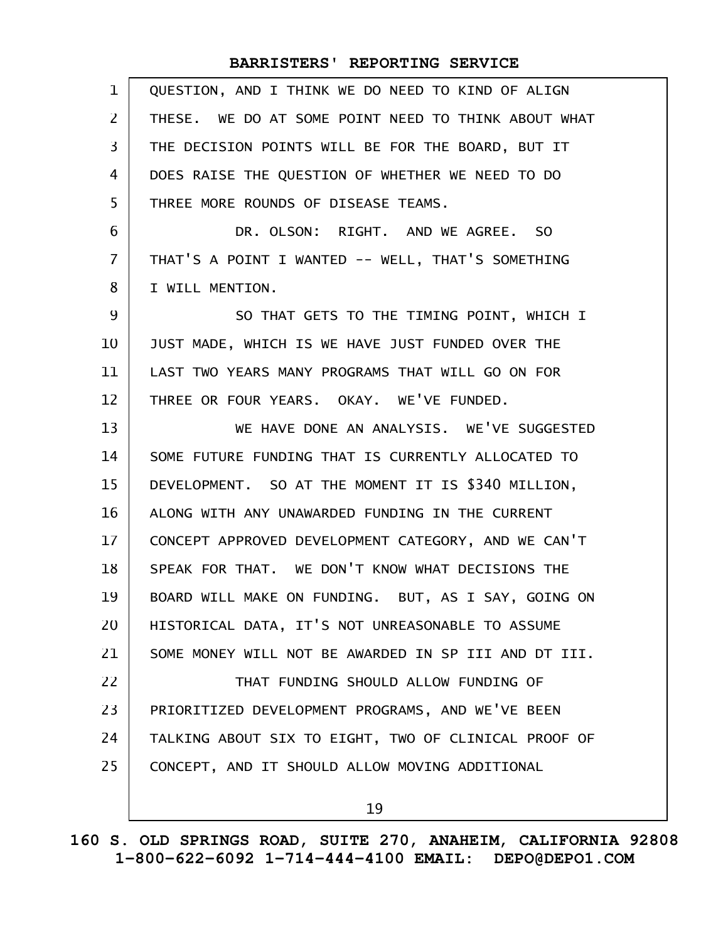| $\mathbf{1}$   | QUESTION, AND I THINK WE DO NEED TO KIND OF ALIGN    |
|----------------|------------------------------------------------------|
| $\overline{2}$ | THESE. WE DO AT SOME POINT NEED TO THINK ABOUT WHAT  |
| 3              | THE DECISION POINTS WILL BE FOR THE BOARD, BUT IT    |
| 4              | DOES RAISE THE QUESTION OF WHETHER WE NEED TO DO     |
| 5              | THREE MORE ROUNDS OF DISEASE TEAMS.                  |
| 6              | DR. OLSON: RIGHT. AND WE AGREE. SO                   |
| $\overline{7}$ | THAT'S A POINT I WANTED -- WELL, THAT'S SOMETHING    |
| 8              | I WILL MENTION.                                      |
| 9              | SO THAT GETS TO THE TIMING POINT, WHICH I            |
| 10             | JUST MADE, WHICH IS WE HAVE JUST FUNDED OVER THE     |
| 11             | LAST TWO YEARS MANY PROGRAMS THAT WILL GO ON FOR     |
| 12             | THREE OR FOUR YEARS. OKAY. WE'VE FUNDED.             |
| 13             | WE HAVE DONE AN ANALYSIS. WE'VE SUGGESTED            |
| 14             | SOME FUTURE FUNDING THAT IS CURRENTLY ALLOCATED TO   |
| 15             | DEVELOPMENT. SO AT THE MOMENT IT IS \$340 MILLION,   |
| 16             | ALONG WITH ANY UNAWARDED FUNDING IN THE CURRENT      |
| 17             | CONCEPT APPROVED DEVELOPMENT CATEGORY, AND WE CAN'T  |
| 18             | SPEAK FOR THAT. WE DON'T KNOW WHAT DECISIONS THE     |
| 19             | BOARD WILL MAKE ON FUNDING. BUT, AS I SAY, GOING ON  |
| 20             | HISTORICAL DATA, IT'S NOT UNREASONABLE TO ASSUME     |
| 21             | SOME MONEY WILL NOT BE AWARDED IN SP III AND DT III. |
| 22             | THAT FUNDING SHOULD ALLOW FUNDING OF                 |
| 23             | PRIORITIZED DEVELOPMENT PROGRAMS, AND WE'VE BEEN     |
| 24             | TALKING ABOUT SIX TO EIGHT, TWO OF CLINICAL PROOF OF |
| 25             | CONCEPT, AND IT SHOULD ALLOW MOVING ADDITIONAL       |
|                | 19                                                   |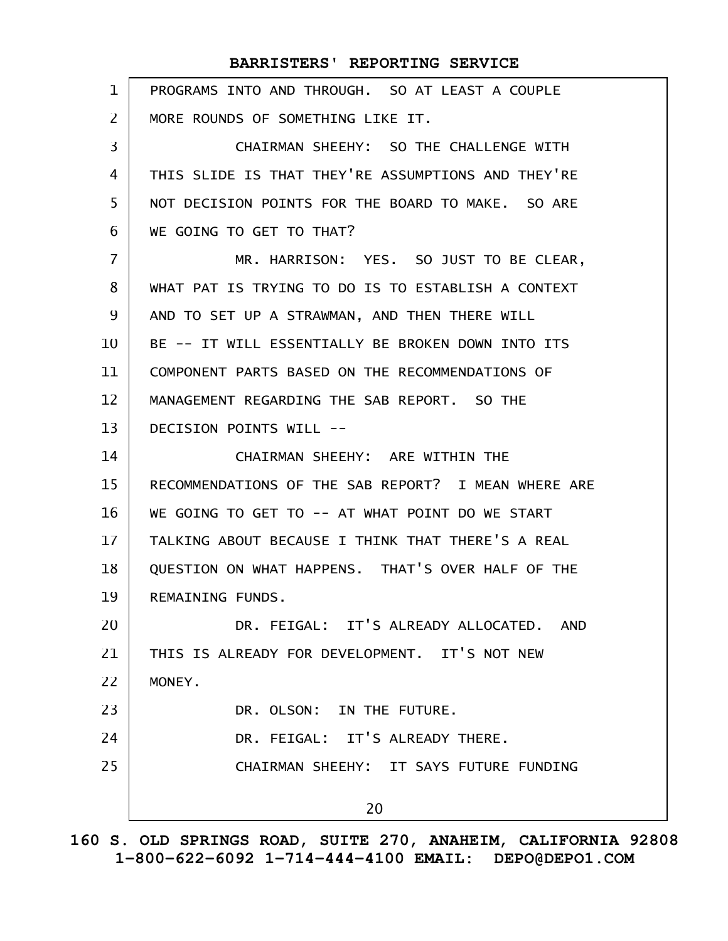| $\mathbf{1}$ | PROGRAMS INTO AND THROUGH. SO AT LEAST A COUPLE     |
|--------------|-----------------------------------------------------|
| $\mathbf{Z}$ | MORE ROUNDS OF SOMETHING LIKE IT.                   |
| 3            | CHAIRMAN SHEEHY: SO THE CHALLENGE WITH              |
| 4            | THIS SLIDE IS THAT THEY'RE ASSUMPTIONS AND THEY'RE  |
| 5            | NOT DECISION POINTS FOR THE BOARD TO MAKE. SO ARE   |
| 6            | WE GOING TO GET TO THAT?                            |
| 7            | MR. HARRISON: YES. SO JUST TO BE CLEAR,             |
| 8            | WHAT PAT IS TRYING TO DO IS TO ESTABLISH A CONTEXT  |
| 9            | AND TO SET UP A STRAWMAN, AND THEN THERE WILL       |
| 10           | BE -- IT WILL ESSENTIALLY BE BROKEN DOWN INTO ITS   |
| 11           | COMPONENT PARTS BASED ON THE RECOMMENDATIONS OF     |
| 12           | MANAGEMENT REGARDING THE SAB REPORT. SO THE         |
| 13           | DECISION POINTS WILL --                             |
| 14           | CHAIRMAN SHEEHY: ARE WITHIN THE                     |
| 15           | RECOMMENDATIONS OF THE SAB REPORT? I MEAN WHERE ARE |
| 16           | WE GOING TO GET TO -- AT WHAT POINT DO WE START     |
| 17           | TALKING ABOUT BECAUSE I THINK THAT THERE'S A REAL   |
| 18           | QUESTION ON WHAT HAPPENS. THAT'S OVER HALF OF THE   |
| 19           | REMAINING FUNDS.                                    |
| 20           | DR. FEIGAL: IT'S ALREADY ALLOCATED. AND             |
| 21           | THIS IS ALREADY FOR DEVELOPMENT. IT'S NOT NEW       |
| 22           | MONEY.                                              |
| 23           | DR. OLSON: IN THE FUTURE.                           |
| 24           | DR. FEIGAL: IT'S ALREADY THERE.                     |
| 25           | CHAIRMAN SHEEHY: IT SAYS FUTURE FUNDING             |
|              | 20                                                  |
|              |                                                     |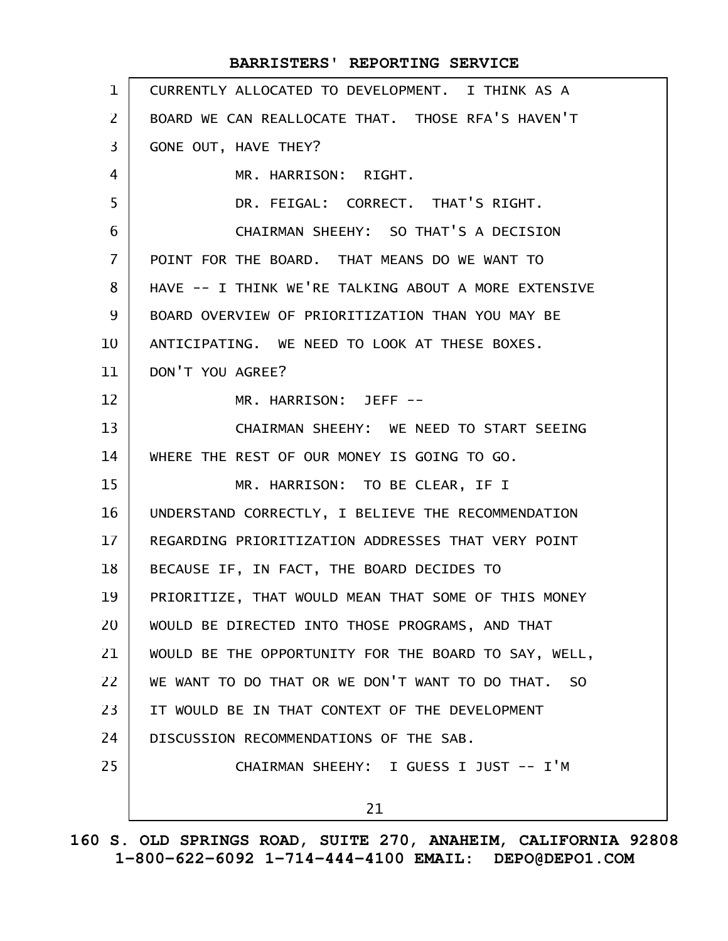| $\mathbf{1}$   | CURRENTLY ALLOCATED TO DEVELOPMENT. I THINK AS A     |
|----------------|------------------------------------------------------|
| $\overline{2}$ | BOARD WE CAN REALLOCATE THAT. THOSE RFA'S HAVEN'T    |
| 3              | GONE OUT, HAVE THEY?                                 |
| 4              | MR. HARRISON: RIGHT.                                 |
| 5              | DR. FEIGAL: CORRECT. THAT'S RIGHT.                   |
| 6              | CHAIRMAN SHEEHY: SO THAT'S A DECISION                |
| $\overline{7}$ | POINT FOR THE BOARD. THAT MEANS DO WE WANT TO        |
| 8              | HAVE -- I THINK WE'RE TALKING ABOUT A MORE EXTENSIVE |
| 9              | BOARD OVERVIEW OF PRIORITIZATION THAN YOU MAY BE     |
| 10             | ANTICIPATING. WE NEED TO LOOK AT THESE BOXES.        |
| 11             | DON'T YOU AGREE?                                     |
| 12             | MR. HARRISON: JEFF --                                |
| 13             | CHAIRMAN SHEEHY: WE NEED TO START SEEING             |
| 14             | WHERE THE REST OF OUR MONEY IS GOING TO GO.          |
| 15             | MR. HARRISON: TO BE CLEAR, IF I                      |
| 16             | UNDERSTAND CORRECTLY, I BELIEVE THE RECOMMENDATION   |
| 17             | REGARDING PRIORITIZATION ADDRESSES THAT VERY POINT   |
| 18             | BECAUSE IF, IN FACT, THE BOARD DECIDES TO            |
| 19             | PRIORITIZE, THAT WOULD MEAN THAT SOME OF THIS MONEY  |
| 20             | WOULD BE DIRECTED INTO THOSE PROGRAMS, AND THAT      |
| 21             | WOULD BE THE OPPORTUNITY FOR THE BOARD TO SAY, WELL, |
| 22             | WE WANT TO DO THAT OR WE DON'T WANT TO DO THAT. SO   |
| 23             | IT WOULD BE IN THAT CONTEXT OF THE DEVELOPMENT       |
| 24             | DISCUSSION RECOMMENDATIONS OF THE SAB.               |
| 25             | CHAIRMAN SHEEHY: I GUESS I JUST -- I'M               |
|                | 21                                                   |
|                |                                                      |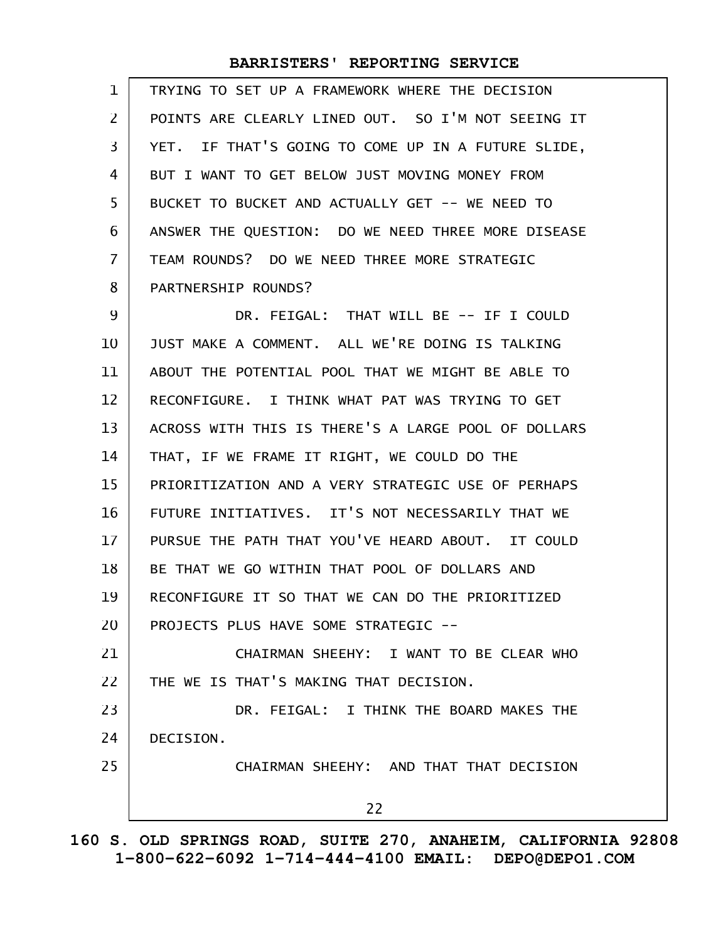| $\mathbf{1}$   | TRYING TO SET UP A FRAMEWORK WHERE THE DECISION     |
|----------------|-----------------------------------------------------|
| $\overline{2}$ | POINTS ARE CLEARLY LINED OUT. SO I'M NOT SEEING IT  |
| 3              | YET. IF THAT'S GOING TO COME UP IN A FUTURE SLIDE,  |
| 4              | BUT I WANT TO GET BELOW JUST MOVING MONEY FROM      |
| 5              | BUCKET TO BUCKET AND ACTUALLY GET -- WE NEED TO     |
| 6              | ANSWER THE QUESTION: DO WE NEED THREE MORE DISEASE  |
| $\overline{7}$ | TEAM ROUNDS? DO WE NEED THREE MORE STRATEGIC        |
| 8              | PARTNERSHIP ROUNDS?                                 |
| 9              | DR. FEIGAL: THAT WILL BE -- IF I COULD              |
| 10             | JUST MAKE A COMMENT. ALL WE'RE DOING IS TALKING     |
| 11             | ABOUT THE POTENTIAL POOL THAT WE MIGHT BE ABLE TO   |
| 12             | RECONFIGURE. I THINK WHAT PAT WAS TRYING TO GET     |
| 13             | ACROSS WITH THIS IS THERE'S A LARGE POOL OF DOLLARS |
| 14             | THAT, IF WE FRAME IT RIGHT, WE COULD DO THE         |
| 15             | PRIORITIZATION AND A VERY STRATEGIC USE OF PERHAPS  |
| 16             | FUTURE INITIATIVES. IT'S NOT NECESSARILY THAT WE    |
| 17             | PURSUE THE PATH THAT YOU'VE HEARD ABOUT. IT COULD   |
| 18             | BE THAT WE GO WITHIN THAT POOL OF DOLLARS AND       |
| 19             | RECONFIGURE IT SO THAT WE CAN DO THE PRIORITIZED    |
| 20             | PROJECTS PLUS HAVE SOME STRATEGIC --                |
| 21             | CHAIRMAN SHEEHY: I WANT TO BE CLEAR WHO             |
| 22             | THE WE IS THAT'S MAKING THAT DECISION.              |
| 23             | DR. FEIGAL: I THINK THE BOARD MAKES THE             |
| 24             | DECISION.                                           |
| 25             | CHAIRMAN SHEEHY: AND THAT THAT DECISION             |
|                | 22                                                  |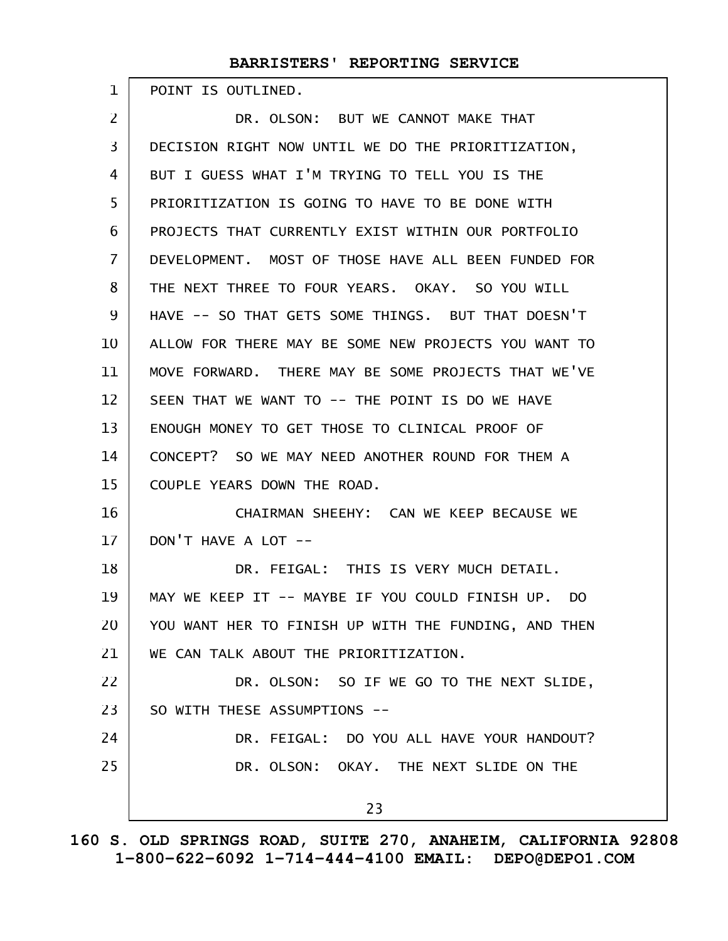POINT IS OUTLINED.

1

DR. OLSON: BUT WE CANNOT MAKE THAT DECISION RIGHT NOW UNTIL WE DO THE PRIORITIZATION, BUT I GUESS WHAT I'M TRYING TO TELL YOU IS THE PRIORITIZATION IS GOING TO HAVE TO BE DONE WITH PROJECTS THAT CURRENTLY EXIST WITHIN OUR PORTFOLIO DEVELOPMENT. MOST OF THOSE HAVE ALL BEEN FUNDED FOR THE NEXT THREE TO FOUR YEARS. OKAY. SO YOU WILL HAVE -- SO THAT GETS SOME THINGS. BUT THAT DOESN'T ALLOW FOR THERE MAY BE SOME NEW PROJECTS YOU WANT TO MOVE FORWARD. THERE MAY BE SOME PROJECTS THAT WE'VE SEEN THAT WE WANT TO -- THE POINT IS DO WE HAVE ENOUGH MONEY TO GET THOSE TO CLINICAL PROOF OF CONCEPT? SO WE MAY NEED ANOTHER ROUND FOR THEM A COUPLE YEARS DOWN THE ROAD. CHAIRMAN SHEEHY: CAN WE KEEP BECAUSE WE DON'T HAVE A LOT -- DR. FEIGAL: THIS IS VERY MUCH DETAIL. MAY WE KEEP IT -- MAYBE IF YOU COULD FINISH UP. DO YOU WANT HER TO FINISH UP WITH THE FUNDING, AND THEN WE CAN TALK ABOUT THE PRIORITIZATION. DR. OLSON: SO IF WE GO TO THE NEXT SLIDE, SO WITH THESE ASSUMPTIONS -- DR. FEIGAL: DO YOU ALL HAVE YOUR HANDOUT? DR. OLSON: OKAY. THE NEXT SLIDE ON THE 23 2 3 4 5 6 7 8 9 10 11 12 13 14 15 16 17 18 19 20 21 22 23 24 25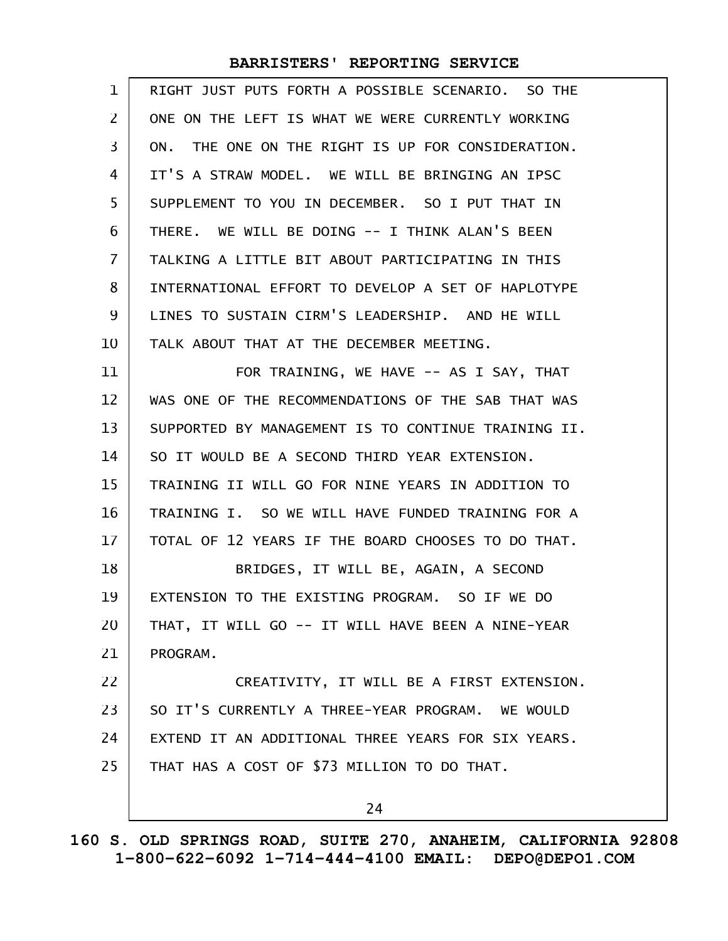| 1              | RIGHT JUST PUTS FORTH A POSSIBLE SCENARIO. SO THE   |
|----------------|-----------------------------------------------------|
| 2              | ONE ON THE LEFT IS WHAT WE WERE CURRENTLY WORKING   |
| 3              | ON. THE ONE ON THE RIGHT IS UP FOR CONSIDERATION.   |
| 4              | IT'S A STRAW MODEL. WE WILL BE BRINGING AN IPSC     |
| 5              | SUPPLEMENT TO YOU IN DECEMBER. SO I PUT THAT IN     |
| 6              | THERE. WE WILL BE DOING -- I THINK ALAN'S BEEN      |
| $\overline{7}$ | TALKING A LITTLE BIT ABOUT PARTICIPATING IN THIS    |
| 8              | INTERNATIONAL EFFORT TO DEVELOP A SET OF HAPLOTYPE  |
| 9              | LINES TO SUSTAIN CIRM'S LEADERSHIP. AND HE WILL     |
| 10             | TALK ABOUT THAT AT THE DECEMBER MEETING.            |
| 11             | FOR TRAINING, WE HAVE -- AS I SAY, THAT             |
| 12             | WAS ONE OF THE RECOMMENDATIONS OF THE SAB THAT WAS  |
| 13             | SUPPORTED BY MANAGEMENT IS TO CONTINUE TRAINING II. |
| 14             | SO IT WOULD BE A SECOND THIRD YEAR EXTENSION.       |
| 15             | TRAINING II WILL GO FOR NINE YEARS IN ADDITION TO   |
| 16             | TRAINING I. SO WE WILL HAVE FUNDED TRAINING FOR A   |
| 17             | TOTAL OF 12 YEARS IF THE BOARD CHOOSES TO DO THAT.  |
| 18             | BRIDGES, IT WILL BE, AGAIN, A SECOND                |
| 19             | EXTENSION TO THE EXISTING PROGRAM. SO IF WE DO      |
| 20             | THAT, IT WILL GO -- IT WILL HAVE BEEN A NINE-YEAR   |
| 21             | PROGRAM.                                            |
| 22             | CREATIVITY, IT WILL BE A FIRST EXTENSION.           |
| 23             | SO IT'S CURRENTLY A THREE-YEAR PROGRAM. WE WOULD    |
| 24             | EXTEND IT AN ADDITIONAL THREE YEARS FOR SIX YEARS.  |
| 25             | THAT HAS A COST OF \$73 MILLION TO DO THAT.         |
|                | 24                                                  |
|                |                                                     |

**160 S. OLD SPRINGS ROAD, SUITE 270, ANAHEIM, CALIFORNIA 92808 1-800-622-6092 1-714-444-4100 EMAIL: DEPO@DEPO1.COM**

 $\mathsf{I}$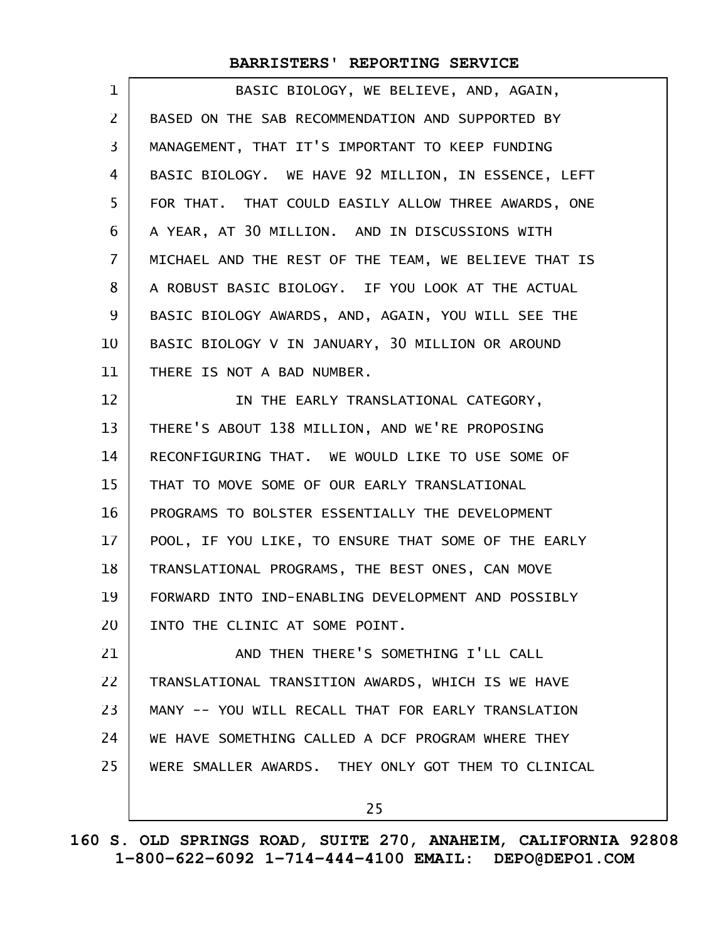| 1              | BASIC BIOLOGY, WE BELIEVE, AND, AGAIN,               |
|----------------|------------------------------------------------------|
| $\mathsf{Z}$   | BASED ON THE SAB RECOMMENDATION AND SUPPORTED BY     |
| 3              | MANAGEMENT, THAT IT'S IMPORTANT TO KEEP FUNDING      |
| 4              | BASIC BIOLOGY. WE HAVE 92 MILLION, IN ESSENCE, LEFT  |
| 5              | FOR THAT. THAT COULD EASILY ALLOW THREE AWARDS, ONE  |
| 6              | A YEAR, AT 30 MILLION. AND IN DISCUSSIONS WITH       |
| $\overline{7}$ | MICHAEL AND THE REST OF THE TEAM, WE BELIEVE THAT IS |
| 8              | A ROBUST BASIC BIOLOGY. IF YOU LOOK AT THE ACTUAL    |
| 9              | BASIC BIOLOGY AWARDS, AND, AGAIN, YOU WILL SEE THE   |
| 10             | BASIC BIOLOGY V IN JANUARY, 30 MILLION OR AROUND     |
| 11             | THERE IS NOT A BAD NUMBER.                           |
| 12             | IN THE EARLY TRANSLATIONAL CATEGORY,                 |
| 13             | THERE'S ABOUT 138 MILLION, AND WE'RE PROPOSING       |
| 14             | RECONFIGURING THAT. WE WOULD LIKE TO USE SOME OF     |
| 15             | THAT TO MOVE SOME OF OUR EARLY TRANSLATIONAL         |
| 16             | PROGRAMS TO BOLSTER ESSENTIALLY THE DEVELOPMENT      |
| 17             | POOL, IF YOU LIKE, TO ENSURE THAT SOME OF THE EARLY  |
| 18             | TRANSLATIONAL PROGRAMS, THE BEST ONES, CAN MOVE      |
| 19             | FORWARD INTO IND-ENABLING DEVELOPMENT AND POSSIBLY   |
| 20             | INTO THE CLINIC AT SOME POINT.                       |
| 21             | AND THEN THERE'S SOMETHING I'LL CALL                 |
| 22             | TRANSLATIONAL TRANSITION AWARDS, WHICH IS WE HAVE    |
| 23             | MANY -- YOU WILL RECALL THAT FOR EARLY TRANSLATION   |
| 24             | WE HAVE SOMETHING CALLED A DCF PROGRAM WHERE THEY    |
| 25             | WERE SMALLER AWARDS. THEY ONLY GOT THEM TO CLINICAL  |
|                | 25                                                   |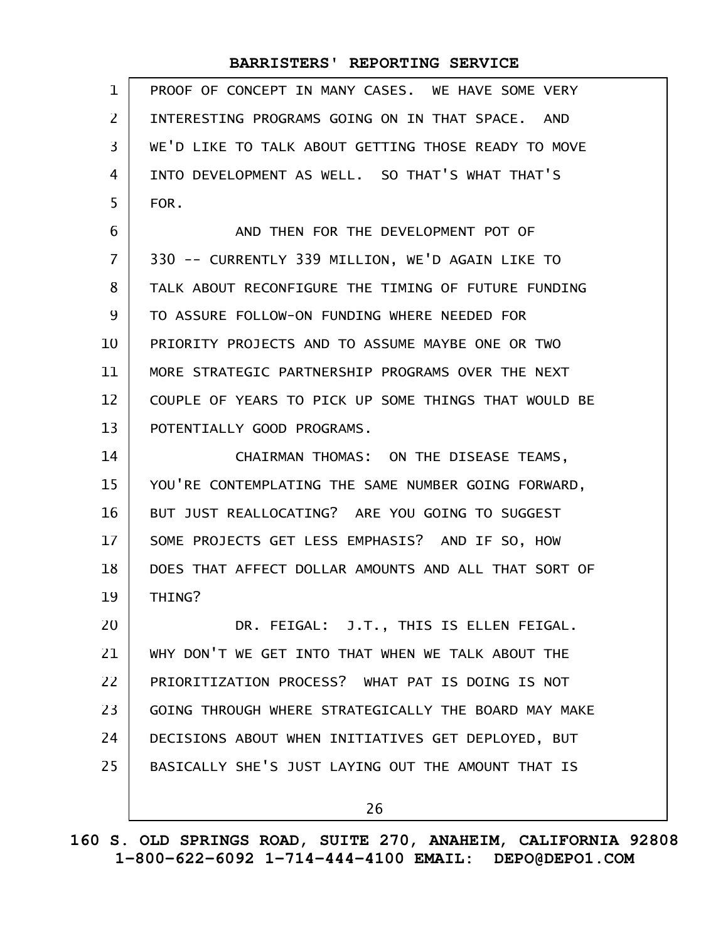| $\mathbf 1$       | PROOF OF CONCEPT IN MANY CASES. WE HAVE SOME VERY    |
|-------------------|------------------------------------------------------|
| $\overline{2}$    | INTERESTING PROGRAMS GOING ON IN THAT SPACE. AND     |
| 3                 | WE'D LIKE TO TALK ABOUT GETTING THOSE READY TO MOVE  |
| 4                 | INTO DEVELOPMENT AS WELL. SO THAT'S WHAT THAT'S      |
| 5                 | FOR.                                                 |
| 6                 | AND THEN FOR THE DEVELOPMENT POT OF                  |
| $\overline{7}$    | 330 -- CURRENTLY 339 MILLION, WE'D AGAIN LIKE TO     |
| 8                 | TALK ABOUT RECONFIGURE THE TIMING OF FUTURE FUNDING  |
| 9                 | TO ASSURE FOLLOW-ON FUNDING WHERE NEEDED FOR         |
| 10                | PRIORITY PROJECTS AND TO ASSUME MAYBE ONE OR TWO     |
| 11                | MORE STRATEGIC PARTNERSHIP PROGRAMS OVER THE NEXT    |
| $12 \overline{ }$ | COUPLE OF YEARS TO PICK UP SOME THINGS THAT WOULD BE |
| 13                | POTENTIALLY GOOD PROGRAMS.                           |
| 14                | CHAIRMAN THOMAS: ON THE DISEASE TEAMS,               |
| 15                | YOU'RE CONTEMPLATING THE SAME NUMBER GOING FORWARD,  |
| 16                | BUT JUST REALLOCATING? ARE YOU GOING TO SUGGEST      |
| 17                | SOME PROJECTS GET LESS EMPHASIS? AND IF SO, HOW      |
| 18                | DOES THAT AFFECT DOLLAR AMOUNTS AND ALL THAT SORT OF |
| 19                | THING?                                               |
| 20                | DR. FEIGAL: J.T., THIS IS ELLEN FEIGAL.              |
| 21                | WHY DON'T WE GET INTO THAT WHEN WE TALK ABOUT THE    |
| 22                | PRIORITIZATION PROCESS? WHAT PAT IS DOING IS NOT     |
| 23                | GOING THROUGH WHERE STRATEGICALLY THE BOARD MAY MAKE |
| 24                | DECISIONS ABOUT WHEN INITIATIVES GET DEPLOYED, BUT   |
| 25                | BASICALLY SHE'S JUST LAYING OUT THE AMOUNT THAT IS   |
|                   | 26                                                   |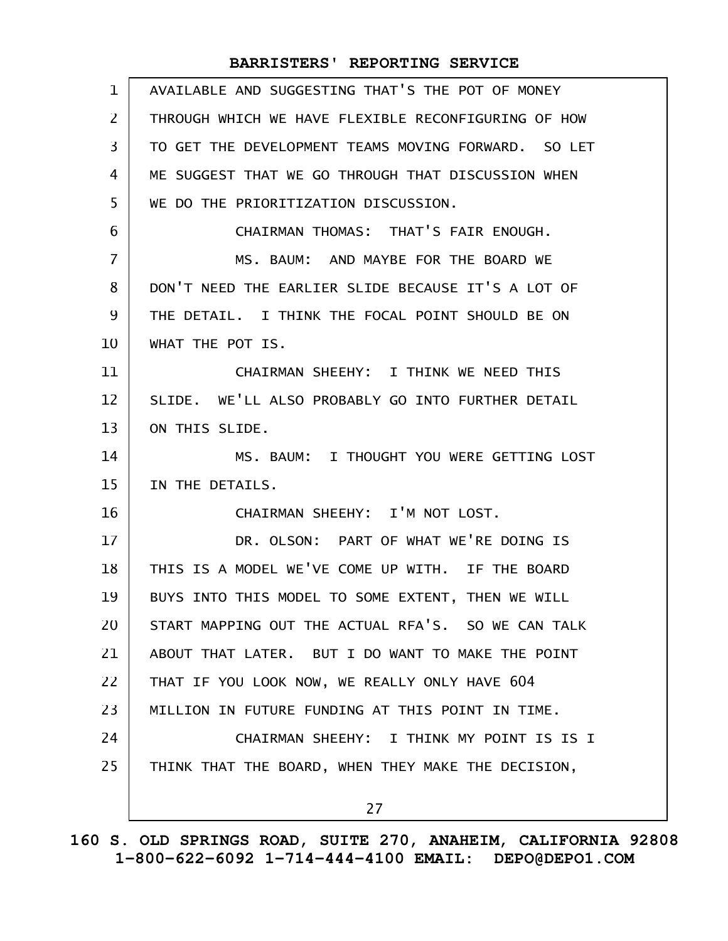| AVAILABLE AND SUGGESTING THAT'S THE POT OF MONEY    |
|-----------------------------------------------------|
| THROUGH WHICH WE HAVE FLEXIBLE RECONFIGURING OF HOW |
| TO GET THE DEVELOPMENT TEAMS MOVING FORWARD. SO LET |
| ME SUGGEST THAT WE GO THROUGH THAT DISCUSSION WHEN  |
| WE DO THE PRIORITIZATION DISCUSSION.                |
| CHAIRMAN THOMAS: THAT'S FAIR ENOUGH.                |
| MS. BAUM: AND MAYBE FOR THE BOARD WE                |
| DON'T NEED THE EARLIER SLIDE BECAUSE IT'S A LOT OF  |
| THE DETAIL. I THINK THE FOCAL POINT SHOULD BE ON    |
| WHAT THE POT IS.                                    |
| CHAIRMAN SHEEHY: I THINK WE NEED THIS               |
| SLIDE. WE'LL ALSO PROBABLY GO INTO FURTHER DETAIL   |
| ON THIS SLIDE.                                      |
| MS. BAUM: I THOUGHT YOU WERE GETTING LOST           |
| IN THE DETAILS.                                     |
| CHAIRMAN SHEEHY: I'M NOT LOST.                      |
| DR. OLSON: PART OF WHAT WE'RE DOING IS              |
| THIS IS A MODEL WE'VE COME UP WITH. IF THE BOARD    |
| BUYS INTO THIS MODEL TO SOME EXTENT, THEN WE WILL   |
| START MAPPING OUT THE ACTUAL RFA'S. SO WE CAN TALK  |
| ABOUT THAT LATER. BUT I DO WANT TO MAKE THE POINT   |
| THAT IF YOU LOOK NOW, WE REALLY ONLY HAVE 604       |
| MILLION IN FUTURE FUNDING AT THIS POINT IN TIME.    |
| CHAIRMAN SHEEHY: I THINK MY POINT IS IS I           |
|                                                     |
| THINK THAT THE BOARD, WHEN THEY MAKE THE DECISION,  |
|                                                     |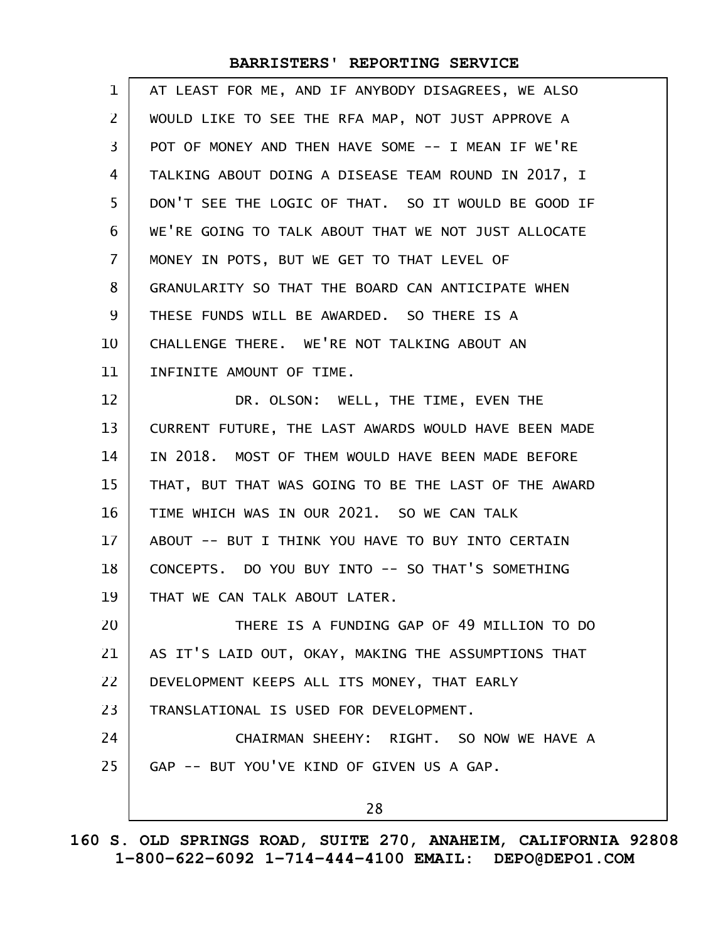| $\mathbf 1$    | AT LEAST FOR ME, AND IF ANYBODY DISAGREES, WE ALSO   |
|----------------|------------------------------------------------------|
| $\mathsf{Z}$   | WOULD LIKE TO SEE THE RFA MAP, NOT JUST APPROVE A    |
| $\overline{3}$ | POT OF MONEY AND THEN HAVE SOME -- I MEAN IF WE'RE   |
| 4              | TALKING ABOUT DOING A DISEASE TEAM ROUND IN 2017, I  |
| 5              | DON'T SEE THE LOGIC OF THAT. SO IT WOULD BE GOOD IF  |
| 6              | WE'RE GOING TO TALK ABOUT THAT WE NOT JUST ALLOCATE  |
| $\overline{7}$ | MONEY IN POTS, BUT WE GET TO THAT LEVEL OF           |
| 8              | GRANULARITY SO THAT THE BOARD CAN ANTICIPATE WHEN    |
| 9              | THESE FUNDS WILL BE AWARDED. SO THERE IS A           |
| 10             | CHALLENGE THERE. WE'RE NOT TALKING ABOUT AN          |
| 11             | INFINITE AMOUNT OF TIME.                             |
| 12             | DR. OLSON: WELL, THE TIME, EVEN THE                  |
| 13             | CURRENT FUTURE, THE LAST AWARDS WOULD HAVE BEEN MADE |
| 14             | IN 2018. MOST OF THEM WOULD HAVE BEEN MADE BEFORE    |
| 15             | THAT, BUT THAT WAS GOING TO BE THE LAST OF THE AWARD |
| 16             | TIME WHICH WAS IN OUR 2021. SO WE CAN TALK           |
| $17 \,$        | ABOUT -- BUT I THINK YOU HAVE TO BUY INTO CERTAIN    |
| 18             | CONCEPTS. DO YOU BUY INTO -- SO THAT'S SOMETHING     |
| 19             | THAT WE CAN TALK ABOUT LATER.                        |
| 20             | THERE IS A FUNDING GAP OF 49 MILLION TO DO           |
| 21             | AS IT'S LAID OUT, OKAY, MAKING THE ASSUMPTIONS THAT  |
| 22             | DEVELOPMENT KEEPS ALL ITS MONEY, THAT EARLY          |
| 23             | TRANSLATIONAL IS USED FOR DEVELOPMENT.               |
| 24             | CHAIRMAN SHEEHY: RIGHT. SO NOW WE HAVE A             |
| 25             | GAP -- BUT YOU'VE KIND OF GIVEN US A GAP.            |
|                | 28                                                   |
|                |                                                      |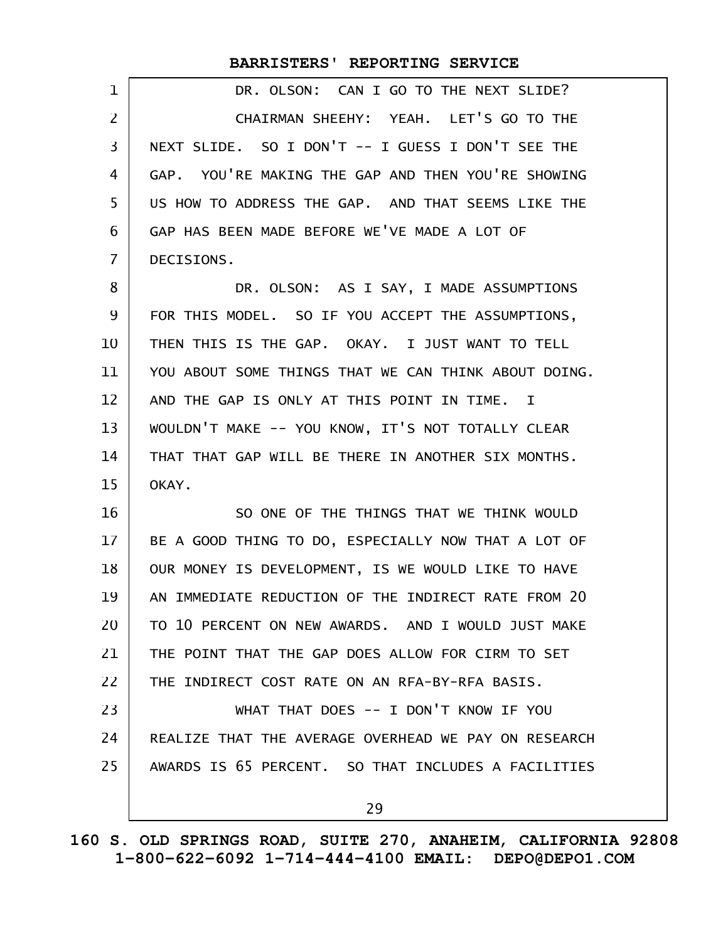|                   | BARRISTERS' REPORTING SERVICE                              |
|-------------------|------------------------------------------------------------|
| 1                 | DR. OLSON: CAN I GO TO THE NEXT SLIDE?                     |
| $\overline{2}$    | CHAIRMAN SHEEHY: YEAH. LET'S GO TO THE                     |
| 3                 | NEXT SLIDE. SO I DON'T -- I GUESS I DON'T SEE THE          |
| 4                 | GAP. YOU'RE MAKING THE GAP AND THEN YOU'RE SHOWING         |
| 5                 | US HOW TO ADDRESS THE GAP. AND THAT SEEMS LIKE THE         |
| 6                 | GAP HAS BEEN MADE BEFORE WE'VE MADE A LOT OF               |
| $\overline{7}$    | DECISIONS.                                                 |
| 8                 | DR. OLSON: AS I SAY, I MADE ASSUMPTIONS                    |
| 9                 | FOR THIS MODEL. SO IF YOU ACCEPT THE ASSUMPTIONS,          |
| 10                | THEN THIS IS THE GAP. OKAY. I JUST WANT TO TELL            |
| 11                | YOU ABOUT SOME THINGS THAT WE CAN THINK ABOUT DOING.       |
| $12 \overline{ }$ | AND THE GAP IS ONLY AT THIS POINT IN TIME.<br>$\mathbf{I}$ |
| 13                | WOULDN'T MAKE -- YOU KNOW, IT'S NOT TOTALLY CLEAR          |
| 14                | THAT THAT GAP WILL BE THERE IN ANOTHER SIX MONTHS.         |
| 15                | OKAY.                                                      |
| 16                | SO ONE OF THE THINGS THAT WE THINK WOULD                   |
| 17                | BE A GOOD THING TO DO, ESPECIALLY NOW THAT A LOT OF        |
| 18                | OUR MONEY IS DEVELOPMENT, IS WE WOULD LIKE TO HAVE         |
| 19                | AN IMMEDIATE REDUCTION OF THE INDIRECT RATE FROM 20        |
| 20                | TO 10 PERCENT ON NEW AWARDS. AND I WOULD JUST MAKE         |
| 21                | THE POINT THAT THE GAP DOES ALLOW FOR CIRM TO SET          |
| 22                | THE INDIRECT COST RATE ON AN RFA-BY-RFA BASIS.             |
| 23                | WHAT THAT DOES -- I DON'T KNOW IF YOU                      |
| 24                | REALIZE THAT THE AVERAGE OVERHEAD WE PAY ON RESEARCH       |
| 25                | AWARDS IS 65 PERCENT. SO THAT INCLUDES A FACILITIES        |
|                   | 29                                                         |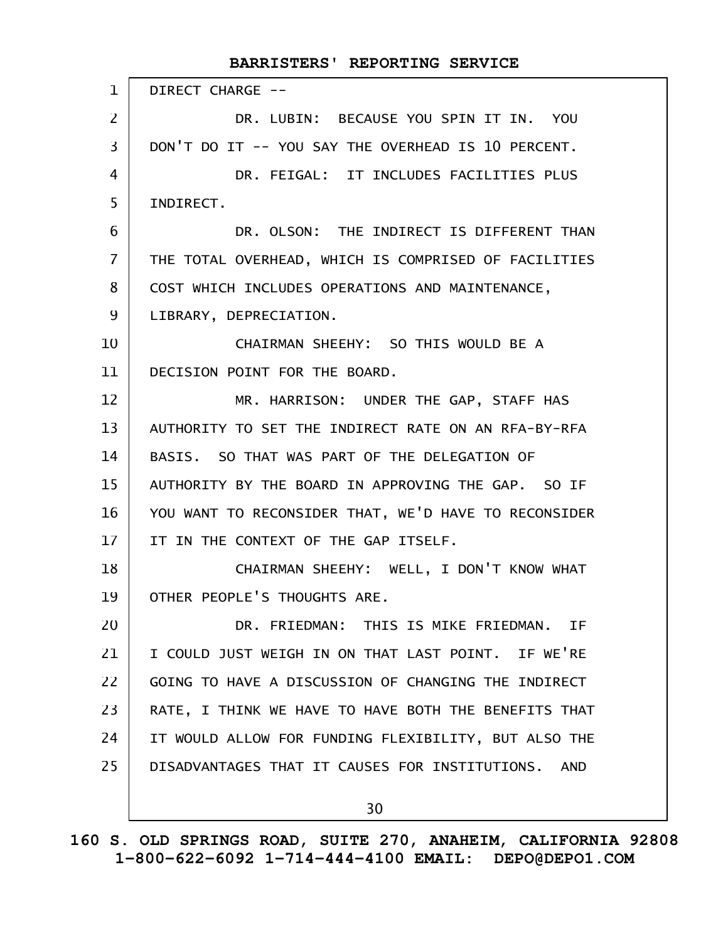| $\mathbf{1}$   | DIRECT CHARGE --                                     |
|----------------|------------------------------------------------------|
| $\overline{2}$ | DR. LUBIN: BECAUSE YOU SPIN IT IN. YOU               |
| 3              | DON'T DO IT -- YOU SAY THE OVERHEAD IS 10 PERCENT.   |
| 4              | DR. FEIGAL: IT INCLUDES FACILITIES PLUS              |
| 5              | INDIRECT.                                            |
| 6              | DR. OLSON: THE INDIRECT IS DIFFERENT THAN            |
| $\overline{7}$ | THE TOTAL OVERHEAD, WHICH IS COMPRISED OF FACILITIES |
| 8              | COST WHICH INCLUDES OPERATIONS AND MAINTENANCE,      |
| 9              | LIBRARY, DEPRECIATION.                               |
| 10             | CHAIRMAN SHEEHY: SO THIS WOULD BE A                  |
| 11             | DECISION POINT FOR THE BOARD.                        |
| 12             | MR. HARRISON: UNDER THE GAP, STAFF HAS               |
| 13             | AUTHORITY TO SET THE INDIRECT RATE ON AN RFA-BY-RFA  |
| 14             | BASIS. SO THAT WAS PART OF THE DELEGATION OF         |
| 15             | AUTHORITY BY THE BOARD IN APPROVING THE GAP. SO IF   |
| 16             | YOU WANT TO RECONSIDER THAT, WE'D HAVE TO RECONSIDER |
| 17             | IT IN THE CONTEXT OF THE GAP ITSELF.                 |
| 18             | CHAIRMAN SHEEHY: WELL, I DON'T KNOW WHAT             |
| 19             | OTHER PEOPLE'S THOUGHTS ARE.                         |
| 20             | DR. FRIEDMAN: THIS IS MIKE FRIEDMAN. IF              |
| 21             | I COULD JUST WEIGH IN ON THAT LAST POINT. IF WE'RE   |
| 22             | GOING TO HAVE A DISCUSSION OF CHANGING THE INDIRECT  |
| 23             | RATE, I THINK WE HAVE TO HAVE BOTH THE BENEFITS THAT |
| 24             | IT WOULD ALLOW FOR FUNDING FLEXIBILITY, BUT ALSO THE |
| 25             | DISADVANTAGES THAT IT CAUSES FOR INSTITUTIONS. AND   |
|                |                                                      |
|                | 30                                                   |

**160 S. OLD SPRINGS ROAD, SUITE 270, ANAHEIM, CALIFORNIA 92808 1-800-622-6092 1-714-444-4100 EMAIL: DEPO@DEPO1.COM**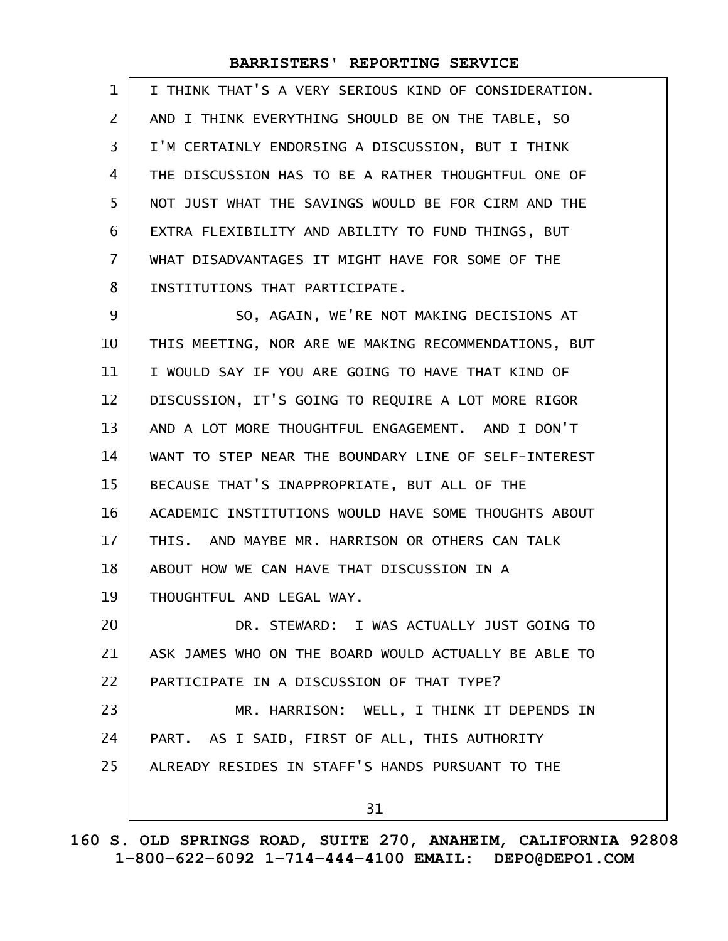| $\mathbf 1$    | I THINK THAT'S A VERY SERIOUS KIND OF CONSIDERATION. |
|----------------|------------------------------------------------------|
| 2              | AND I THINK EVERYTHING SHOULD BE ON THE TABLE, SO    |
| 3              | I'M CERTAINLY ENDORSING A DISCUSSION, BUT I THINK    |
| 4              | THE DISCUSSION HAS TO BE A RATHER THOUGHTFUL ONE OF  |
| 5              | NOT JUST WHAT THE SAVINGS WOULD BE FOR CIRM AND THE  |
| 6              | EXTRA FLEXIBILITY AND ABILITY TO FUND THINGS, BUT    |
| $\overline{7}$ | WHAT DISADVANTAGES IT MIGHT HAVE FOR SOME OF THE     |
| 8              | INSTITUTIONS THAT PARTICIPATE.                       |
| 9              | SO, AGAIN, WE'RE NOT MAKING DECISIONS AT             |
| 10             | THIS MEETING, NOR ARE WE MAKING RECOMMENDATIONS, BUT |
| 11             | I WOULD SAY IF YOU ARE GOING TO HAVE THAT KIND OF    |
| 12             | DISCUSSION, IT'S GOING TO REQUIRE A LOT MORE RIGOR   |
| 13             | AND A LOT MORE THOUGHTFUL ENGAGEMENT. AND I DON'T    |
| 14             | WANT TO STEP NEAR THE BOUNDARY LINE OF SELF-INTEREST |
| 15             | BECAUSE THAT'S INAPPROPRIATE, BUT ALL OF THE         |
| 16             | ACADEMIC INSTITUTIONS WOULD HAVE SOME THOUGHTS ABOUT |
| 17             | THIS. AND MAYBE MR. HARRISON OR OTHERS CAN TALK      |
| 18             | ABOUT HOW WE CAN HAVE THAT DISCUSSION IN A           |
| 19             | THOUGHTFUL AND LEGAL WAY.                            |
| 20             | DR. STEWARD: I WAS ACTUALLY JUST GOING TO            |
| 21             | ASK JAMES WHO ON THE BOARD WOULD ACTUALLY BE ABLE TO |
| 22             | PARTICIPATE IN A DISCUSSION OF THAT TYPE?            |
| 23             | MR. HARRISON: WELL, I THINK IT DEPENDS IN            |
| 24             | PART. AS I SAID, FIRST OF ALL, THIS AUTHORITY        |
| 25             | ALREADY RESIDES IN STAFF'S HANDS PURSUANT TO THE     |
|                | 31                                                   |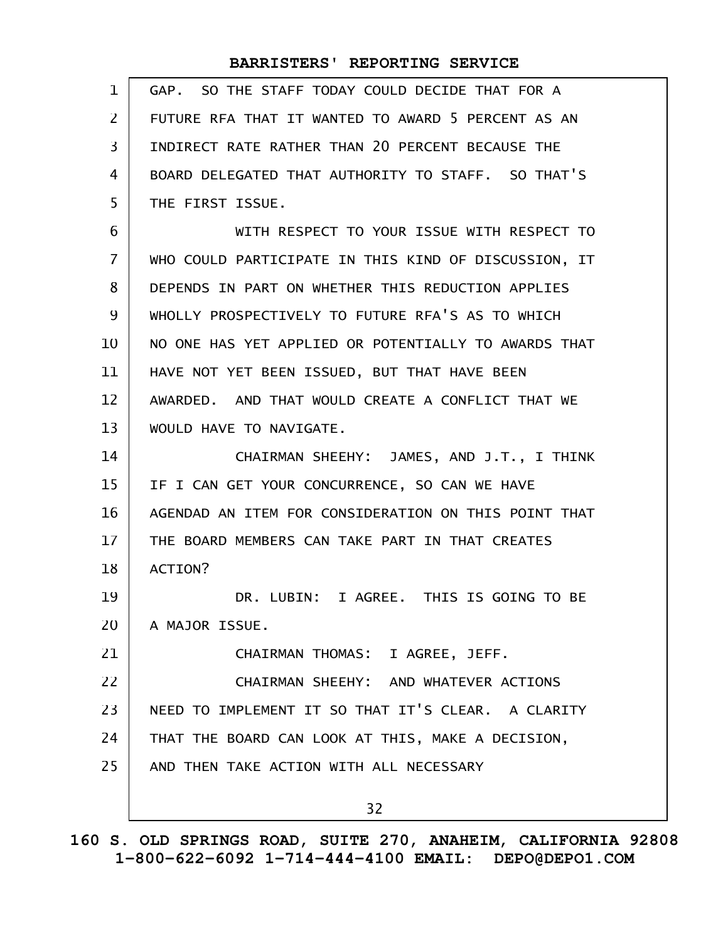| 1              | GAP. SO THE STAFF TODAY COULD DECIDE THAT FOR A      |
|----------------|------------------------------------------------------|
| $\mathsf{Z}^-$ | FUTURE RFA THAT IT WANTED TO AWARD 5 PERCENT AS AN   |
| 3              | INDIRECT RATE RATHER THAN 20 PERCENT BECAUSE THE     |
| 4              | BOARD DELEGATED THAT AUTHORITY TO STAFF. SO THAT'S   |
| 5              | THE FIRST ISSUE.                                     |
| 6              | WITH RESPECT TO YOUR ISSUE WITH RESPECT TO           |
| $\overline{7}$ | WHO COULD PARTICIPATE IN THIS KIND OF DISCUSSION, IT |
| 8              | DEPENDS IN PART ON WHETHER THIS REDUCTION APPLIES    |
| 9              | WHOLLY PROSPECTIVELY TO FUTURE RFA'S AS TO WHICH     |
| 10             | NO ONE HAS YET APPLIED OR POTENTIALLY TO AWARDS THAT |
| 11             | HAVE NOT YET BEEN ISSUED, BUT THAT HAVE BEEN         |
| 12             | AWARDED. AND THAT WOULD CREATE A CONFLICT THAT WE    |
| 13             | WOULD HAVE TO NAVIGATE.                              |
| 14             | CHAIRMAN SHEEHY: JAMES, AND J.T., I THINK            |
| 15             | IF I CAN GET YOUR CONCURRENCE, SO CAN WE HAVE        |
| 16             | AGENDAD AN ITEM FOR CONSIDERATION ON THIS POINT THAT |
| 17             | THE BOARD MEMBERS CAN TAKE PART IN THAT CREATES      |
| 18             | ACTION?                                              |
| 19             | DR. LUBIN: I AGREE. THIS IS GOING TO BE              |
| 20             | A MAJOR ISSUE.                                       |
| 21             | CHAIRMAN THOMAS: I AGREE, JEFF.                      |
| 22             | CHAIRMAN SHEEHY: AND WHATEVER ACTIONS                |
| 23             | NEED TO IMPLEMENT IT SO THAT IT'S CLEAR. A CLARITY   |
| 24             | THAT THE BOARD CAN LOOK AT THIS, MAKE A DECISION,    |
| 25             | AND THEN TAKE ACTION WITH ALL NECESSARY              |
|                | 32                                                   |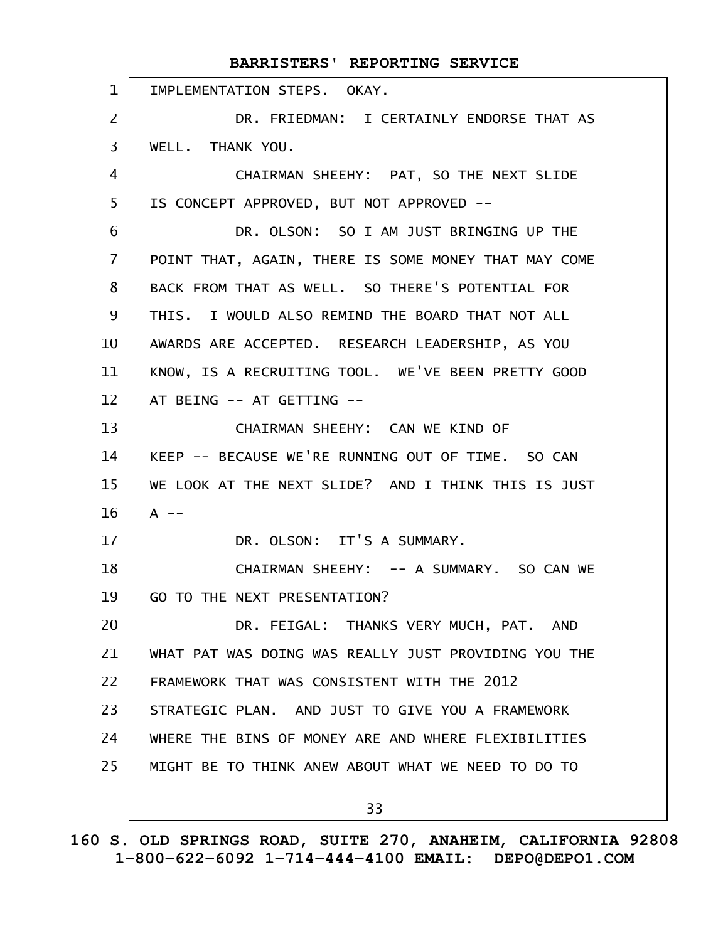|                   | BARRISTERS' REPORTING SERVICE                        |
|-------------------|------------------------------------------------------|
| $\mathbf{1}$      | IMPLEMENTATION STEPS. OKAY.                          |
| $\overline{2}$    | DR. FRIEDMAN: I CERTAINLY ENDORSE THAT AS            |
| 3                 | WELL. THANK YOU.                                     |
| 4                 | CHAIRMAN SHEEHY: PAT, SO THE NEXT SLIDE              |
| 5                 | IS CONCEPT APPROVED, BUT NOT APPROVED --             |
| 6                 | DR. OLSON: SO I AM JUST BRINGING UP THE              |
| $\overline{7}$    | POINT THAT, AGAIN, THERE IS SOME MONEY THAT MAY COME |
| 8                 | BACK FROM THAT AS WELL. SO THERE'S POTENTIAL FOR     |
| 9                 | THIS. I WOULD ALSO REMIND THE BOARD THAT NOT ALL     |
| 10                | AWARDS ARE ACCEPTED. RESEARCH LEADERSHIP, AS YOU     |
| 11                | KNOW, IS A RECRUITING TOOL. WE'VE BEEN PRETTY GOOD   |
| $12 \overline{ }$ | AT BEING -- AT GETTING --                            |
| 13                | CHAIRMAN SHEEHY: CAN WE KIND OF                      |
| 14                | KEEP -- BECAUSE WE'RE RUNNING OUT OF TIME. SO CAN    |
| 15                | WE LOOK AT THE NEXT SLIDE? AND I THINK THIS IS JUST  |
| 16                | $A$ --                                               |
| 17                | DR. OLSON: IT'S A SUMMARY.                           |
| 18                | CHAIRMAN SHEEHY: -- A SUMMARY. SO CAN WE             |
| 19                | GO TO THE NEXT PRESENTATION?                         |
| 20                | DR. FEIGAL: THANKS VERY MUCH, PAT. AND               |
| 21                | WHAT PAT WAS DOING WAS REALLY JUST PROVIDING YOU THE |
| 22                | FRAMEWORK THAT WAS CONSISTENT WITH THE 2012          |
| 23                | STRATEGIC PLAN. AND JUST TO GIVE YOU A FRAMEWORK     |
| 24                | WHERE THE BINS OF MONEY ARE AND WHERE FLEXIBILITIES  |
| 25                | MIGHT BE TO THINK ANEW ABOUT WHAT WE NEED TO DO TO   |
|                   | 33                                                   |
|                   |                                                      |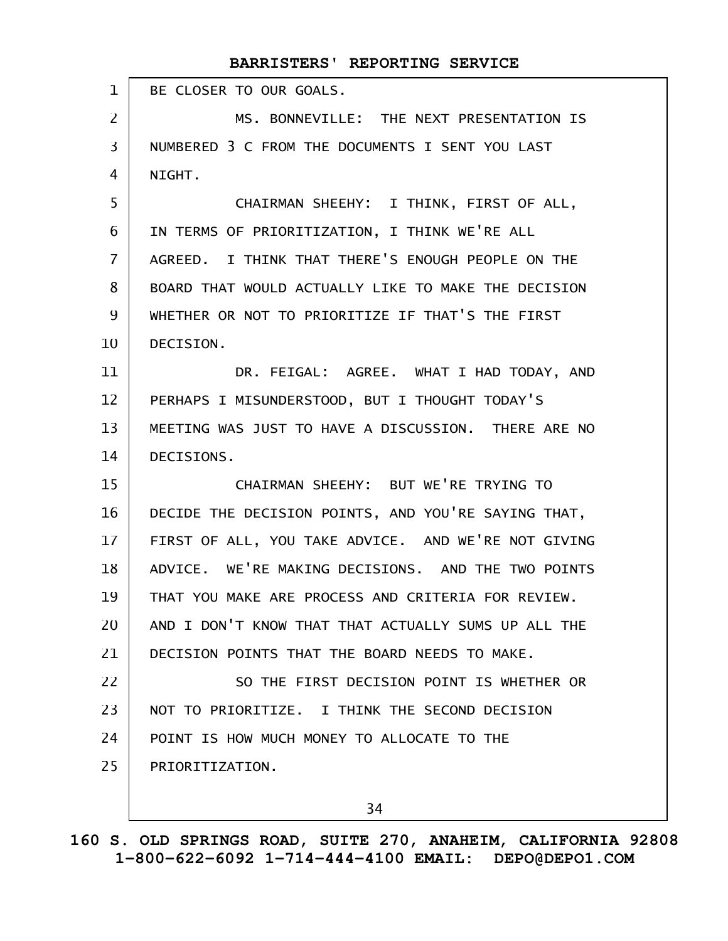|                | BARRISTERS' REPORTING SERVICE                       |
|----------------|-----------------------------------------------------|
| $\mathbf{1}$   | BE CLOSER TO OUR GOALS.                             |
| $\overline{2}$ | MS. BONNEVILLE: THE NEXT PRESENTATION IS            |
| $\overline{3}$ | NUMBERED 3 C FROM THE DOCUMENTS I SENT YOU LAST     |
| 4              | NIGHT.                                              |
| 5              | CHAIRMAN SHEEHY: I THINK, FIRST OF ALL,             |
| 6              | IN TERMS OF PRIORITIZATION, I THINK WE'RE ALL       |
| $\overline{7}$ | AGREED. I THINK THAT THERE'S ENOUGH PEOPLE ON THE   |
| 8              | BOARD THAT WOULD ACTUALLY LIKE TO MAKE THE DECISION |
| 9              | WHETHER OR NOT TO PRIORITIZE IF THAT'S THE FIRST    |
| 10             | DECISION.                                           |
| 11             | DR. FEIGAL: AGREE. WHAT I HAD TODAY, AND            |
| 12             | PERHAPS I MISUNDERSTOOD, BUT I THOUGHT TODAY'S      |
| 13             | MEETING WAS JUST TO HAVE A DISCUSSION. THERE ARE NO |
| 14             | DECISIONS.                                          |
| 15             | CHAIRMAN SHEEHY: BUT WE'RE TRYING TO                |
| 16             | DECIDE THE DECISION POINTS, AND YOU'RE SAYING THAT, |
| 17             | FIRST OF ALL, YOU TAKE ADVICE. AND WE'RE NOT GIVING |
| 18             | ADVICE. WE'RE MAKING DECISIONS. AND THE TWO POINTS  |
| 19             | THAT YOU MAKE ARE PROCESS AND CRITERIA FOR REVIEW.  |
| 20             | AND I DON'T KNOW THAT THAT ACTUALLY SUMS UP ALL THE |
| 21             | DECISION POINTS THAT THE BOARD NEEDS TO MAKE.       |
| 22             | SO THE FIRST DECISION POINT IS WHETHER OR           |
| 23             | NOT TO PRIORITIZE. I THINK THE SECOND DECISION      |
| 24             | POINT IS HOW MUCH MONEY TO ALLOCATE TO THE          |
| 25             | PRIORITIZATION.                                     |
|                |                                                     |

34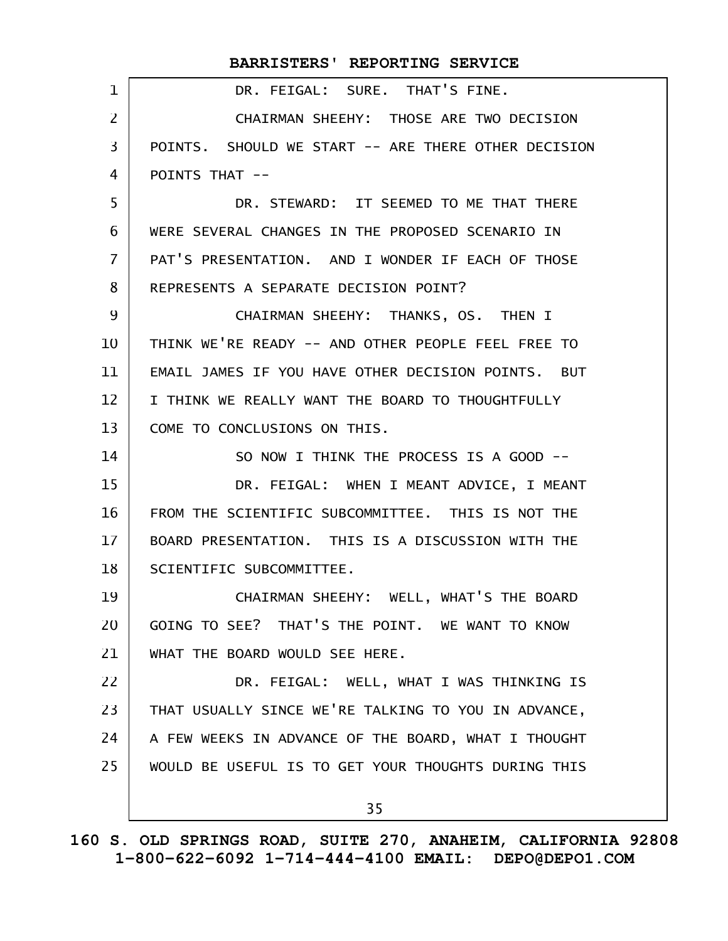|                | BARRISTERS' REPORTING SERVICE                       |
|----------------|-----------------------------------------------------|
| $\mathbf{1}$   | DR. FEIGAL: SURE. THAT'S FINE.                      |
| $\overline{2}$ | CHAIRMAN SHEEHY: THOSE ARE TWO DECISION             |
| $\overline{3}$ | POINTS. SHOULD WE START -- ARE THERE OTHER DECISION |
| 4              | POINTS THAT --                                      |
| 5              | DR. STEWARD: IT SEEMED TO ME THAT THERE             |
| 6              | WERE SEVERAL CHANGES IN THE PROPOSED SCENARIO IN    |
| $\overline{7}$ | PAT'S PRESENTATION. AND I WONDER IF EACH OF THOSE   |
| 8              | REPRESENTS A SEPARATE DECISION POINT?               |
| 9              | CHAIRMAN SHEEHY: THANKS, OS. THEN I                 |
| 10             | THINK WE'RE READY -- AND OTHER PEOPLE FEEL FREE TO  |
| 11             | EMAIL JAMES IF YOU HAVE OTHER DECISION POINTS. BUT  |
| 12             | I THINK WE REALLY WANT THE BOARD TO THOUGHTFULLY    |
| 13             | COME TO CONCLUSIONS ON THIS.                        |
| 14             | SO NOW I THINK THE PROCESS IS A GOOD --             |
| 15             | DR. FEIGAL: WHEN I MEANT ADVICE, I MEANT            |
| 16             | FROM THE SCIENTIFIC SUBCOMMITTEE. THIS IS NOT THE   |
| $17 \,$        | BOARD PRESENTATION. THIS IS A DISCUSSION WITH THE   |
| 18             | SCIENTIFIC SUBCOMMITTEE.                            |
| 19             | CHAIRMAN SHEEHY: WELL, WHAT'S THE BOARD             |
| 20             | GOING TO SEE? THAT'S THE POINT. WE WANT TO KNOW     |
| 21             | WHAT THE BOARD WOULD SEE HERE.                      |
| 22             | DR. FEIGAL: WELL, WHAT I WAS THINKING IS            |
| 23             | THAT USUALLY SINCE WE'RE TALKING TO YOU IN ADVANCE, |
| 24             | A FEW WEEKS IN ADVANCE OF THE BOARD, WHAT I THOUGHT |
| 25             | WOULD BE USEFUL IS TO GET YOUR THOUGHTS DURING THIS |
|                | 35                                                  |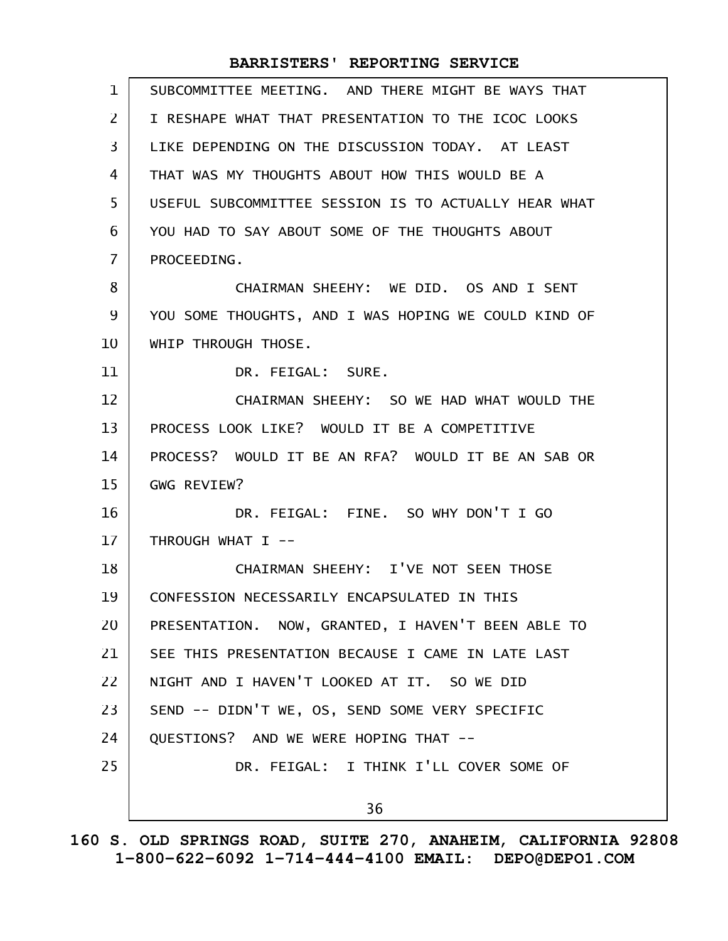| $\mathbf 1$    | SUBCOMMITTEE MEETING. AND THERE MIGHT BE WAYS THAT   |
|----------------|------------------------------------------------------|
| 2              | I RESHAPE WHAT THAT PRESENTATION TO THE ICOC LOOKS   |
| 3              | LIKE DEPENDING ON THE DISCUSSION TODAY, AT LEAST     |
| 4              | THAT WAS MY THOUGHTS ABOUT HOW THIS WOULD BE A       |
| 5              | USEFUL SUBCOMMITTEE SESSION IS TO ACTUALLY HEAR WHAT |
| 6              | YOU HAD TO SAY ABOUT SOME OF THE THOUGHTS ABOUT      |
| $\overline{7}$ | PROCEEDING.                                          |
| 8              | CHAIRMAN SHEEHY: WE DID. OS AND I SENT               |
| 9              | YOU SOME THOUGHTS, AND I WAS HOPING WE COULD KIND OF |
| 10             | WHIP THROUGH THOSE.                                  |
| 11             | DR. FEIGAL: SURE.                                    |
| 12             | CHAIRMAN SHEEHY: SO WE HAD WHAT WOULD THE            |
| 13             | PROCESS LOOK LIKE? WOULD IT BE A COMPETITIVE         |
| 14             | PROCESS? WOULD IT BE AN RFA? WOULD IT BE AN SAB OR   |
| 15             | GWG REVIEW?                                          |
| 16             | DR. FEIGAL: FINE. SO WHY DON'T I GO                  |
| 17             | THROUGH WHAT I --                                    |
| 18             | CHAIRMAN SHEEHY: I'VE NOT SEEN THOSE                 |
| 19             | CONFESSION NECESSARILY ENCAPSULATED IN THIS          |
| 20             | PRESENTATION. NOW, GRANTED, I HAVEN'T BEEN ABLE TO   |
| 21             | SEE THIS PRESENTATION BECAUSE I CAME IN LATE LAST    |
| 22             | NIGHT AND I HAVEN'T LOOKED AT IT. SO WE DID          |
| 23             | SEND -- DIDN'T WE, OS, SEND SOME VERY SPECIFIC       |
| 24             | QUESTIONS? AND WE WERE HOPING THAT --                |
| 25             | DR. FEIGAL: I THINK I'LL COVER SOME OF               |
|                | 36                                                   |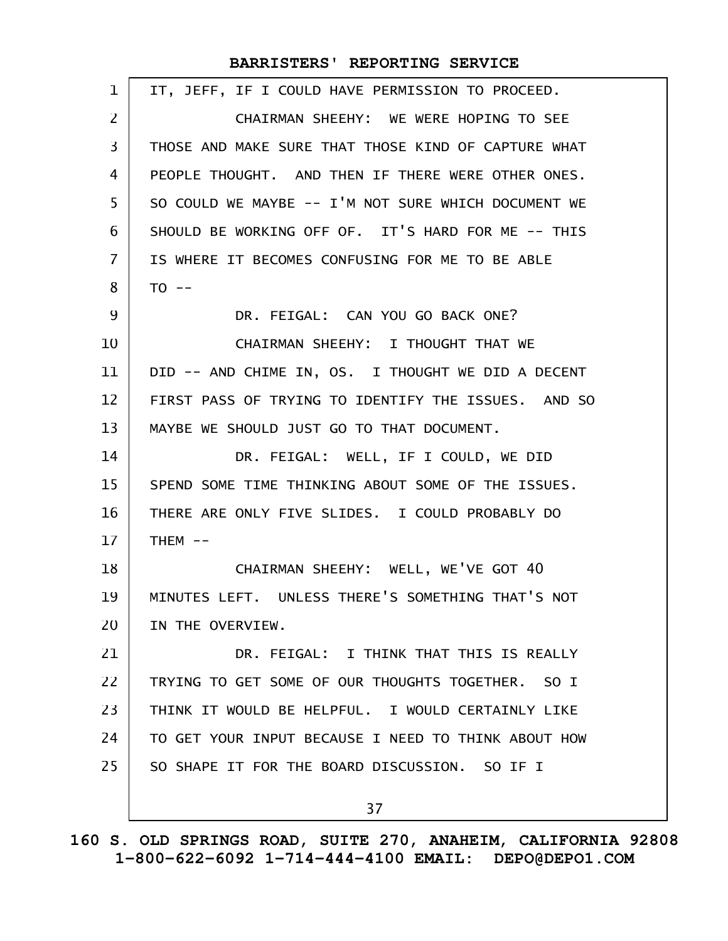| 1              | IT, JEFF, IF I COULD HAVE PERMISSION TO PROCEED.    |
|----------------|-----------------------------------------------------|
| $\overline{2}$ | CHAIRMAN SHEEHY: WE WERE HOPING TO SEE              |
| 3              | THOSE AND MAKE SURE THAT THOSE KIND OF CAPTURE WHAT |
| 4              | PEOPLE THOUGHT. AND THEN IF THERE WERE OTHER ONES.  |
| 5              | SO COULD WE MAYBE -- I'M NOT SURE WHICH DOCUMENT WE |
| 6              | SHOULD BE WORKING OFF OF. IT'S HARD FOR ME -- THIS  |
| 7              | IS WHERE IT BECOMES CONFUSING FOR ME TO BE ABLE     |
| 8              | $TO -$                                              |
| 9              | DR. FEIGAL: CAN YOU GO BACK ONE?                    |
| 10             | CHAIRMAN SHEEHY: I THOUGHT THAT WE                  |
| 11             | DID -- AND CHIME IN, OS. I THOUGHT WE DID A DECENT  |
| 12             | FIRST PASS OF TRYING TO IDENTIFY THE ISSUES. AND SO |
| 13             | MAYBE WE SHOULD JUST GO TO THAT DOCUMENT.           |
| 14             | DR. FEIGAL: WELL, IF I COULD, WE DID                |
| 15             | SPEND SOME TIME THINKING ABOUT SOME OF THE ISSUES.  |
| 16             | THERE ARE ONLY FIVE SLIDES. I COULD PROBABLY DO     |
| 17             | $THEM$ --                                           |
| 18             | CHAIRMAN SHEEHY: WELL, WE'VE GOT 40                 |
| 19             | MINUTES LEFT. UNLESS THERE'S SOMETHING THAT'S NOT   |
| 20             | IN THE OVERVIEW.                                    |
| 21             | DR. FEIGAL: I THINK THAT THIS IS REALLY             |
| 22             | TRYING TO GET SOME OF OUR THOUGHTS TOGETHER. SO I   |
| 23             | THINK IT WOULD BE HELPFUL. I WOULD CERTAINLY LIKE   |
| 24             | TO GET YOUR INPUT BECAUSE I NEED TO THINK ABOUT HOW |
| 25             | SO SHAPE IT FOR THE BOARD DISCUSSION. SO IF I       |
|                | 37                                                  |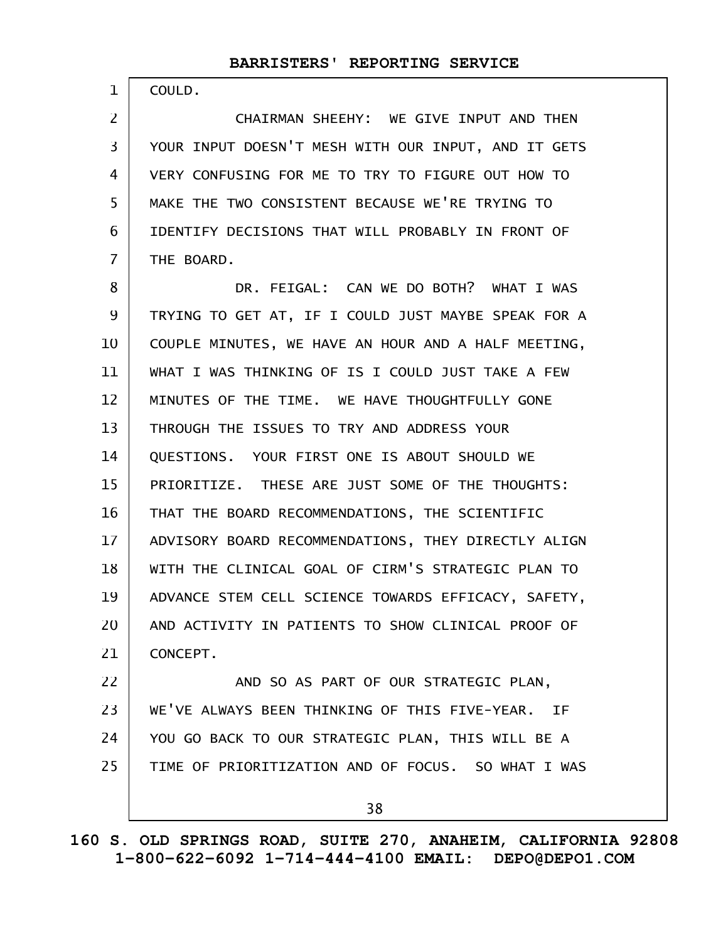COULD.

1

CHAIRMAN SHEEHY: WE GIVE INPUT AND THEN YOUR INPUT DOESN'T MESH WITH OUR INPUT, AND IT GETS VERY CONFUSING FOR ME TO TRY TO FIGURE OUT HOW TO MAKE THE TWO CONSISTENT BECAUSE WE'RE TRYING TO IDENTIFY DECISIONS THAT WILL PROBABLY IN FRONT OF THE BOARD. 2 3 4 5 6 7

DR. FEIGAL: CAN WE DO BOTH? WHAT I WAS TRYING TO GET AT, IF I COULD JUST MAYBE SPEAK FOR A COUPLE MINUTES, WE HAVE AN HOUR AND A HALF MEETING, WHAT I WAS THINKING OF IS I COULD JUST TAKE A FEW MINUTES OF THE TIME. WE HAVE THOUGHTFULLY GONE THROUGH THE ISSUES TO TRY AND ADDRESS YOUR QUESTIONS. YOUR FIRST ONE IS ABOUT SHOULD WE PRIORITIZE. THESE ARE JUST SOME OF THE THOUGHTS: THAT THE BOARD RECOMMENDATIONS, THE SCIENTIFIC ADVISORY BOARD RECOMMENDATIONS, THEY DIRECTLY ALIGN WITH THE CLINICAL GOAL OF CIRM'S STRATEGIC PLAN TO ADVANCE STEM CELL SCIENCE TOWARDS EFFICACY, SAFETY, AND ACTIVITY IN PATIENTS TO SHOW CLINICAL PROOF OF CONCEPT. AND SO AS PART OF OUR STRATEGIC PLAN, 8 9 10 11 12 13 14 15 16 17 18 19 20 21 22

WE'VE ALWAYS BEEN THINKING OF THIS FIVE-YEAR. IF YOU GO BACK TO OUR STRATEGIC PLAN, THIS WILL BE A TIME OF PRIORITIZATION AND OF FOCUS. SO WHAT I WAS 23 24 25

38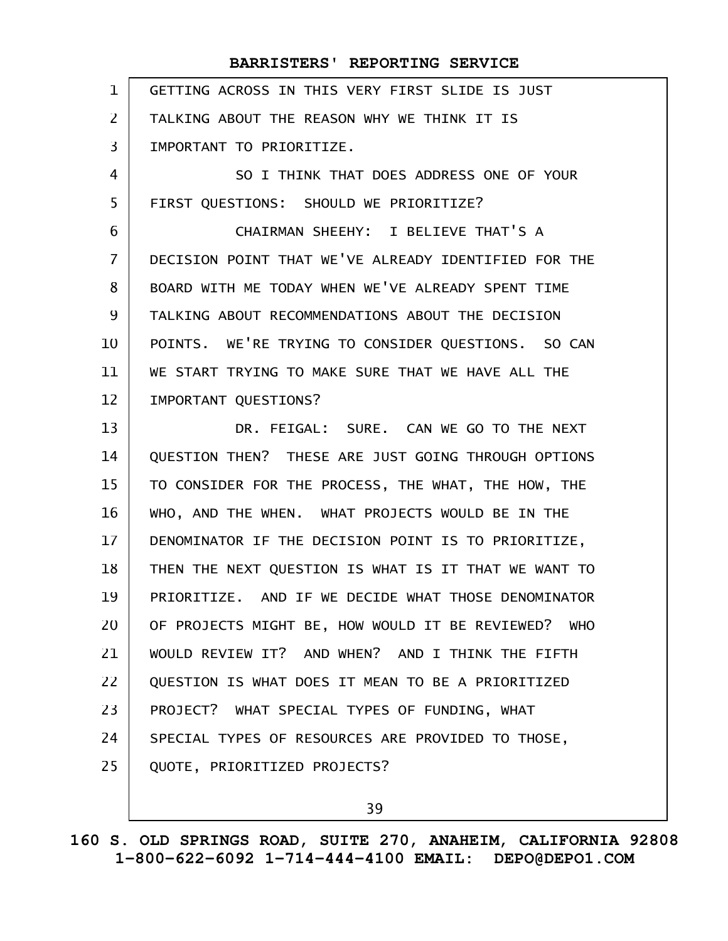GETTING ACROSS IN THIS VERY FIRST SLIDE IS JUST TALKING ABOUT THE REASON WHY WE THINK IT IS IMPORTANT TO PRIORITIZE. SO I THINK THAT DOES ADDRESS ONE OF YOUR FIRST QUESTIONS: SHOULD WE PRIORITIZE? CHAIRMAN SHEEHY: I BELIEVE THAT'S A DECISION POINT THAT WE'VE ALREADY IDENTIFIED FOR THE BOARD WITH ME TODAY WHEN WE'VE ALREADY SPENT TIME TALKING ABOUT RECOMMENDATIONS ABOUT THE DECISION POINTS. WE'RE TRYING TO CONSIDER QUESTIONS. SO CAN WE START TRYING TO MAKE SURE THAT WE HAVE ALL THE IMPORTANT QUESTIONS? DR. FEIGAL: SURE. CAN WE GO TO THE NEXT QUESTION THEN? THESE ARE JUST GOING THROUGH OPTIONS TO CONSIDER FOR THE PROCESS, THE WHAT, THE HOW, THE WHO, AND THE WHEN. WHAT PROJECTS WOULD BE IN THE DENOMINATOR IF THE DECISION POINT IS TO PRIORITIZE, THEN THE NEXT QUESTION IS WHAT IS IT THAT WE WANT TO PRIORITIZE. AND IF WE DECIDE WHAT THOSE DENOMINATOR OF PROJECTS MIGHT BE, HOW WOULD IT BE REVIEWED? WHO WOULD REVIEW IT? AND WHEN? AND I THINK THE FIFTH QUESTION IS WHAT DOES IT MEAN TO BE A PRIORITIZED PROJECT? WHAT SPECIAL TYPES OF FUNDING, WHAT SPECIAL TYPES OF RESOURCES ARE PROVIDED TO THOSE, QUOTE, PRIORITIZED PROJECTS? 1 2 3 4 5 6 7 8 9 10 11 12 13 14 15 16 17 18 19 20 21 22 23 24 25

39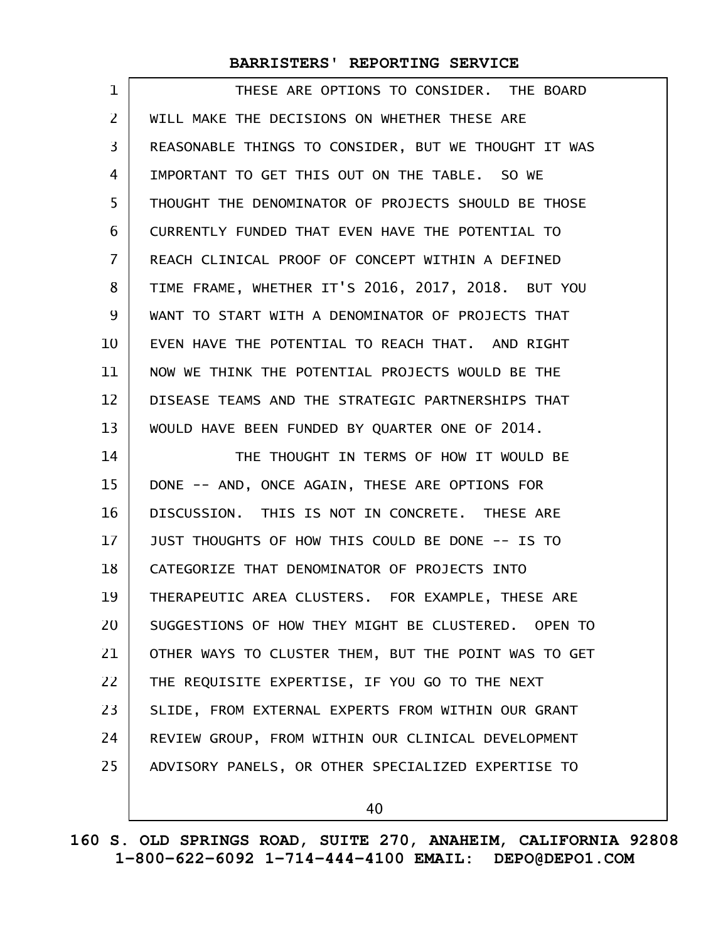| 1                 | THESE ARE OPTIONS TO CONSIDER. THE BOARD             |
|-------------------|------------------------------------------------------|
| $\overline{2}$    | WILL MAKE THE DECISIONS ON WHETHER THESE ARE         |
| 3                 | REASONABLE THINGS TO CONSIDER, BUT WE THOUGHT IT WAS |
| 4                 | IMPORTANT TO GET THIS OUT ON THE TABLE. SO WE        |
| 5                 | THOUGHT THE DENOMINATOR OF PROJECTS SHOULD BE THOSE  |
| 6                 | CURRENTLY FUNDED THAT EVEN HAVE THE POTENTIAL TO     |
| $\overline{7}$    | REACH CLINICAL PROOF OF CONCEPT WITHIN A DEFINED     |
| 8                 | TIME FRAME, WHETHER IT'S 2016, 2017, 2018. BUT YOU   |
| 9                 | WANT TO START WITH A DENOMINATOR OF PROJECTS THAT    |
| 10                | EVEN HAVE THE POTENTIAL TO REACH THAT. AND RIGHT     |
| 11                | NOW WE THINK THE POTENTIAL PROJECTS WOULD BE THE     |
| $12 \overline{ }$ | DISEASE TEAMS AND THE STRATEGIC PARTNERSHIPS THAT    |
| 13                | WOULD HAVE BEEN FUNDED BY QUARTER ONE OF 2014.       |
|                   |                                                      |
| 14                | THE THOUGHT IN TERMS OF HOW IT WOULD BE              |
| 15                | DONE -- AND, ONCE AGAIN, THESE ARE OPTIONS FOR       |
| 16                | DISCUSSION. THIS IS NOT IN CONCRETE. THESE ARE       |
| 17                | JUST THOUGHTS OF HOW THIS COULD BE DONE -- IS TO     |
| 18                | CATEGORIZE THAT DENOMINATOR OF PROJECTS INTO         |
| 19                | THERAPEUTIC AREA CLUSTERS. FOR EXAMPLE, THESE ARE    |
| 20                | SUGGESTIONS OF HOW THEY MIGHT BE CLUSTERED. OPEN TO  |
| 21                | OTHER WAYS TO CLUSTER THEM, BUT THE POINT WAS TO GET |
| 22                | THE REQUISITE EXPERTISE, IF YOU GO TO THE NEXT       |
| 23                | SLIDE, FROM EXTERNAL EXPERTS FROM WITHIN OUR GRANT   |
| 24                | REVIEW GROUP, FROM WITHIN OUR CLINICAL DEVELOPMENT   |
| 25                | ADVISORY PANELS, OR OTHER SPECIALIZED EXPERTISE TO   |

40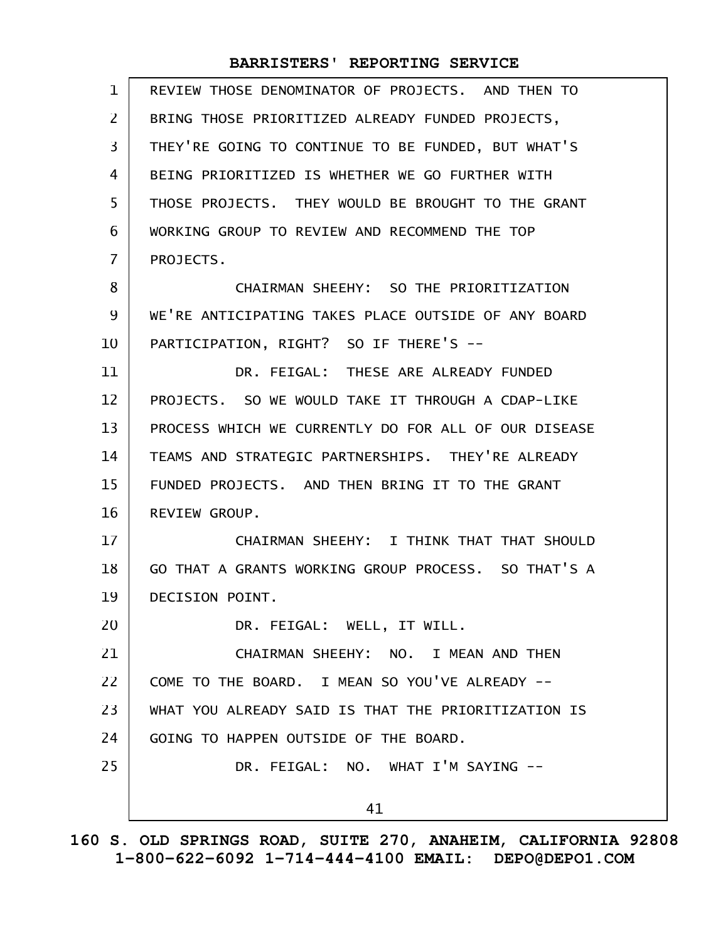| $\mathbf 1$    | REVIEW THOSE DENOMINATOR OF PROJECTS. AND THEN TO    |
|----------------|------------------------------------------------------|
| $\overline{2}$ | BRING THOSE PRIORITIZED ALREADY FUNDED PROJECTS,     |
| 3              | THEY'RE GOING TO CONTINUE TO BE FUNDED, BUT WHAT'S   |
| 4              | BEING PRIORITIZED IS WHETHER WE GO FURTHER WITH      |
| 5              | THOSE PROJECTS. THEY WOULD BE BROUGHT TO THE GRANT   |
| 6              | WORKING GROUP TO REVIEW AND RECOMMEND THE TOP        |
| $\overline{7}$ | PROJECTS.                                            |
| 8              | CHAIRMAN SHEEHY: SO THE PRIORITIZATION               |
| 9              | WE'RE ANTICIPATING TAKES PLACE OUTSIDE OF ANY BOARD  |
| 10             | PARTICIPATION, RIGHT? SO IF THERE'S --               |
| 11             | DR. FEIGAL: THESE ARE ALREADY FUNDED                 |
| 12             | PROJECTS. SO WE WOULD TAKE IT THROUGH A CDAP-LIKE    |
| 13             | PROCESS WHICH WE CURRENTLY DO FOR ALL OF OUR DISEASE |
| 14             | TEAMS AND STRATEGIC PARTNERSHIPS. THEY'RE ALREADY    |
| 15             | FUNDED PROJECTS. AND THEN BRING IT TO THE GRANT      |
| 16             | REVIEW GROUP.                                        |
| 17             | CHAIRMAN SHEEHY: I THINK THAT THAT SHOULD            |
| 18             | GO THAT A GRANTS WORKING GROUP PROCESS. SO THAT'S A  |
| 19             | DECISION POINT.                                      |
| 20             | DR. FEIGAL: WELL, IT WILL.                           |
| 21             | CHAIRMAN SHEEHY: NO. I MEAN AND THEN                 |
| 22             | COME TO THE BOARD. I MEAN SO YOU'VE ALREADY --       |
| 23             | WHAT YOU ALREADY SAID IS THAT THE PRIORITIZATION IS  |
| 24             | GOING TO HAPPEN OUTSIDE OF THE BOARD.                |
| 25             | DR. FEIGAL: NO. WHAT I'M SAYING --                   |
|                | 41                                                   |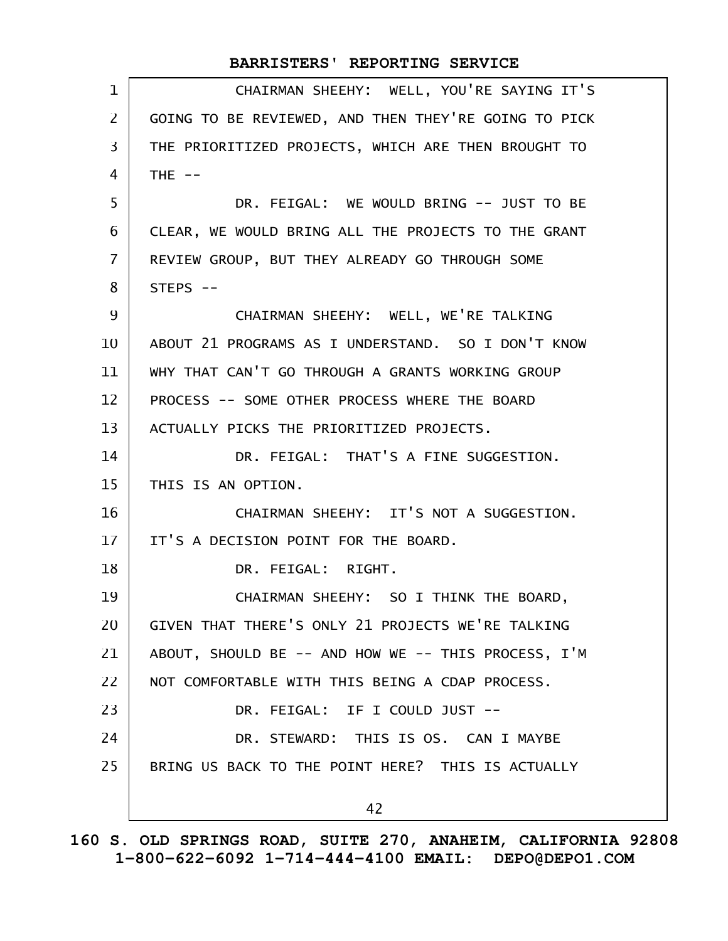| 1                 | CHAIRMAN SHEEHY: WELL, YOU'RE SAYING IT'S            |
|-------------------|------------------------------------------------------|
| 2                 | GOING TO BE REVIEWED, AND THEN THEY'RE GOING TO PICK |
| 3                 | THE PRIORITIZED PROJECTS, WHICH ARE THEN BROUGHT TO  |
| 4                 | THE $--$                                             |
| 5                 | DR. FEIGAL: WE WOULD BRING -- JUST TO BE             |
| 6                 | CLEAR, WE WOULD BRING ALL THE PROJECTS TO THE GRANT  |
| $\overline{7}$    | REVIEW GROUP, BUT THEY ALREADY GO THROUGH SOME       |
| 8                 | $STEPS$ --                                           |
| 9                 | CHAIRMAN SHEEHY: WELL, WE'RE TALKING                 |
| 10                | ABOUT 21 PROGRAMS AS I UNDERSTAND. SO I DON'T KNOW   |
| 11                | WHY THAT CAN'T GO THROUGH A GRANTS WORKING GROUP     |
| $12 \overline{ }$ | PROCESS -- SOME OTHER PROCESS WHERE THE BOARD        |
| 13                | ACTUALLY PICKS THE PRIORITIZED PROJECTS.             |
| 14                | DR. FEIGAL: THAT'S A FINE SUGGESTION.                |
| 15                | THIS IS AN OPTION.                                   |
| 16                | CHAIRMAN SHEEHY: IT'S NOT A SUGGESTION.              |
| 17                | IT'S A DECISION POINT FOR THE BOARD.                 |
| 18                | DR. FEIGAL: RIGHT.                                   |
| 19                | CHAIRMAN SHEEHY: SO I THINK THE BOARD.               |
| 20                | GIVEN THAT THERE'S ONLY 21 PROJECTS WE'RE TALKING    |
| 21                | ABOUT, SHOULD BE -- AND HOW WE -- THIS PROCESS, I'M  |
| 22                | NOT COMFORTABLE WITH THIS BEING A CDAP PROCESS.      |
| 23                | DR. FEIGAL: IF I COULD JUST --                       |
| 24                | DR. STEWARD: THIS IS OS. CAN I MAYBE                 |
| 25                | BRING US BACK TO THE POINT HERE? THIS IS ACTUALLY    |
|                   | 42                                                   |
|                   |                                                      |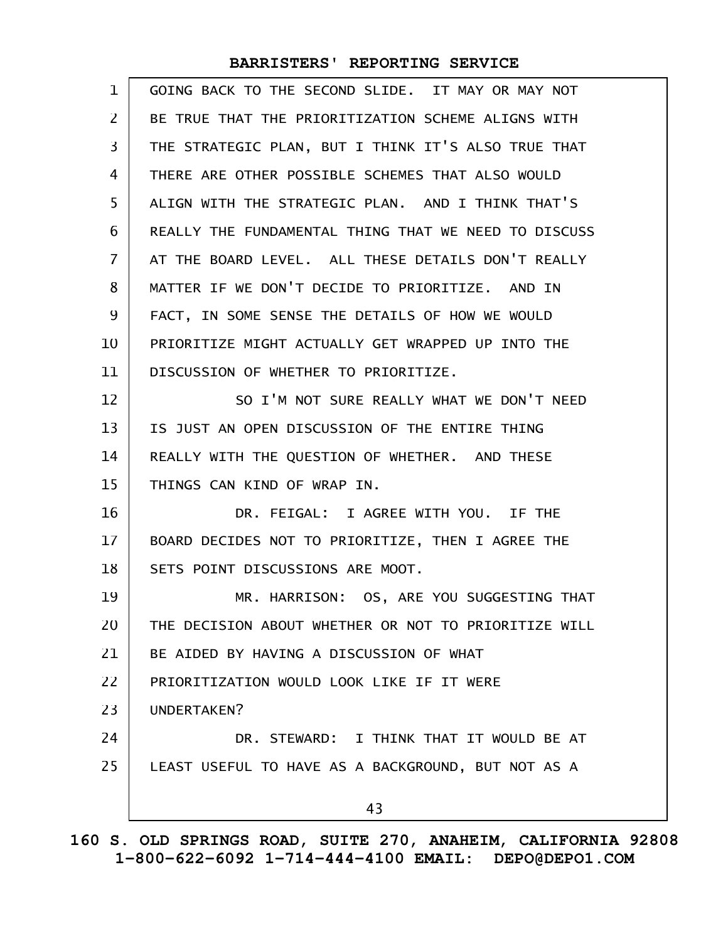| $\mathbf 1$    | GOING BACK TO THE SECOND SLIDE. IT MAY OR MAY NOT    |
|----------------|------------------------------------------------------|
| $\overline{2}$ | BE TRUE THAT THE PRIORITIZATION SCHEME ALIGNS WITH   |
| 3              | THE STRATEGIC PLAN, BUT I THINK IT'S ALSO TRUE THAT  |
| 4              | THERE ARE OTHER POSSIBLE SCHEMES THAT ALSO WOULD     |
| 5              | ALIGN WITH THE STRATEGIC PLAN. AND I THINK THAT'S    |
| 6              | REALLY THE FUNDAMENTAL THING THAT WE NEED TO DISCUSS |
| $\overline{7}$ | AT THE BOARD LEVEL. ALL THESE DETAILS DON'T REALLY   |
| 8              | MATTER IF WE DON'T DECIDE TO PRIORITIZE. AND IN      |
| 9              | FACT, IN SOME SENSE THE DETAILS OF HOW WE WOULD      |
| 10             | PRIORITIZE MIGHT ACTUALLY GET WRAPPED UP INTO THE    |
| 11             | DISCUSSION OF WHETHER TO PRIORITIZE.                 |
| 12             | SO I'M NOT SURE REALLY WHAT WE DON'T NEED            |
| 13             | IS JUST AN OPEN DISCUSSION OF THE ENTIRE THING       |
| 14             | REALLY WITH THE QUESTION OF WHETHER. AND THESE       |
| 15             | THINGS CAN KIND OF WRAP IN.                          |
| 16             | DR. FEIGAL: I AGREE WITH YOU. IF THE                 |
| $17 \,$        | BOARD DECIDES NOT TO PRIORITIZE, THEN I AGREE THE    |
| 18             | SETS POINT DISCUSSIONS ARE MOOT.                     |
| 19             | MR. HARRISON: OS, ARE YOU SUGGESTING THAT            |
| 20             | THE DECISION ABOUT WHETHER OR NOT TO PRIORITIZE WILL |
| 21             | BE AIDED BY HAVING A DISCUSSION OF WHAT              |
| 22             | PRIORITIZATION WOULD LOOK LIKE IF IT WERE            |
| 23             | UNDERTAKEN?                                          |
| 24             | DR. STEWARD: I THINK THAT IT WOULD BE AT             |
| 25             | LEAST USEFUL TO HAVE AS A BACKGROUND, BUT NOT AS A   |
|                | 43                                                   |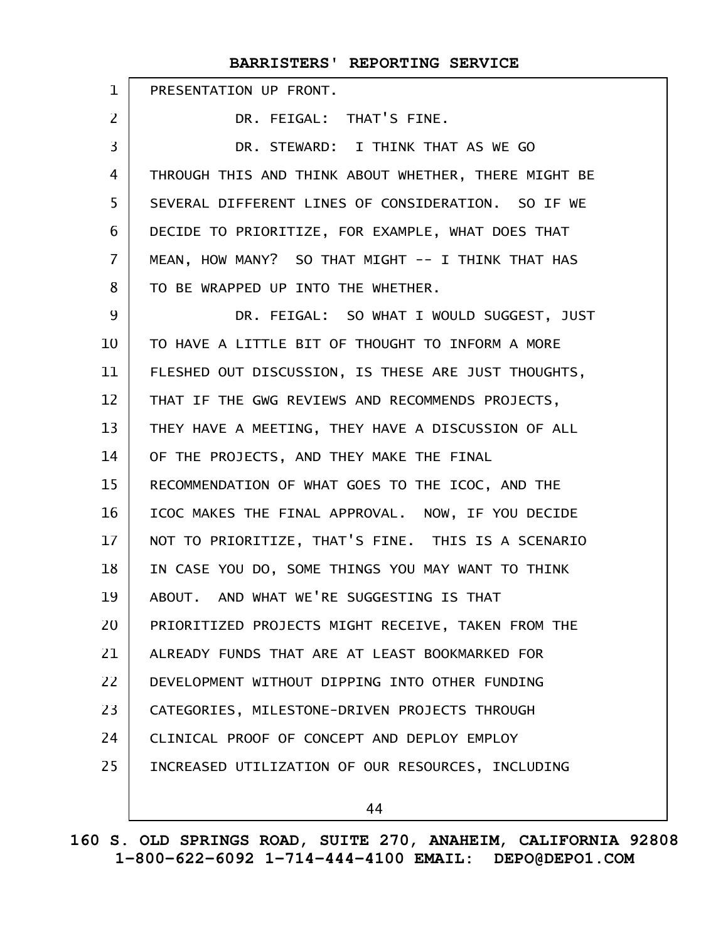|                | BARRISTERS' REPORTING SERVICE                        |
|----------------|------------------------------------------------------|
| $\mathbf{1}$   | PRESENTATION UP FRONT.                               |
| $\overline{2}$ | DR. FEIGAL: THAT'S FINE.                             |
| 3              | DR. STEWARD: I THINK THAT AS WE GO                   |
| 4              | THROUGH THIS AND THINK ABOUT WHETHER, THERE MIGHT BE |
| 5              | SEVERAL DIFFERENT LINES OF CONSIDERATION. SO IF WE   |
| 6              | DECIDE TO PRIORITIZE, FOR EXAMPLE, WHAT DOES THAT    |
| $\overline{7}$ | MEAN, HOW MANY? SO THAT MIGHT -- I THINK THAT HAS    |
| 8              | TO BE WRAPPED UP INTO THE WHETHER.                   |
| 9              | DR. FEIGAL: SO WHAT I WOULD SUGGEST, JUST            |
| 10             | TO HAVE A LITTLE BIT OF THOUGHT TO INFORM A MORE     |
| 11             | FLESHED OUT DISCUSSION, IS THESE ARE JUST THOUGHTS,  |
| 12             | THAT IF THE GWG REVIEWS AND RECOMMENDS PROJECTS,     |
| 13             | THEY HAVE A MEETING, THEY HAVE A DISCUSSION OF ALL   |
| 14             | OF THE PROJECTS, AND THEY MAKE THE FINAL             |
| 15             | RECOMMENDATION OF WHAT GOES TO THE ICOC, AND THE     |
| 16             | ICOC MAKES THE FINAL APPROVAL. NOW, IF YOU DECIDE    |
| 17             | NOT TO PRIORITIZE, THAT'S FINE. THIS IS A SCENARIO   |
| 18             | IN CASE YOU DO, SOME THINGS YOU MAY WANT TO THINK    |
| 19             | ABOUT. AND WHAT WE'RE SUGGESTING IS THAT             |
| 20             | PRIORITIZED PROJECTS MIGHT RECEIVE, TAKEN FROM THE   |
| 21             | ALREADY FUNDS THAT ARE AT LEAST BOOKMARKED FOR       |
| 22             | DEVELOPMENT WITHOUT DIPPING INTO OTHER FUNDING       |
| 23             | CATEGORIES, MILESTONE-DRIVEN PROJECTS THROUGH        |
| 24             | CLINICAL PROOF OF CONCEPT AND DEPLOY EMPLOY          |
| 25             | INCREASED UTILIZATION OF OUR RESOURCES, INCLUDING    |
|                |                                                      |

44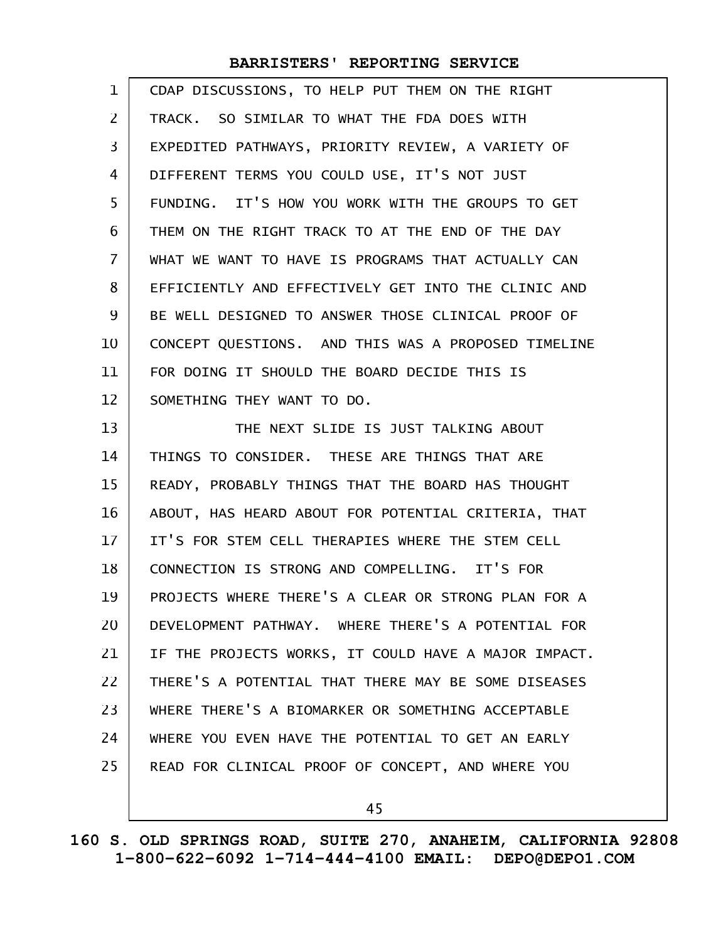| $\mathbf 1$    | CDAP DISCUSSIONS, TO HELP PUT THEM ON THE RIGHT      |
|----------------|------------------------------------------------------|
| 2              | TRACK. SO SIMILAR TO WHAT THE FDA DOES WITH          |
| 3              | EXPEDITED PATHWAYS, PRIORITY REVIEW, A VARIETY OF    |
| 4              | DIFFERENT TERMS YOU COULD USE, IT'S NOT JUST         |
| 5              | FUNDING. IT'S HOW YOU WORK WITH THE GROUPS TO GET    |
| 6              | THEM ON THE RIGHT TRACK TO AT THE END OF THE DAY     |
| $\overline{7}$ | WHAT WE WANT TO HAVE IS PROGRAMS THAT ACTUALLY CAN   |
| 8              | EFFICIENTLY AND EFFECTIVELY GET INTO THE CLINIC AND  |
| 9              | BE WELL DESIGNED TO ANSWER THOSE CLINICAL PROOF OF   |
| 10             | CONCEPT QUESTIONS. AND THIS WAS A PROPOSED TIMELINE  |
| 11             | FOR DOING IT SHOULD THE BOARD DECIDE THIS IS         |
| 12             | SOMETHING THEY WANT TO DO.                           |
| 13             | THE NEXT SLIDE IS JUST TALKING ABOUT                 |
| 14             | THINGS TO CONSIDER. THESE ARE THINGS THAT ARE        |
| 15             | READY, PROBABLY THINGS THAT THE BOARD HAS THOUGHT    |
| 16             | ABOUT, HAS HEARD ABOUT FOR POTENTIAL CRITERIA, THAT  |
| 17             | IT'S FOR STEM CELL THERAPIES WHERE THE STEM CELL     |
| 18             | CONNECTION IS STRONG AND COMPELLING. IT'S FOR        |
| 19             | PROJECTS WHERE THERE'S A CLEAR OR STRONG PLAN FOR A  |
| 20             | DEVELOPMENT PATHWAY. WHERE THERE'S A POTENTIAL FOR   |
| 21             | IF THE PROJECTS WORKS, IT COULD HAVE A MAJOR IMPACT. |
| 22             | THERE'S A POTENTIAL THAT THERE MAY BE SOME DISEASES  |
| 23             | WHERE THERE'S A BIOMARKER OR SOMETHING ACCEPTABLE    |
| 24             | WHERE YOU EVEN HAVE THE POTENTIAL TO GET AN EARLY    |
| 25             | READ FOR CLINICAL PROOF OF CONCEPT, AND WHERE YOU    |
|                |                                                      |

45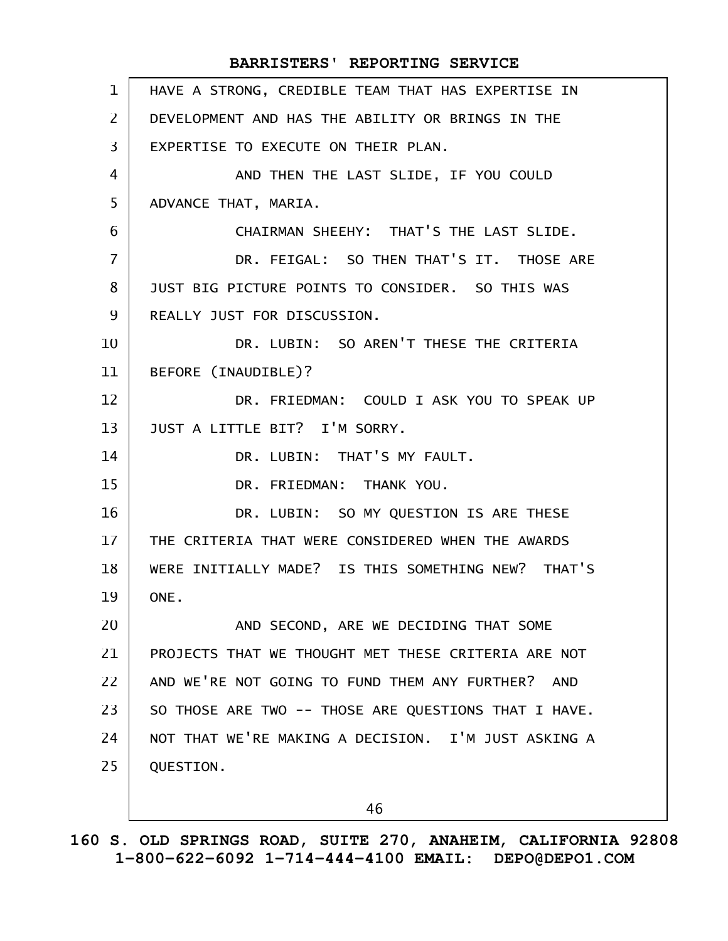| $\mathbf{1}$   | HAVE A STRONG, CREDIBLE TEAM THAT HAS EXPERTISE IN   |
|----------------|------------------------------------------------------|
| $\overline{2}$ | DEVELOPMENT AND HAS THE ABILITY OR BRINGS IN THE     |
| 3              | EXPERTISE TO EXECUTE ON THEIR PLAN.                  |
| 4              | AND THEN THE LAST SLIDE, IF YOU COULD                |
| 5              | ADVANCE THAT, MARIA.                                 |
| 6              | CHAIRMAN SHEEHY: THAT'S THE LAST SLIDE.              |
| 7              | DR. FEIGAL: SO THEN THAT'S IT. THOSE ARE             |
| 8              | JUST BIG PICTURE POINTS TO CONSIDER. SO THIS WAS     |
| 9              | REALLY JUST FOR DISCUSSION.                          |
| 10             | DR. LUBIN: SO AREN'T THESE THE CRITERIA              |
| 11             | BEFORE (INAUDIBLE)?                                  |
| 12             | DR. FRIEDMAN: COULD I ASK YOU TO SPEAK UP            |
| 13             | JUST A LITTLE BIT? I'M SORRY.                        |
| 14             | DR. LUBIN: THAT'S MY FAULT.                          |
| 15             | DR. FRIEDMAN: THANK YOU.                             |
| 16             | DR. LUBIN: SO MY QUESTION IS ARE THESE               |
| 17             | THE CRITERIA THAT WERE CONSIDERED WHEN THE AWARDS    |
| 18             | WERE INITIALLY MADE? IS THIS SOMETHING NEW? THAT'S   |
| 19             | ONE.                                                 |
| 20             | AND SECOND, ARE WE DECIDING THAT SOME                |
| 21             | PROJECTS THAT WE THOUGHT MET THESE CRITERIA ARE NOT  |
| 22             | AND WE'RE NOT GOING TO FUND THEM ANY FURTHER? AND    |
| 23             | SO THOSE ARE TWO -- THOSE ARE QUESTIONS THAT I HAVE. |
| 24             | NOT THAT WE'RE MAKING A DECISION. I'M JUST ASKING A  |
| 25             | QUESTION.                                            |
|                |                                                      |

46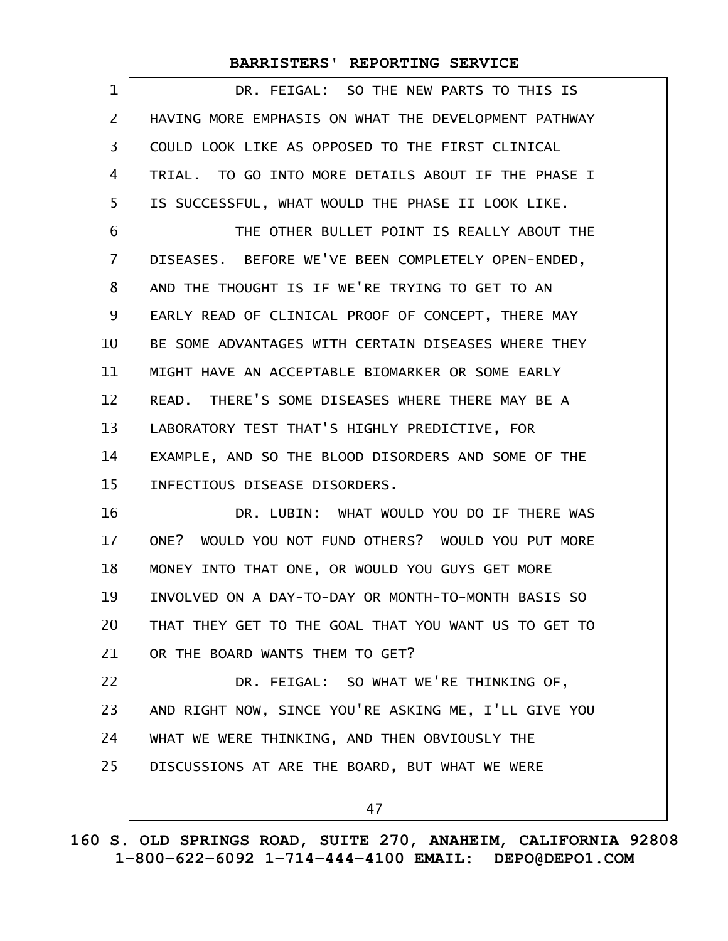| $\mathbf 1$    | DR. FEIGAL: SO THE NEW PARTS TO THIS IS              |
|----------------|------------------------------------------------------|
| $\overline{2}$ | HAVING MORE EMPHASIS ON WHAT THE DEVELOPMENT PATHWAY |
| 3              | COULD LOOK LIKE AS OPPOSED TO THE FIRST CLINICAL     |
| 4              | TRIAL. TO GO INTO MORE DETAILS ABOUT IF THE PHASE I  |
| 5              | IS SUCCESSFUL, WHAT WOULD THE PHASE II LOOK LIKE.    |
| 6              | THE OTHER BULLET POINT IS REALLY ABOUT THE           |
| $\overline{7}$ | DISEASES. BEFORE WE'VE BEEN COMPLETELY OPEN-ENDED,   |
| 8              | AND THE THOUGHT IS IF WE'RE TRYING TO GET TO AN      |
| 9              | EARLY READ OF CLINICAL PROOF OF CONCEPT, THERE MAY   |
| 10             | BE SOME ADVANTAGES WITH CERTAIN DISEASES WHERE THEY  |
| 11             | MIGHT HAVE AN ACCEPTABLE BIOMARKER OR SOME EARLY     |
| 12             | READ. THERE'S SOME DISEASES WHERE THERE MAY BE A     |
| 13             | LABORATORY TEST THAT'S HIGHLY PREDICTIVE, FOR        |
| 14             | EXAMPLE, AND SO THE BLOOD DISORDERS AND SOME OF THE  |
| 15             | INFECTIOUS DISEASE DISORDERS.                        |
| 16             | DR. LUBIN: WHAT WOULD YOU DO IF THERE WAS            |
| 17             | ONE? WOULD YOU NOT FUND OTHERS? WOULD YOU PUT MORE   |
| 18             | MONEY INTO THAT ONE, OR WOULD YOU GUYS GET MORE      |
| 19             | INVOLVED ON A DAY-TO-DAY OR MONTH-TO-MONTH BASIS SO  |
| 20             | THAT THEY GET TO THE GOAL THAT YOU WANT US TO GET TO |
| 21             | OR THE BOARD WANTS THEM TO GET?                      |
| 22             | DR. FEIGAL: SO WHAT WE'RE THINKING OF,               |
| 23             | AND RIGHT NOW, SINCE YOU'RE ASKING ME, I'LL GIVE YOU |
| 24             | WHAT WE WERE THINKING, AND THEN OBVIOUSLY THE        |
| 25             | DISCUSSIONS AT ARE THE BOARD, BUT WHAT WE WERE       |
|                | 47                                                   |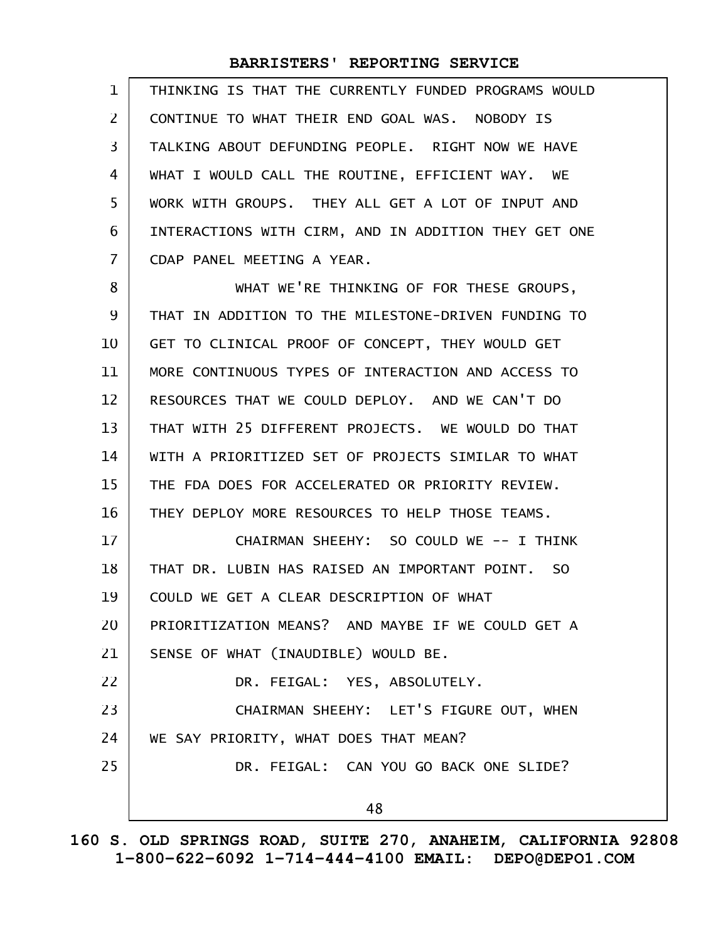| $\mathbf 1$    | THINKING IS THAT THE CURRENTLY FUNDED PROGRAMS WOULD |
|----------------|------------------------------------------------------|
| $\overline{2}$ | CONTINUE TO WHAT THEIR END GOAL WAS. NOBODY IS       |
| 3              | TALKING ABOUT DEFUNDING PEOPLE. RIGHT NOW WE HAVE    |
| 4              | WHAT I WOULD CALL THE ROUTINE, EFFICIENT WAY. WE     |
| 5              | WORK WITH GROUPS. THEY ALL GET A LOT OF INPUT AND    |
| 6              | INTERACTIONS WITH CIRM, AND IN ADDITION THEY GET ONE |
| $\overline{7}$ | CDAP PANEL MEETING A YEAR.                           |
| 8              | WHAT WE'RE THINKING OF FOR THESE GROUPS,             |
| 9              | THAT IN ADDITION TO THE MILESTONE-DRIVEN FUNDING TO  |
| 10             | GET TO CLINICAL PROOF OF CONCEPT, THEY WOULD GET     |
| 11             | MORE CONTINUOUS TYPES OF INTERACTION AND ACCESS TO   |
| 12             | RESOURCES THAT WE COULD DEPLOY. AND WE CAN'T DO      |
| 13             | THAT WITH 25 DIFFERENT PROJECTS. WE WOULD DO THAT    |
| 14             | WITH A PRIORITIZED SET OF PROJECTS SIMILAR TO WHAT   |
| 15             | THE FDA DOES FOR ACCELERATED OR PRIORITY REVIEW.     |
| 16             | THEY DEPLOY MORE RESOURCES TO HELP THOSE TEAMS.      |
| 17             | CHAIRMAN SHEEHY: SO COULD WE -- I THINK              |
| 18             | THAT DR. LUBIN HAS RAISED AN IMPORTANT POINT. SO     |
| 19             | COULD WE GET A CLEAR DESCRIPTION OF WHAT             |
| 20             | PRIORITIZATION MEANS? AND MAYBE IF WE COULD GET A    |
| 21             | SENSE OF WHAT (INAUDIBLE) WOULD BE.                  |
| 22             | DR. FEIGAL: YES, ABSOLUTELY.                         |
| 23             | CHAIRMAN SHEEHY: LET'S FIGURE OUT, WHEN              |
| 24             | WE SAY PRIORITY, WHAT DOES THAT MEAN?                |
| 25             | DR. FEIGAL: CAN YOU GO BACK ONE SLIDE?               |
|                | 48                                                   |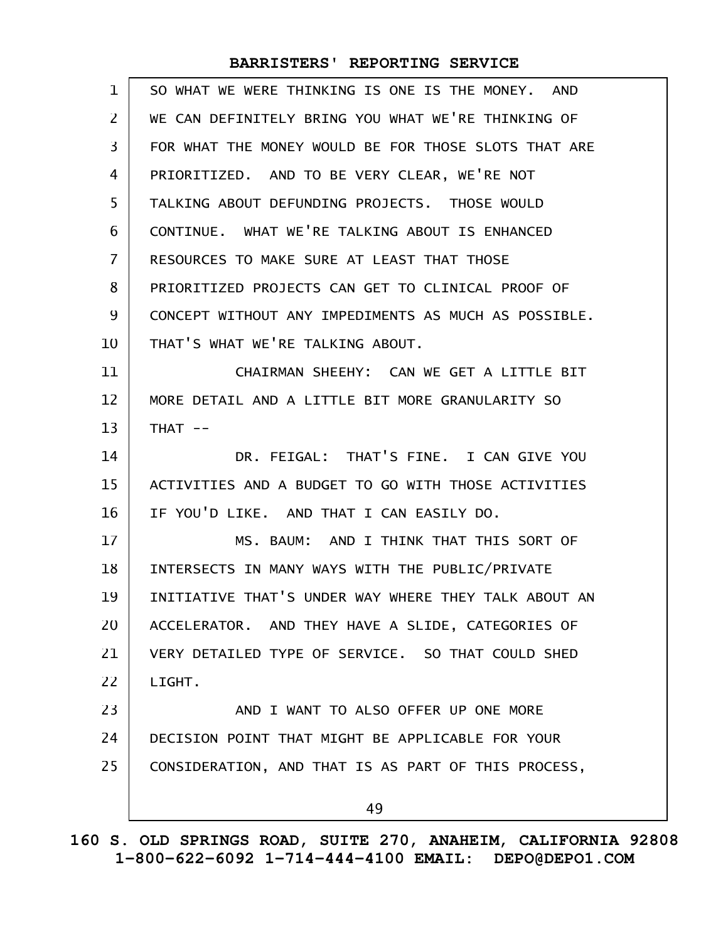| $\mathbf{1}$   | SO WHAT WE WERE THINKING IS ONE IS THE MONEY. AND    |
|----------------|------------------------------------------------------|
| $\mathsf{Z}$   | WE CAN DEFINITELY BRING YOU WHAT WE'RE THINKING OF   |
| 3              | FOR WHAT THE MONEY WOULD BE FOR THOSE SLOTS THAT ARE |
| 4              | PRIORITIZED. AND TO BE VERY CLEAR, WE'RE NOT         |
| 5              | TALKING ABOUT DEFUNDING PROJECTS. THOSE WOULD        |
| 6              | CONTINUE. WHAT WE'RE TALKING ABOUT IS ENHANCED       |
| $\overline{7}$ | RESOURCES TO MAKE SURE AT LEAST THAT THOSE           |
| 8              | PRIORITIZED PROJECTS CAN GET TO CLINICAL PROOF OF    |
| 9              | CONCEPT WITHOUT ANY IMPEDIMENTS AS MUCH AS POSSIBLE. |
| 10             | THAT'S WHAT WE'RE TALKING ABOUT.                     |
| 11             | CHAIRMAN SHEEHY: CAN WE GET A LITTLE BIT             |
| 12             | MORE DETAIL AND A LITTLE BIT MORE GRANULARITY SO     |
| 13             | $THAT$ --                                            |
| 14             | DR. FEIGAL: THAT'S FINE. I CAN GIVE YOU              |
| 15             | ACTIVITIES AND A BUDGET TO GO WITH THOSE ACTIVITIES  |
| 16             | IF YOU'D LIKE. AND THAT I CAN EASILY DO.             |
| 17             | MS. BAUM: AND I THINK THAT THIS SORT OF              |
| 18             | INTERSECTS IN MANY WAYS WITH THE PUBLIC/PRIVATE      |
| 19             | INITIATIVE THAT'S UNDER WAY WHERE THEY TALK ABOUT AN |
| 20             | ACCELERATOR. AND THEY HAVE A SLIDE, CATEGORIES OF    |
| 21             | VERY DETAILED TYPE OF SERVICE. SO THAT COULD SHED    |
| 22             | LIGHT.                                               |
| 23             | AND I WANT TO ALSO OFFER UP ONE MORE                 |
| 24             | DECISION POINT THAT MIGHT BE APPLICABLE FOR YOUR     |
| 25             | CONSIDERATION, AND THAT IS AS PART OF THIS PROCESS,  |
|                | 49                                                   |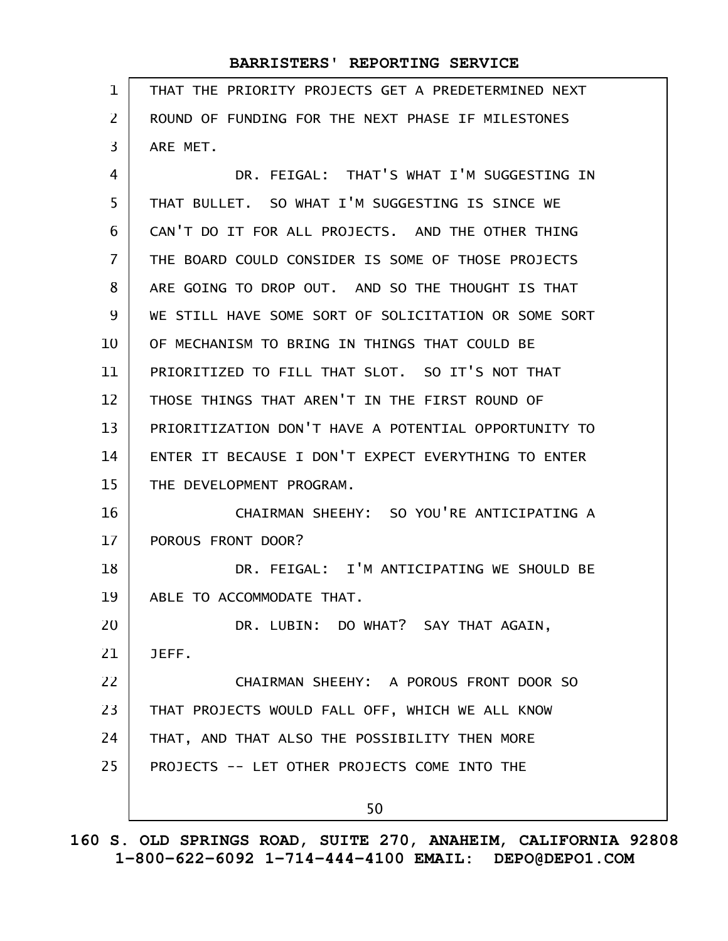| 1              | THAT THE PRIORITY PROJECTS GET A PREDETERMINED NEXT  |
|----------------|------------------------------------------------------|
| $\overline{2}$ | ROUND OF FUNDING FOR THE NEXT PHASE IF MILESTONES    |
| 3              | ARE MET.                                             |
| 4              | DR. FEIGAL: THAT'S WHAT I'M SUGGESTING IN            |
| 5              | THAT BULLET. SO WHAT I'M SUGGESTING IS SINCE WE      |
| 6              | CAN'T DO IT FOR ALL PROJECTS. AND THE OTHER THING    |
| 7              | THE BOARD COULD CONSIDER IS SOME OF THOSE PROJECTS   |
| 8              | ARE GOING TO DROP OUT. AND SO THE THOUGHT IS THAT    |
| 9              | WE STILL HAVE SOME SORT OF SOLICITATION OR SOME SORT |
| 10             | OF MECHANISM TO BRING IN THINGS THAT COULD BE        |
| 11             | PRIORITIZED TO FILL THAT SLOT. SO IT'S NOT THAT      |
| 12             | THOSE THINGS THAT AREN'T IN THE FIRST ROUND OF       |
| 13             | PRIORITIZATION DON'T HAVE A POTENTIAL OPPORTUNITY TO |
| 14             | ENTER IT BECAUSE I DON'T EXPECT EVERYTHING TO ENTER  |
| 15             | THE DEVELOPMENT PROGRAM.                             |
| 16             | CHAIRMAN SHEEHY: SO YOU'RE ANTICIPATING A            |
| 17             | POROUS FRONT DOOR?                                   |
| 18             | DR. FEIGAL: I'M ANTICIPATING WE SHOULD BE            |
| 19             | ABLE TO ACCOMMODATE THAT.                            |
| 20             | DR. LUBIN: DO WHAT? SAY THAT AGAIN,                  |
| 21             | JEFF.                                                |
| 22             | CHAIRMAN SHEEHY: A POROUS FRONT DOOR SO              |
| 23             | THAT PROJECTS WOULD FALL OFF, WHICH WE ALL KNOW      |
| 24             | THAT, AND THAT ALSO THE POSSIBILITY THEN MORE        |
| 25             | PROJECTS -- LET OTHER PROJECTS COME INTO THE         |
|                | 50                                                   |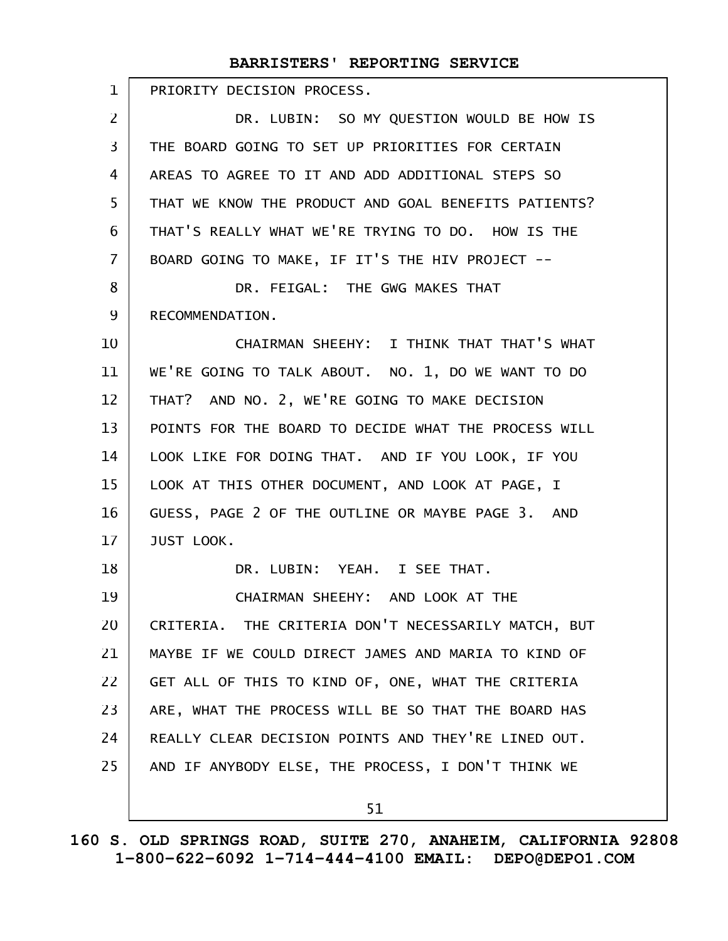| $\mathbf{1}$   | PRIORITY DECISION PROCESS.                           |
|----------------|------------------------------------------------------|
| 2              | DR. LUBIN: SO MY QUESTION WOULD BE HOW IS            |
| 3              | THE BOARD GOING TO SET UP PRIORITIES FOR CERTAIN     |
| 4              | AREAS TO AGREE TO IT AND ADD ADDITIONAL STEPS SO     |
| 5              | THAT WE KNOW THE PRODUCT AND GOAL BENEFITS PATIENTS? |
| 6              | THAT'S REALLY WHAT WE'RE TRYING TO DO. HOW IS THE    |
| $\overline{7}$ | BOARD GOING TO MAKE, IF IT'S THE HIV PROJECT --      |
| 8              | DR. FEIGAL: THE GWG MAKES THAT                       |
| 9              | RECOMMENDATION.                                      |
| 10             | CHAIRMAN SHEEHY: I THINK THAT THAT'S WHAT            |
| 11             | WE'RE GOING TO TALK ABOUT. NO. 1, DO WE WANT TO DO   |
| 12             | THAT? AND NO. 2, WE'RE GOING TO MAKE DECISION        |
| 13             | POINTS FOR THE BOARD TO DECIDE WHAT THE PROCESS WILL |
| 14             | LOOK LIKE FOR DOING THAT. AND IF YOU LOOK, IF YOU    |
| 15             | LOOK AT THIS OTHER DOCUMENT, AND LOOK AT PAGE, I     |
| 16             | GUESS, PAGE 2 OF THE OUTLINE OR MAYBE PAGE 3. AND    |
| 17             | JUST LOOK.                                           |
| 18             | DR. LUBIN: YEAH. I SEE THAT.                         |
| 19             | CHAIRMAN SHEEHY: AND LOOK AT THE                     |
| 20             | CRITERIA. THE CRITERIA DON'T NECESSARILY MATCH, BUT  |
| 21             | MAYBE IF WE COULD DIRECT JAMES AND MARIA TO KIND OF  |
| 22             | GET ALL OF THIS TO KIND OF, ONE, WHAT THE CRITERIA   |
| 23             | ARE, WHAT THE PROCESS WILL BE SO THAT THE BOARD HAS  |
| 24             | REALLY CLEAR DECISION POINTS AND THEY'RE LINED OUT.  |
| 25             | AND IF ANYBODY ELSE, THE PROCESS, I DON'T THINK WE   |
|                | 51                                                   |
|                |                                                      |

**160 S. OLD SPRINGS ROAD, SUITE 270, ANAHEIM, CALIFORNIA 92808 1-800-622-6092 1-714-444-4100 EMAIL: DEPO@DEPO1.COM**

 $\mathbf{I}$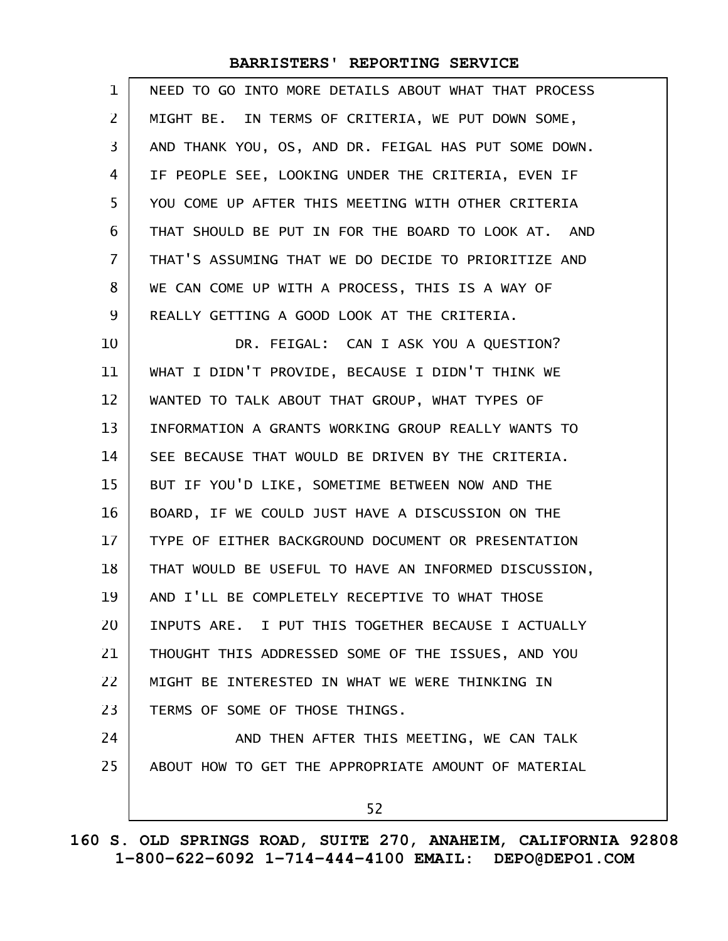| $\mathbf 1$ | NEED TO GO INTO MORE DETAILS ABOUT WHAT THAT PROCESS |
|-------------|------------------------------------------------------|
| 2           | MIGHT BE. IN TERMS OF CRITERIA, WE PUT DOWN SOME,    |
| 3           | AND THANK YOU, OS, AND DR. FEIGAL HAS PUT SOME DOWN. |
| 4           | IF PEOPLE SEE, LOOKING UNDER THE CRITERIA, EVEN IF   |
| 5           | YOU COME UP AFTER THIS MEETING WITH OTHER CRITERIA   |
| 6           | THAT SHOULD BE PUT IN FOR THE BOARD TO LOOK AT. AND  |
| 7           | THAT'S ASSUMING THAT WE DO DECIDE TO PRIORITIZE AND  |
| 8           | WE CAN COME UP WITH A PROCESS, THIS IS A WAY OF      |
| 9           | REALLY GETTING A GOOD LOOK AT THE CRITERIA.          |
| 10          | DR. FEIGAL: CAN I ASK YOU A QUESTION?                |
| 11          | WHAT I DIDN'T PROVIDE, BECAUSE I DIDN'T THINK WE     |
| 12          | WANTED TO TALK ABOUT THAT GROUP, WHAT TYPES OF       |
| 13          | INFORMATION A GRANTS WORKING GROUP REALLY WANTS TO   |
| 14          | SEE BECAUSE THAT WOULD BE DRIVEN BY THE CRITERIA.    |
| 15          | BUT IF YOU'D LIKE, SOMETIME BETWEEN NOW AND THE      |
| 16          | BOARD, IF WE COULD JUST HAVE A DISCUSSION ON THE     |
| 17          | TYPE OF EITHER BACKGROUND DOCUMENT OR PRESENTATION   |
| 18          | THAT WOULD BE USEFUL TO HAVE AN INFORMED DISCUSSION, |
| 19          | AND I'LL BE COMPLETELY RECEPTIVE TO WHAT THOSE       |
| 20          | INPUTS ARE. I PUT THIS TOGETHER BECAUSE I ACTUALLY   |
| 21          | THOUGHT THIS ADDRESSED SOME OF THE ISSUES, AND YOU   |
| 22          | MIGHT BE INTERESTED IN WHAT WE WERE THINKING IN      |
| 23          | TERMS OF SOME OF THOSE THINGS.                       |
| 24          | AND THEN AFTER THIS MEETING, WE CAN TALK             |
| 25          | ABOUT HOW TO GET THE APPROPRIATE AMOUNT OF MATERIAL  |
|             | 52                                                   |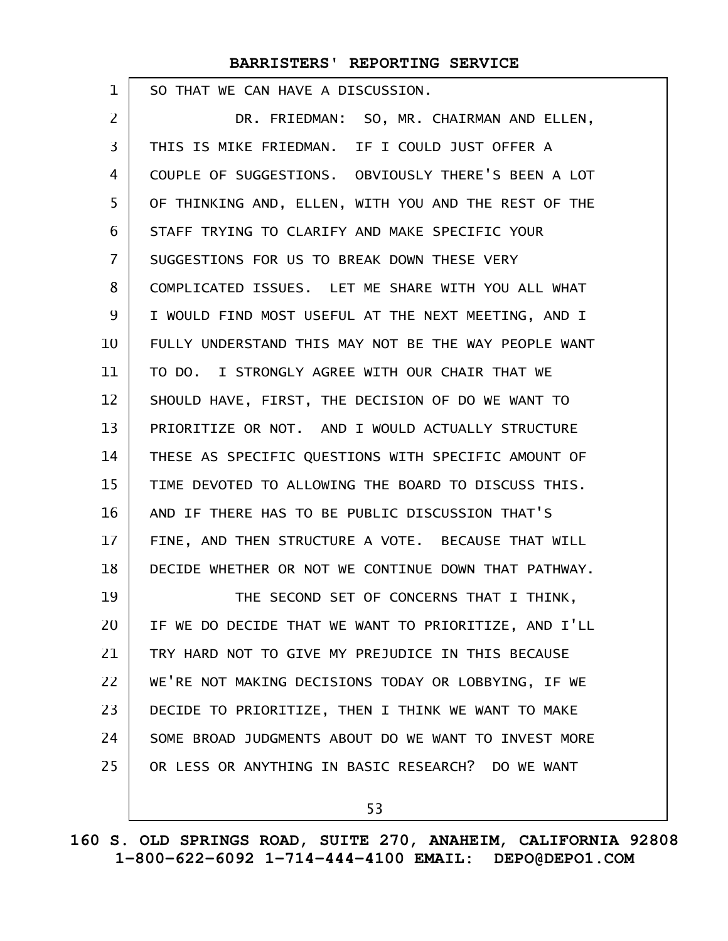SO THAT WE CAN HAVE A DISCUSSION.

1

DR. FRIEDMAN: SO, MR. CHAIRMAN AND ELLEN, THIS IS MIKE FRIEDMAN. IF I COULD JUST OFFER A COUPLE OF SUGGESTIONS. OBVIOUSLY THERE'S BEEN A LOT OF THINKING AND, ELLEN, WITH YOU AND THE REST OF THE STAFF TRYING TO CLARIFY AND MAKE SPECIFIC YOUR SUGGESTIONS FOR US TO BREAK DOWN THESE VERY COMPLICATED ISSUES. LET ME SHARE WITH YOU ALL WHAT I WOULD FIND MOST USEFUL AT THE NEXT MEETING, AND I FULLY UNDERSTAND THIS MAY NOT BE THE WAY PEOPLE WANT TO DO. I STRONGLY AGREE WITH OUR CHAIR THAT WE SHOULD HAVE, FIRST, THE DECISION OF DO WE WANT TO PRIORITIZE OR NOT. AND I WOULD ACTUALLY STRUCTURE THESE AS SPECIFIC QUESTIONS WITH SPECIFIC AMOUNT OF TIME DEVOTED TO ALLOWING THE BOARD TO DISCUSS THIS. AND IF THERE HAS TO BE PUBLIC DISCUSSION THAT'S FINE, AND THEN STRUCTURE A VOTE. BECAUSE THAT WILL DECIDE WHETHER OR NOT WE CONTINUE DOWN THAT PATHWAY. THE SECOND SET OF CONCERNS THAT I THINK, IF WE DO DECIDE THAT WE WANT TO PRIORITIZE, AND I'LL TRY HARD NOT TO GIVE MY PREJUDICE IN THIS BECAUSE WE'RE NOT MAKING DECISIONS TODAY OR LOBBYING, IF WE DECIDE TO PRIORITIZE, THEN I THINK WE WANT TO MAKE SOME BROAD JUDGMENTS ABOUT DO WE WANT TO INVEST MORE OR LESS OR ANYTHING IN BASIC RESEARCH? DO WE WANT 2 3 4 5 6 7 8 9 10 11 12 13 14 15 16 17 18 19 20 21 22 23 24 25

53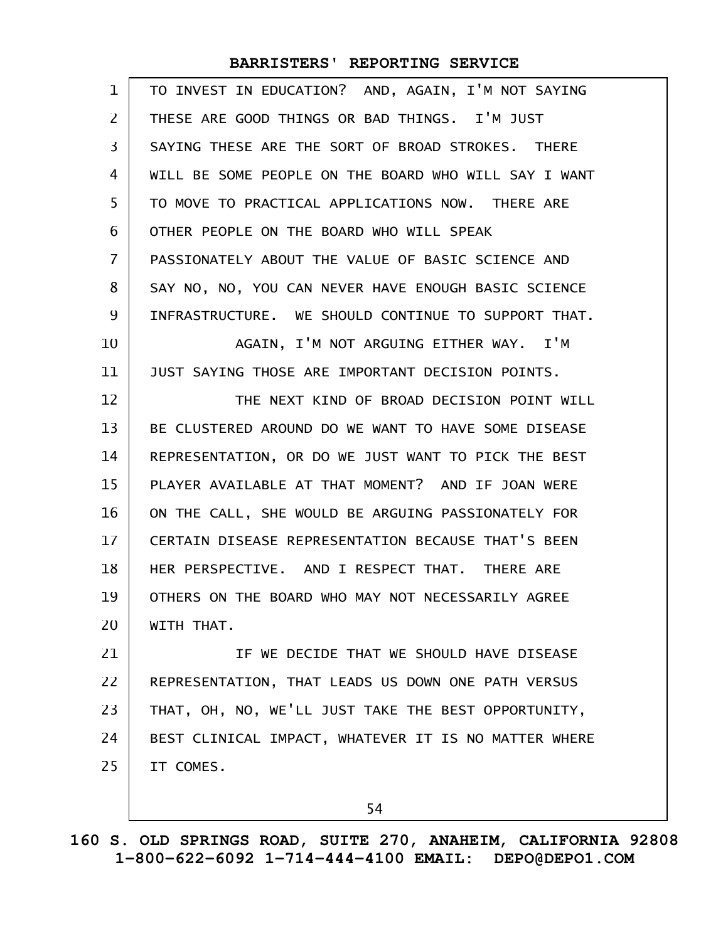| $\mathbf 1$    | TO INVEST IN EDUCATION? AND, AGAIN, I'M NOT SAYING   |
|----------------|------------------------------------------------------|
| 2              | THESE ARE GOOD THINGS OR BAD THINGS. I'M JUST        |
| 3              | SAYING THESE ARE THE SORT OF BROAD STROKES. THERE    |
| 4              | WILL BE SOME PEOPLE ON THE BOARD WHO WILL SAY I WANT |
| 5              | TO MOVE TO PRACTICAL APPLICATIONS NOW. THERE ARE     |
| 6              | OTHER PEOPLE ON THE BOARD WHO WILL SPEAK             |
| $\overline{7}$ | PASSIONATELY ABOUT THE VALUE OF BASIC SCIENCE AND    |
| 8              | SAY NO, NO, YOU CAN NEVER HAVE ENOUGH BASIC SCIENCE  |
| 9              | INFRASTRUCTURE. WE SHOULD CONTINUE TO SUPPORT THAT.  |
| 10             | AGAIN, I'M NOT ARGUING EITHER WAY. I'M               |
| 11             | JUST SAYING THOSE ARE IMPORTANT DECISION POINTS.     |
| 12             | THE NEXT KIND OF BROAD DECISION POINT WILL           |
| 13             | BE CLUSTERED AROUND DO WE WANT TO HAVE SOME DISEASE  |
| 14             | REPRESENTATION, OR DO WE JUST WANT TO PICK THE BEST  |
| 15             | PLAYER AVAILABLE AT THAT MOMENT? AND IF JOAN WERE    |
| 16             | ON THE CALL, SHE WOULD BE ARGUING PASSIONATELY FOR   |
| 17             | CERTAIN DISEASE REPRESENTATION BECAUSE THAT'S BEEN   |
| 18             | HER PERSPECTIVE. AND I RESPECT THAT. THERE ARE       |
| 19             | OTHERS ON THE BOARD WHO MAY NOT NECESSARILY AGREE    |
| 20             | WITH THAT.                                           |
| 21             | IF WE DECIDE THAT WE SHOULD HAVE DISEASE             |
| 22             | REPRESENTATION, THAT LEADS US DOWN ONE PATH VERSUS   |
| 23             | THAT, OH, NO, WE'LL JUST TAKE THE BEST OPPORTUNITY,  |
| 24             | BEST CLINICAL IMPACT, WHATEVER IT IS NO MATTER WHERE |
| 25             | IT COMES.                                            |
|                |                                                      |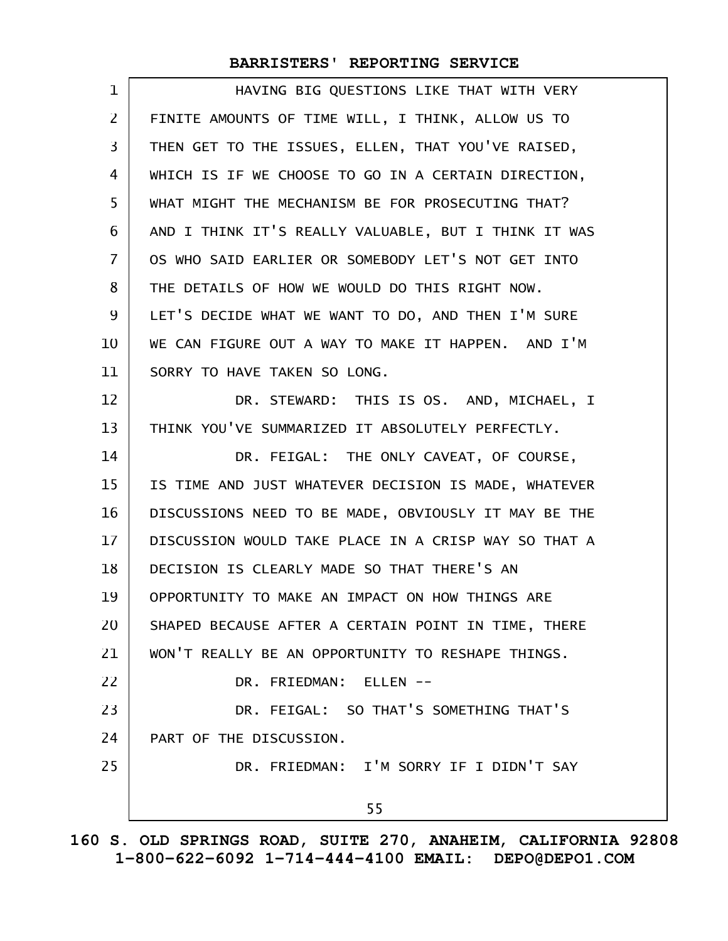| $\mathbf 1$    | HAVING BIG QUESTIONS LIKE THAT WITH VERY             |
|----------------|------------------------------------------------------|
| $\overline{2}$ | FINITE AMOUNTS OF TIME WILL, I THINK, ALLOW US TO    |
| 3              | THEN GET TO THE ISSUES, ELLEN, THAT YOU'VE RAISED,   |
| 4              | WHICH IS IF WE CHOOSE TO GO IN A CERTAIN DIRECTION,  |
| 5              | WHAT MIGHT THE MECHANISM BE FOR PROSECUTING THAT?    |
| 6              | AND I THINK IT'S REALLY VALUABLE, BUT I THINK IT WAS |
| $\overline{7}$ | OS WHO SAID EARLIER OR SOMEBODY LET'S NOT GET INTO   |
| 8              | THE DETAILS OF HOW WE WOULD DO THIS RIGHT NOW.       |
| 9              | LET'S DECIDE WHAT WE WANT TO DO, AND THEN I'M SURE   |
| 10             | WE CAN FIGURE OUT A WAY TO MAKE IT HAPPEN. AND I'M   |
| 11             | SORRY TO HAVE TAKEN SO LONG.                         |
| 12             | DR. STEWARD: THIS IS OS. AND, MICHAEL, I             |
| 13             | THINK YOU'VE SUMMARIZED IT ABSOLUTELY PERFECTLY.     |
| 14             | DR. FEIGAL: THE ONLY CAVEAT, OF COURSE,              |
| 15             | IS TIME AND JUST WHATEVER DECISION IS MADE, WHATEVER |
| 16             | DISCUSSIONS NEED TO BE MADE, OBVIOUSLY IT MAY BE THE |
| 17             | DISCUSSION WOULD TAKE PLACE IN A CRISP WAY SO THAT A |
| 18             | DECISION IS CLEARLY MADE SO THAT THERE'S AN          |
| 19             | OPPORTUNITY TO MAKE AN IMPACT ON HOW THINGS ARE      |
| 20             | SHAPED BECAUSE AFTER A CERTAIN POINT IN TIME, THERE  |
| 21             | WON'T REALLY BE AN OPPORTUNITY TO RESHAPE THINGS.    |
| 22             | DR. FRIEDMAN: ELLEN --                               |
| 23             | DR. FEIGAL: SO THAT'S SOMETHING THAT'S               |
| 24             | PART OF THE DISCUSSION.                              |
| 25             | DR. FRIEDMAN: I'M SORRY IF I DIDN'T SAY              |
|                | 55                                                   |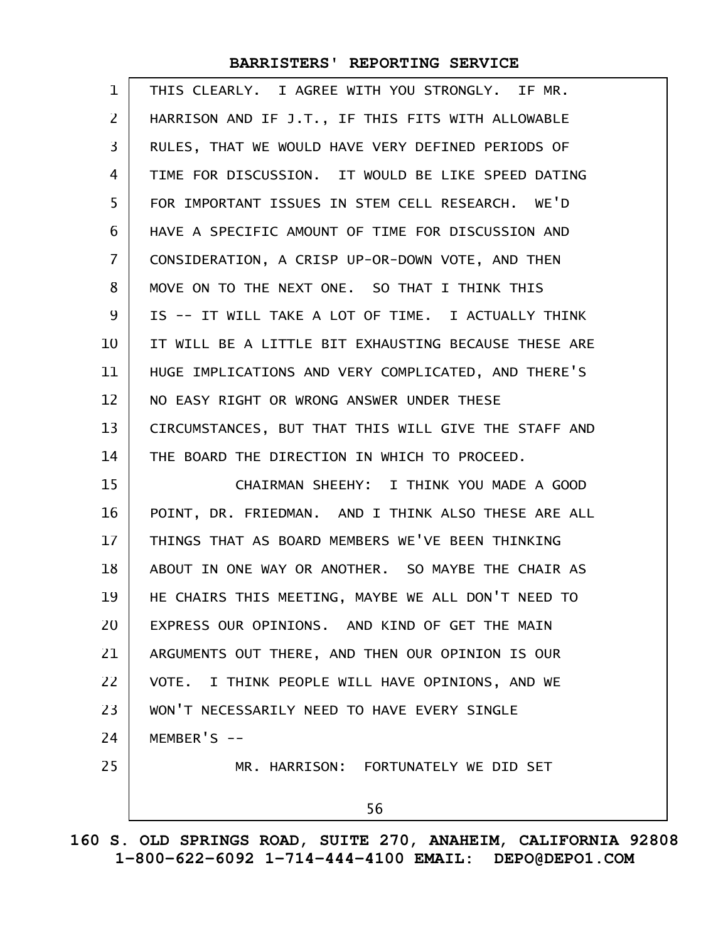| 1                 | THIS CLEARLY. I AGREE WITH YOU STRONGLY. IF MR.      |
|-------------------|------------------------------------------------------|
| 2                 | HARRISON AND IF J.T., IF THIS FITS WITH ALLOWABLE    |
| 3                 | RULES, THAT WE WOULD HAVE VERY DEFINED PERIODS OF    |
| 4                 | TIME FOR DISCUSSION. IT WOULD BE LIKE SPEED DATING   |
| 5                 | FOR IMPORTANT ISSUES IN STEM CELL RESEARCH. WE'D     |
| 6                 | HAVE A SPECIFIC AMOUNT OF TIME FOR DISCUSSION AND    |
| $\overline{I}$    | CONSIDERATION, A CRISP UP-OR-DOWN VOTE, AND THEN     |
| 8                 | MOVE ON TO THE NEXT ONE. SO THAT I THINK THIS        |
| 9                 | IS -- IT WILL TAKE A LOT OF TIME. I ACTUALLY THINK   |
| 10                | IT WILL BE A LITTLE BIT EXHAUSTING BECAUSE THESE ARE |
| 11                | HUGE IMPLICATIONS AND VERY COMPLICATED, AND THERE'S  |
| $12 \overline{ }$ | NO EASY RIGHT OR WRONG ANSWER UNDER THESE            |
| 13                | CIRCUMSTANCES, BUT THAT THIS WILL GIVE THE STAFF AND |
| 14                | THE BOARD THE DIRECTION IN WHICH TO PROCEED.         |
| 15                | CHAIRMAN SHEEHY: I THINK YOU MADE A GOOD             |
| 16                | POINT, DR. FRIEDMAN. AND I THINK ALSO THESE ARE ALL  |
| 17                | THINGS THAT AS BOARD MEMBERS WE'VE BEEN THINKING     |
| 18                | ABOUT IN ONE WAY OR ANOTHER. SO MAYBE THE CHAIR AS   |
| 19                | HE CHAIRS THIS MEETING, MAYBE WE ALL DON'T NEED TO   |
| 20                | EXPRESS OUR OPINIONS. AND KIND OF GET THE MAIN       |
| 21                | ARGUMENTS OUT THERE, AND THEN OUR OPINION IS OUR     |
| 22                | VOTE. I THINK PEOPLE WILL HAVE OPINIONS, AND WE      |
| 23                | WON'T NECESSARILY NEED TO HAVE EVERY SINGLE          |
| 24                | MEMBER'S $--$                                        |
| 25                | MR. HARRISON: FORTUNATELY WE DID SET                 |
|                   | 56                                                   |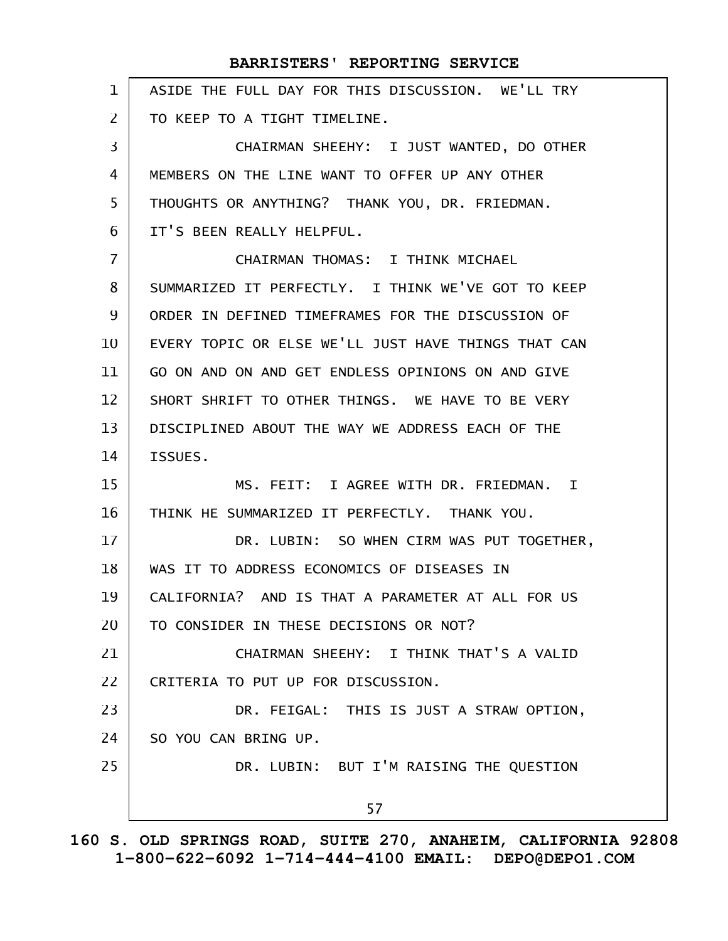ASIDE THE FULL DAY FOR THIS DISCUSSION. WE'LL TRY TO KEEP TO A TIGHT TIMELINE. CHAIRMAN SHEEHY: I JUST WANTED, DO OTHER MEMBERS ON THE LINE WANT TO OFFER UP ANY OTHER THOUGHTS OR ANYTHING? THANK YOU, DR. FRIEDMAN. IT'S BEEN REALLY HELPFUL. CHAIRMAN THOMAS: I THINK MICHAEL SUMMARIZED IT PERFECTLY. I THINK WE'VE GOT TO KEEP ORDER IN DEFINED TIMEFRAMES FOR THE DISCUSSION OF EVERY TOPIC OR ELSE WE'LL JUST HAVE THINGS THAT CAN GO ON AND ON AND GET ENDLESS OPINIONS ON AND GIVE SHORT SHRIFT TO OTHER THINGS. WE HAVE TO BE VERY DISCIPLINED ABOUT THE WAY WE ADDRESS EACH OF THE ISSUES. MS. FEIT: I AGREE WITH DR. FRIEDMAN. I THINK HE SUMMARIZED IT PERFECTLY. THANK YOU. DR. LUBIN: SO WHEN CIRM WAS PUT TOGETHER, WAS IT TO ADDRESS ECONOMICS OF DISEASES IN CALIFORNIA? AND IS THAT A PARAMETER AT ALL FOR US TO CONSIDER IN THESE DECISIONS OR NOT? CHAIRMAN SHEEHY: I THINK THAT'S A VALID CRITERIA TO PUT UP FOR DISCUSSION. DR. FEIGAL: THIS IS JUST A STRAW OPTION, SO YOU CAN BRING UP. DR. LUBIN: BUT I'M RAISING THE QUESTION 57 1 2 3 4 5 6 7 8 9 10 11 12 13 14 15 16 17 18 19 20 21 22 23 24 25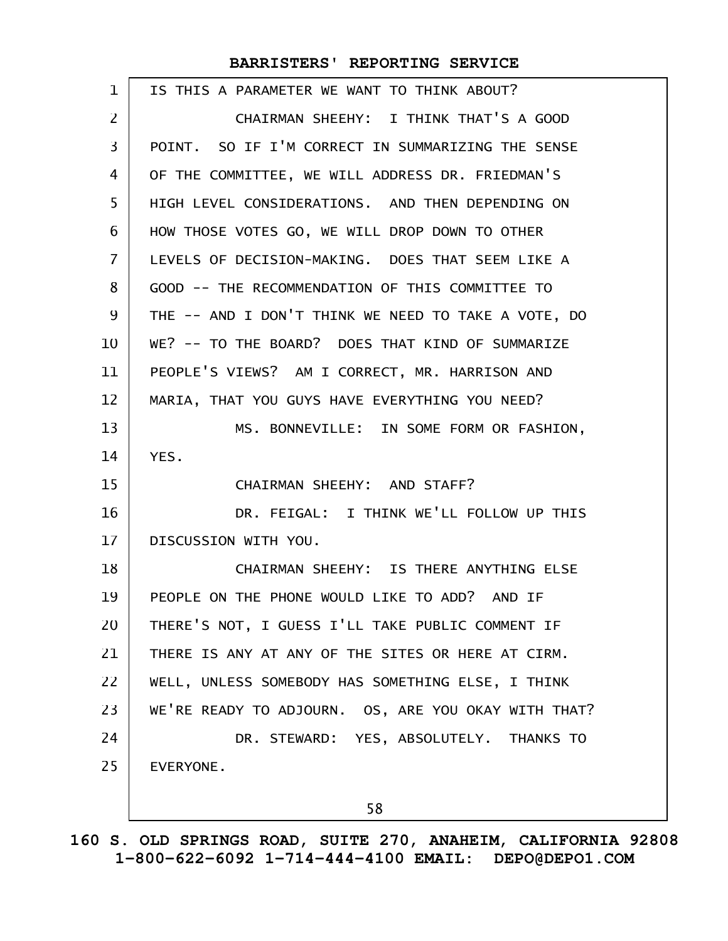| 1              | IS THIS A PARAMETER WE WANT TO THINK ABOUT?         |
|----------------|-----------------------------------------------------|
| 2              | CHAIRMAN SHEEHY: I THINK THAT'S A GOOD              |
| 3              | POINT. SO IF I'M CORRECT IN SUMMARIZING THE SENSE   |
| 4              | OF THE COMMITTEE, WE WILL ADDRESS DR. FRIEDMAN'S    |
| 5              | HIGH LEVEL CONSIDERATIONS. AND THEN DEPENDING ON    |
| 6              | HOW THOSE VOTES GO, WE WILL DROP DOWN TO OTHER      |
| $\overline{7}$ | LEVELS OF DECISION-MAKING. DOES THAT SEEM LIKE A    |
| 8              | GOOD -- THE RECOMMENDATION OF THIS COMMITTEE TO     |
| 9              | THE -- AND I DON'T THINK WE NEED TO TAKE A VOTE, DO |
| 10             | WE? -- TO THE BOARD? DOES THAT KIND OF SUMMARIZE    |
| 11             | PEOPLE'S VIEWS? AM I CORRECT, MR. HARRISON AND      |
| 12             | MARIA, THAT YOU GUYS HAVE EVERYTHING YOU NEED?      |
| 13             | MS. BONNEVILLE: IN SOME FORM OR FASHION,            |
| 14             | YES.                                                |
| 15             | CHAIRMAN SHEEHY: AND STAFF?                         |
| 16             | DR. FEIGAL: I THINK WE'LL FOLLOW UP THIS            |
| 17             | DISCUSSION WITH YOU.                                |
| 18             | CHAIRMAN SHEEHY: IS THERE ANYTHING ELSE             |
| 19             | PEOPLE ON THE PHONE WOULD LIKE TO ADD? AND IF       |
| 20             | THERE'S NOT, I GUESS I'LL TAKE PUBLIC COMMENT IF    |
| 21             | THERE IS ANY AT ANY OF THE SITES OR HERE AT CIRM.   |
| 22             | WELL, UNLESS SOMEBODY HAS SOMETHING ELSE, I THINK   |
| 23             | WE'RE READY TO ADJOURN. OS, ARE YOU OKAY WITH THAT? |
| 24             | DR. STEWARD: YES, ABSOLUTELY. THANKS TO             |
| 25             | EVERYONE.                                           |
|                |                                                     |
|                | 58                                                  |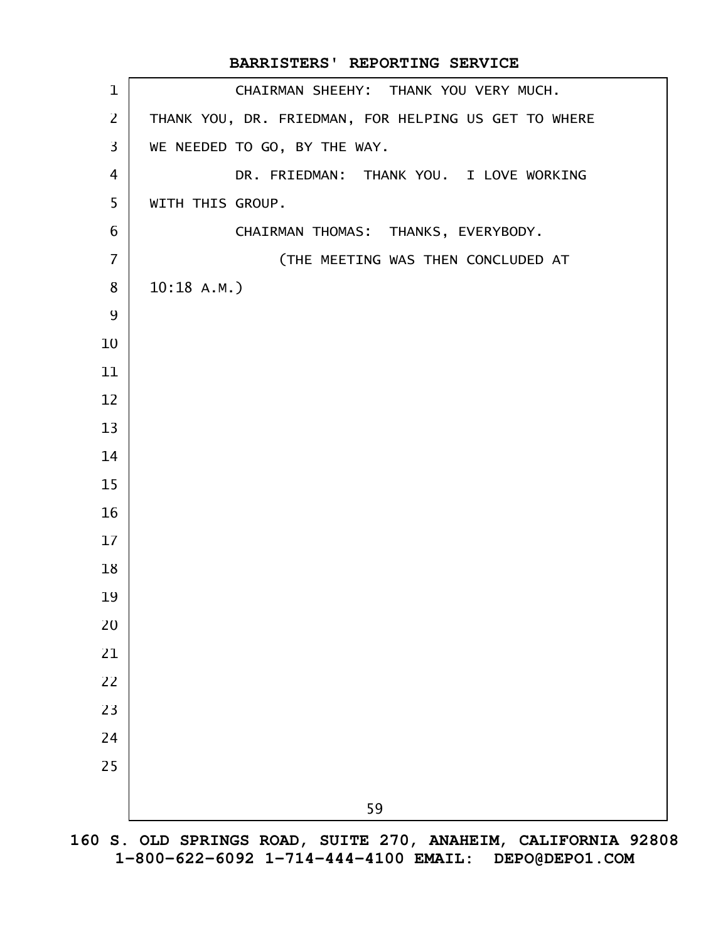|                | BARRISTERS' REPORTING SERVICE                        |
|----------------|------------------------------------------------------|
| $\mathbf 1$    | CHAIRMAN SHEEHY: THANK YOU VERY MUCH.                |
| $\overline{2}$ | THANK YOU, DR. FRIEDMAN, FOR HELPING US GET TO WHERE |
| $\overline{3}$ | WE NEEDED TO GO, BY THE WAY.                         |
| $\overline{4}$ | DR. FRIEDMAN: THANK YOU. I LOVE WORKING              |
| 5              | WITH THIS GROUP.                                     |
| 6              | CHAIRMAN THOMAS: THANKS, EVERYBODY.                  |
| $\overline{7}$ | (THE MEETING WAS THEN CONCLUDED AT                   |
| 8              | 10:18 A.M.                                           |
| 9              |                                                      |
| 10             |                                                      |
| 11             |                                                      |
| 12             |                                                      |
| 13             |                                                      |
| 14             |                                                      |
| 15             |                                                      |
| 16             |                                                      |
| 17             |                                                      |
| 18             |                                                      |
| 19             |                                                      |
| 20             |                                                      |
| 21             |                                                      |
| 22             |                                                      |
| 23             |                                                      |
| 24             |                                                      |
| 25             |                                                      |
|                | 59                                                   |
|                |                                                      |